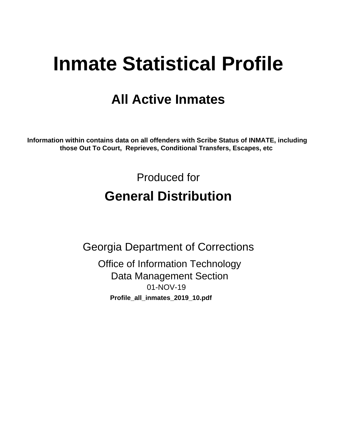# **Inmate Statistical Profile**

# **All Active Inmates**

Information within contains data on all offenders with Scribe Status of INMATE, including those Out To Court, Reprieves, Conditional Transfers, Escapes, etc

> Produced for **General Distribution**

**Georgia Department of Corrections** 

**Office of Information Technology Data Management Section** 01-NOV-19 Profile\_all\_inmates\_2019\_10.pdf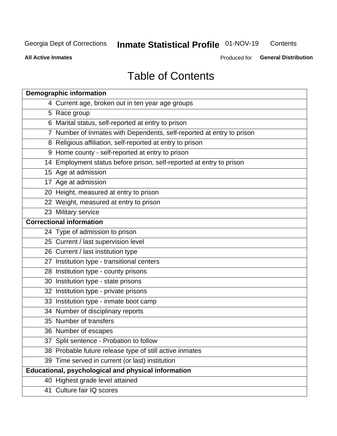#### **Inmate Statistical Profile 01-NOV-19** Contents

**All Active Inmates** 

Produced for General Distribution

# **Table of Contents**

| <b>Demographic information</b>                                        |
|-----------------------------------------------------------------------|
| 4 Current age, broken out in ten year age groups                      |
| 5 Race group                                                          |
| 6 Marital status, self-reported at entry to prison                    |
| 7 Number of Inmates with Dependents, self-reported at entry to prison |
| 8 Religious affiliation, self-reported at entry to prison             |
| 9 Home county - self-reported at entry to prison                      |
| 14 Employment status before prison, self-reported at entry to prison  |
| 15 Age at admission                                                   |
| 17 Age at admission                                                   |
| 20 Height, measured at entry to prison                                |
| 22 Weight, measured at entry to prison                                |
| 23 Military service                                                   |
| <b>Correctional information</b>                                       |
| 24 Type of admission to prison                                        |
| 25 Current / last supervision level                                   |
| 26 Current / last institution type                                    |
| 27 Institution type - transitional centers                            |
| 28 Institution type - county prisons                                  |
| 30 Institution type - state prisons                                   |
| 32 Institution type - private prisons                                 |
| 33 Institution type - inmate boot camp                                |
| 34 Number of disciplinary reports                                     |
| 35 Number of transfers                                                |
| 36 Number of escapes                                                  |
| 37 Split sentence - Probation to follow                               |
| 38 Probable future release type of still active inmates               |
| 39 Time served in current (or last) institution                       |
| Educational, psychological and physical information                   |
| 40 Highest grade level attained                                       |
| 41 Culture fair IQ scores                                             |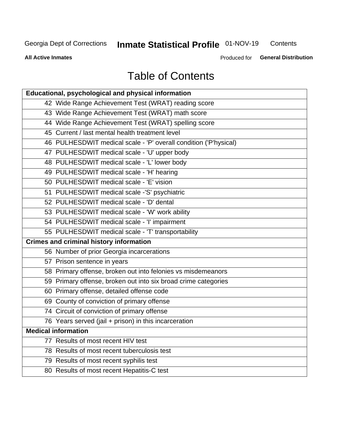# **Inmate Statistical Profile 01-NOV-19**

Contents

**All Active Inmates** 

Produced for General Distribution

# **Table of Contents**

| Educational, psychological and physical information              |
|------------------------------------------------------------------|
| 42 Wide Range Achievement Test (WRAT) reading score              |
| 43 Wide Range Achievement Test (WRAT) math score                 |
| 44 Wide Range Achievement Test (WRAT) spelling score             |
| 45 Current / last mental health treatment level                  |
| 46 PULHESDWIT medical scale - 'P' overall condition ('P'hysical) |
| 47 PULHESDWIT medical scale - 'U' upper body                     |
| 48 PULHESDWIT medical scale - 'L' lower body                     |
| 49 PULHESDWIT medical scale - 'H' hearing                        |
| 50 PULHESDWIT medical scale - 'E' vision                         |
| 51 PULHESDWIT medical scale -'S' psychiatric                     |
| 52 PULHESDWIT medical scale - 'D' dental                         |
| 53 PULHESDWIT medical scale - 'W' work ability                   |
| 54 PULHESDWIT medical scale - 'I' impairment                     |
| 55 PULHESDWIT medical scale - 'T' transportability               |
| <b>Crimes and criminal history information</b>                   |
| 56 Number of prior Georgia incarcerations                        |
| 57 Prison sentence in years                                      |
| 58 Primary offense, broken out into felonies vs misdemeanors     |
| 59 Primary offense, broken out into six broad crime categories   |
| 60 Primary offense, detailed offense code                        |
| 69 County of conviction of primary offense                       |
| 74 Circuit of conviction of primary offense                      |
| 76 Years served (jail + prison) in this incarceration            |
| <b>Medical information</b>                                       |
| 77 Results of most recent HIV test                               |
| 78 Results of most recent tuberculosis test                      |
| 79 Results of most recent syphilis test                          |
| 80 Results of most recent Hepatitis-C test                       |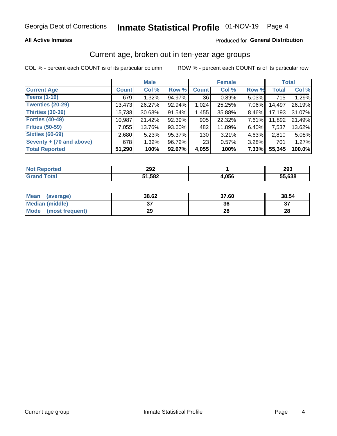### **All Active Inmates**

### Produced for General Distribution

# Current age, broken out in ten-year age groups

COL % - percent each COUNT is of its particular column

|                          |              | <b>Male</b> |        |              | <b>Female</b> |       |              | <b>Total</b> |  |
|--------------------------|--------------|-------------|--------|--------------|---------------|-------|--------------|--------------|--|
| <b>Current Age</b>       | <b>Count</b> | Col %       | Row %  | <b>Count</b> | Col %         | Row % | <b>Total</b> | Col %        |  |
| <b>Teens (1-19)</b>      | 679          | 1.32%       | 94.97% | 36           | 0.89%         | 5.03% | 715          | 1.29%        |  |
| <b>Twenties (20-29)</b>  | 13,473       | 26.27%      | 92.94% | 1,024        | 25.25%        | 7.06% | 14,497       | 26.19%       |  |
| <b>Thirties (30-39)</b>  | 15,738       | 30.68%      | 91.54% | 1,455        | 35.88%        | 8.46% | 17,193       | 31.07%       |  |
| <b>Forties (40-49)</b>   | 10,987       | 21.42%      | 92.39% | 905          | 22.32%        | 7.61% | 11,892       | 21.49%       |  |
| <b>Fifties (50-59)</b>   | 7.055        | 13.76%      | 93.60% | 482          | 11.89%        | 6.40% | 7,537        | 13.62%       |  |
| <b>Sixties (60-69)</b>   | 2,680        | 5.23%       | 95.37% | 130          | 3.21%         | 4.63% | 2.810        | 5.08%        |  |
| Seventy + (70 and above) | 678          | 1.32%       | 96.72% | 23           | 0.57%         | 3.28% | 701          | 1.27%        |  |
| <b>Total Reported</b>    | 51,290       | 100%        | 92.67% | 4,055        | 100%          | 7.33% | 55,345       | 100.0%       |  |

| <b>ported</b> | פחפ   |      | nno.   |
|---------------|-------|------|--------|
| <b>NOT</b>    | ZJZ   |      | 293    |
| <b>Total</b>  | 1,582 | ,056 | 55,638 |

| <b>Mean</b><br>(average) | 38.62         | 37.60 | 38.54 |
|--------------------------|---------------|-------|-------|
| Median (middle)          | $\sim$<br>ا پ | 36    | ົ     |
| Mode<br>(most frequent)  | 29            | 28    | 28    |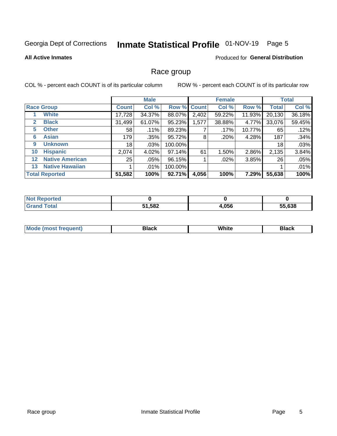# Inmate Statistical Profile 01-NOV-19 Page 5

### **All Active Inmates**

### Produced for General Distribution

### Race group

COL % - percent each COUNT is of its particular column

|              |                        |              | <b>Male</b> |         |             | <b>Female</b> |        |              | <b>Total</b> |  |
|--------------|------------------------|--------------|-------------|---------|-------------|---------------|--------|--------------|--------------|--|
|              | <b>Race Group</b>      | <b>Count</b> | Col %       |         | Row % Count | Col %         | Row %  | <b>Total</b> | Col %        |  |
|              | <b>White</b>           | 17,728       | 34.37%      | 88.07%  | 2,402       | 59.22%        | 11.93% | 20,130       | 36.18%       |  |
| $\mathbf{2}$ | <b>Black</b>           | 31,499       | 61.07%      | 95.23%  | 1,577       | 38.88%        | 4.77%  | 33,076       | 59.45%       |  |
| 5.           | <b>Other</b>           | 58           | .11%        | 89.23%  |             | .17%          | 10.77% | 65           | .12%         |  |
| 6            | <b>Asian</b>           | 179          | .35%        | 95.72%  | 8           | .20%          | 4.28%  | 187          | .34%         |  |
| 9            | <b>Unknown</b>         | 18           | $.03\%$     | 100.00% |             |               |        | 18           | .03%         |  |
| 10           | <b>Hispanic</b>        | 2,074        | 4.02%       | 97.14%  | 61          | 1.50%         | 2.86%  | 2,135        | 3.84%        |  |
| $12 \,$      | <b>Native American</b> | 25           | $.05\%$     | 96.15%  |             | $.02\%$       | 3.85%  | 26           | .05%         |  |
| 13           | <b>Native Hawaiian</b> |              | $.01\%$     | 100.00% |             |               |        |              | .01%         |  |
|              | <b>Total Reported</b>  | 51,582       | 100%        | 92.71%  | 4,056       | 100%          | 7.29%  | 55,638       | 100%         |  |

| <b>Not Reported</b> |               |       |        |
|---------------------|---------------|-------|--------|
| <b>Fotal</b>        | 51,582<br>E4. | 4,056 | 55,638 |

| <b>Mode</b><br>uent)<br>most treo | 3lack | White | Black |
|-----------------------------------|-------|-------|-------|
|                                   |       |       |       |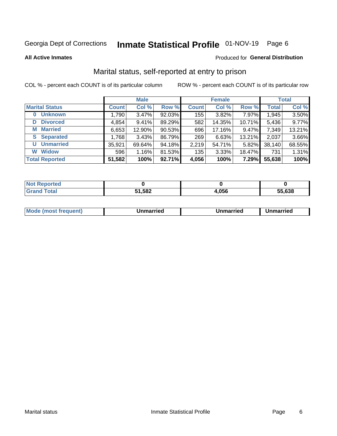# Inmate Statistical Profile 01-NOV-19 Page 6

**All Active Inmates** 

#### Produced for General Distribution

# Marital status, self-reported at entry to prison

COL % - percent each COUNT is of its particular column

|                            | <b>Male</b>  |        |        |              | <b>Female</b> | <b>Total</b> |              |        |
|----------------------------|--------------|--------|--------|--------------|---------------|--------------|--------------|--------|
| <b>Marital Status</b>      | <b>Count</b> | Col %  | Row %  | <b>Count</b> | Col %         | Row %        | <b>Total</b> | Col %  |
| <b>Unknown</b><br>$\bf{0}$ | 1,790        | 3.47%  | 92.03% | 155          | 3.82%         | 7.97%        | 1,945        | 3.50%  |
| <b>Divorced</b><br>D       | 4,854        | 9.41%  | 89.29% | 582          | 14.35%        | 10.71%       | 5,436        | 9.77%  |
| <b>Married</b><br>М        | 6,653        | 12.90% | 90.53% | 696          | 17.16%        | 9.47%        | 7,349        | 13.21% |
| <b>Separated</b><br>S      | 1,768        | 3.43%  | 86.79% | 269          | 6.63%         | 13.21%       | 2,037        | 3.66%  |
| <b>Unmarried</b><br>U      | 35,921       | 69.64% | 94.18% | 2,219        | 54.71%        | 5.82%        | 38,140       | 68.55% |
| <b>Widow</b><br>W          | 596          | 1.16%  | 81.53% | 135          | 3.33%         | 18.47%       | 731          | 1.31%  |
| <b>Total Reported</b>      | 51,582       | 100%   | 92.71% | 4,056        | 100%          | 7.29%        | 55,638       | 100%   |

| .<br>rteo<br>NO |     |                    |        |
|-----------------|-----|--------------------|--------|
| $\sim$ $\sim$   | 582 | <b>OFC</b><br>טטע. | 55.638 |

|--|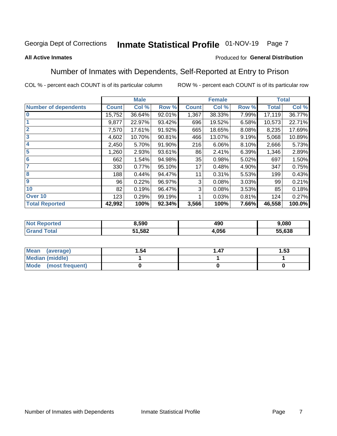#### Inmate Statistical Profile 01-NOV-19 Page 7

#### **All Active Inmates**

### Produced for General Distribution

# Number of Inmates with Dependents, Self-Reported at Entry to Prison

COL % - percent each COUNT is of its particular column

|                             |              | <b>Male</b> |        |              | <b>Female</b> |       |              | <b>Total</b> |
|-----------------------------|--------------|-------------|--------|--------------|---------------|-------|--------------|--------------|
| <b>Number of dependents</b> | <b>Count</b> | Col %       | Row %  | <b>Count</b> | Col %         | Row % | <b>Total</b> | Col %        |
| l 0                         | 15,752       | 36.64%      | 92.01% | 1,367        | 38.33%        | 7.99% | 17,119       | 36.77%       |
|                             | 9,877        | 22.97%      | 93.42% | 696          | 19.52%        | 6.58% | 10,573       | 22.71%       |
| $\overline{2}$              | 7,570        | 17.61%      | 91.92% | 665          | 18.65%        | 8.08% | 8,235        | 17.69%       |
| $\mathbf{3}$                | 4,602        | 10.70%      | 90.81% | 466          | 13.07%        | 9.19% | 5,068        | 10.89%       |
| 4                           | 2,450        | 5.70%       | 91.90% | 216          | 6.06%         | 8.10% | 2,666        | 5.73%        |
| 5                           | 1,260        | 2.93%       | 93.61% | 86           | 2.41%         | 6.39% | 1,346        | 2.89%        |
| 6                           | 662          | 1.54%       | 94.98% | 35           | 0.98%         | 5.02% | 697          | 1.50%        |
| 7                           | 330          | 0.77%       | 95.10% | 17           | 0.48%         | 4.90% | 347          | 0.75%        |
| 8                           | 188          | 0.44%       | 94.47% | 11           | 0.31%         | 5.53% | 199          | 0.43%        |
| 9                           | 96           | 0.22%       | 96.97% | 3            | 0.08%         | 3.03% | 99           | 0.21%        |
| 10                          | 82           | 0.19%       | 96.47% | 3            | 0.08%         | 3.53% | 85           | 0.18%        |
| Over 10                     | 123          | 0.29%       | 99.19% |              | 0.03%         | 0.81% | 124          | 0.27%        |
| <b>Total Reported</b>       | 42,992       | 100%        | 92.34% | 3,566        | 100%          | 7.66% | 46,558       | 100.0%       |

| 8,590 | ,,,<br>43 U | .080   |
|-------|-------------|--------|
| 1,582 | .056        | 55,638 |

| Mean (average)          | '.54 | .47 | l.53 |
|-------------------------|------|-----|------|
| Median (middle)         |      |     |      |
| Mode<br>(most frequent) |      |     |      |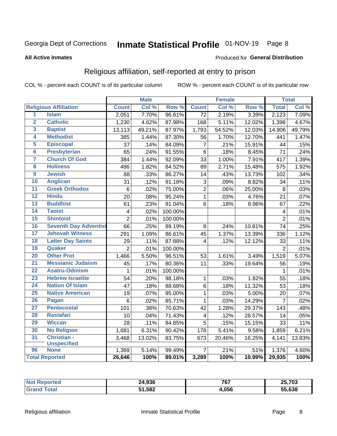# Inmate Statistical Profile 01-NOV-19 Page 8

#### **All Active Inmates**

#### Produced for General Distribution

# Religious affiliation, self-reported at entry to prison

COL % - percent each COUNT is of its particular column

|                         |                              |                         | <b>Male</b> |         |                         | <b>Female</b> |                  |                | <b>Total</b> |
|-------------------------|------------------------------|-------------------------|-------------|---------|-------------------------|---------------|------------------|----------------|--------------|
|                         | <b>Religious Affiliation</b> | <b>Count</b>            | Col %       | Row %   | <b>Count</b>            | Col %         | Row <sup>%</sup> | <b>Total</b>   | Col %        |
| $\overline{1}$          | <b>Islam</b>                 | 2,051                   | 7.70%       | 96.61%  | $\overline{72}$         | 2.19%         | 3.39%            | 2,123          | 7.09%        |
| $\overline{2}$          | <b>Catholic</b>              | 1,230                   | 4.62%       | 87.98%  | 168                     | 5.11%         | 12.02%           | 1,398          | 4.67%        |
| 3                       | <b>Baptist</b>               | 13,113                  | 49.21%      | 87.97%  | 1,793                   | 54.52%        | 12.03%           | 14,906         | 49.79%       |
| 4                       | <b>Methodist</b>             | 385                     | 1.44%       | 87.30%  | 56                      | 1.70%         | 12.70%           | 441            | 1.47%        |
| 5                       | <b>Episcopal</b>             | 37                      | .14%        | 84.09%  | $\overline{7}$          | .21%          | 15.91%           | 44             | .15%         |
| $\overline{\bf{6}}$     | <b>Presbyterian</b>          | 65                      | .24%        | 91.55%  | $6\phantom{1}$          | .18%          | 8.45%            | 71             | .24%         |
| 7                       | <b>Church Of God</b>         | 384                     | 1.44%       | 92.09%  | 33                      | 1.00%         | 7.91%            | 417            | 1.39%        |
| $\overline{\mathbf{8}}$ | <b>Holiness</b>              | 486                     | 1.82%       | 84.52%  | 89                      | 2.71%         | 15.48%           | 575            | 1.92%        |
| $\overline{9}$          | <b>Jewish</b>                | 88                      | .33%        | 86.27%  | 14                      | .43%          | 13.73%           | 102            | .34%         |
| 10                      | <b>Anglican</b>              | 31                      | .12%        | 91.18%  | 3                       | .09%          | 8.82%            | 34             | .11%         |
| $\overline{11}$         | <b>Greek Orthodox</b>        | $\,6$                   | .02%        | 75.00%  | $\overline{2}$          | .06%          | 25.00%           | 8              | .03%         |
| 12                      | <b>Hindu</b>                 | 20                      | .08%        | 95.24%  | $\mathbf{1}$            | .03%          | 4.76%            | 21             | .07%         |
| 13                      | <b>Buddhist</b>              | 61                      | .23%        | 91.04%  | 6                       | .18%          | 8.96%            | 67             | .22%         |
| 14                      | <b>Taoist</b>                | $\overline{\mathbf{4}}$ | .02%        | 100.00% |                         |               |                  | 4              | .01%         |
| 15                      | <b>Shintoist</b>             | $\overline{2}$          | .01%        | 100.00% |                         |               |                  | $\overline{2}$ | .01%         |
| 16                      | <b>Seventh Day Adventist</b> | 66                      | .25%        | 89.19%  | 8                       | .24%          | 10.81%           | 74             | .25%         |
| 17                      | <b>Jehovah Witness</b>       | 291                     | 1.09%       | 86.61%  | 45                      | 1.37%         | 13.39%           | 336            | 1.12%        |
| 18                      | <b>Latter Day Saints</b>     | 29                      | .11%        | 87.88%  | 4                       | .12%          | 12.12%           | 33             | .11%         |
| 19                      | Quaker                       | $\overline{2}$          | .01%        | 100.00% |                         |               |                  | $\overline{2}$ | .01%         |
| 20                      | <b>Other Prot</b>            | 1,466                   | 5.50%       | 96.51%  | 53                      | 1.61%         | 3.49%            | 1,519          | 5.07%        |
| $\overline{21}$         | <b>Messianic Judaism</b>     | 45                      | .17%        | 80.36%  | 11                      | .33%          | 19.64%           | 56             | .19%         |
| 22                      | <b>Asatru-Odinism</b>        | 1                       | .01%        | 100.00% |                         |               |                  | 1              | .01%         |
| 23                      | <b>Hebrew Israelite</b>      | 54                      | .20%        | 98.18%  | $\mathbf{1}$            | .03%          | 1.82%            | 55             | .18%         |
| 24                      | <b>Nation Of Islam</b>       | 47                      | .18%        | 88.68%  | 6                       | .18%          | 11.32%           | 53             | .18%         |
| 25                      | <b>Native American</b>       | 19                      | .07%        | 95.00%  | $\mathbf{1}$            | .03%          | 5.00%            | 20             | .07%         |
| 26                      | <b>Pagan</b>                 | $\,6$                   | .02%        | 85.71%  | $\mathbf{1}$            | .03%          | 14.29%           | $\overline{7}$ | .02%         |
| 27                      | <b>Pentecostal</b>           | 101                     | .38%        | 70.63%  | 42                      | 1.28%         | 29.37%           | 143            | .48%         |
| 28                      | <b>Rastafari</b>             | 10                      | .04%        | 71.43%  | $\overline{\mathbf{4}}$ | .12%          | 28.57%           | 14             | .05%         |
| 29                      | <b>Wiccan</b>                | 28                      | .11%        | 84.85%  | 5                       | .15%          | 15.15%           | 33             | .11%         |
| 30                      | <b>No Religion</b>           | 1,681                   | 6.31%       | 90.42%  | 178                     | 5.41%         | 9.58%            | 1,859          | 6.21%        |
| 31                      | Christian -                  | 3,468                   | 13.02%      | 83.75%  | 673                     | 20.46%        | 16.25%           | 4,141          | 13.83%       |
|                         | <b>Unspecified</b>           |                         |             |         |                         |               |                  |                |              |
| 96                      | <b>None</b>                  | 1,369                   | 5.14%       | 99.49%  | $\overline{7}$          | .21%          | .51%             | 1,376          | 4.60%        |
|                         | <b>Total Reported</b>        | 26,646                  | 100%        | 89.01%  | 3,289                   | 100%          | 10.99%           | 29,935         | 100%         |

| тес. | 24,936      | 767<br>$\sim$ $\sim$ | <b>25 702</b><br>7 U.S<br>∽ |
|------|-------------|----------------------|-----------------------------|
|      | 1,582<br>51 | l,056                | 55.638                      |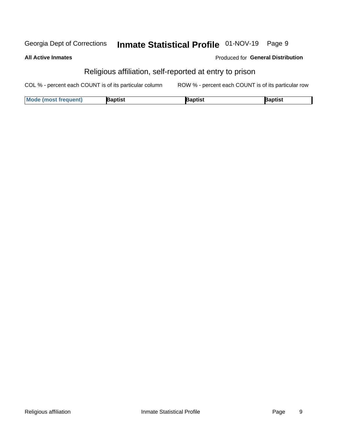#### Inmate Statistical Profile 01-NOV-19 Page 9 Georgia Dept of Corrections

#### **All Active Inmates**

### Produced for General Distribution

# Religious affiliation, self-reported at entry to prison

COL % - percent each COUNT is of its particular column ROW % - percent each COUNT is of its particular row

| <b>Mode (most frequent)</b> | 3aptist | aptist | Baptist |
|-----------------------------|---------|--------|---------|
|-----------------------------|---------|--------|---------|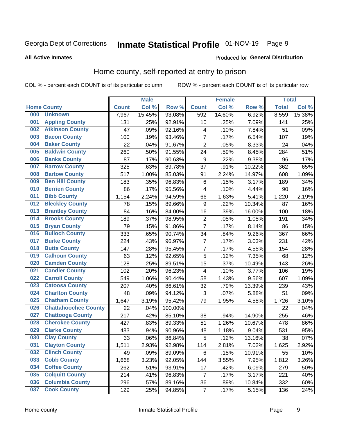# Inmate Statistical Profile 01-NOV-19 Page 9

#### **All Active Inmates**

#### Produced for General Distribution

# Home county, self-reported at entry to prison

COL % - percent each COUNT is of its particular column

|     |                             |              | <b>Male</b> |                  |                  | <b>Female</b> |        | <b>Total</b> |        |
|-----|-----------------------------|--------------|-------------|------------------|------------------|---------------|--------|--------------|--------|
|     | <b>Home County</b>          | <b>Count</b> | Col %       | Row <sup>%</sup> | <b>Count</b>     | Col %         | Row %  | <b>Total</b> | Col %  |
| 000 | <b>Unknown</b>              | 7,967        | 15.45%      | 93.08%           | 592              | 14.60%        | 6.92%  | 8,559        | 15.38% |
| 001 | <b>Appling County</b>       | 131          | .25%        | 92.91%           | 10               | .25%          | 7.09%  | 141          | .25%   |
| 002 | <b>Atkinson County</b>      | 47           | .09%        | 92.16%           | 4                | .10%          | 7.84%  | 51           | .09%   |
| 003 | <b>Bacon County</b>         | 100          | .19%        | 93.46%           | $\overline{7}$   | .17%          | 6.54%  | 107          | .19%   |
| 004 | <b>Baker County</b>         | 22           | .04%        | 91.67%           | $\overline{2}$   | .05%          | 8.33%  | 24           | .04%   |
| 005 | <b>Baldwin County</b>       | 260          | .50%        | 91.55%           | 24               | .59%          | 8.45%  | 284          | .51%   |
| 006 | <b>Banks County</b>         | 87           | .17%        | 90.63%           | $\boldsymbol{9}$ | .22%          | 9.38%  | 96           | .17%   |
| 007 | <b>Barrow County</b>        | 325          | .63%        | 89.78%           | 37               | .91%          | 10.22% | 362          | .65%   |
| 008 | <b>Bartow County</b>        | 517          | 1.00%       | 85.03%           | 91               | 2.24%         | 14.97% | 608          | 1.09%  |
| 009 | <b>Ben Hill County</b>      | 183          | .35%        | 96.83%           | 6                | .15%          | 3.17%  | 189          | .34%   |
| 010 | <b>Berrien County</b>       | 86           | .17%        | 95.56%           | 4                | .10%          | 4.44%  | 90           | .16%   |
| 011 | <b>Bibb County</b>          | 1,154        | 2.24%       | 94.59%           | 66               | 1.63%         | 5.41%  | 1,220        | 2.19%  |
| 012 | <b>Bleckley County</b>      | 78           | .15%        | 89.66%           | 9                | .22%          | 10.34% | 87           | .16%   |
| 013 | <b>Brantley County</b>      | 84           | .16%        | 84.00%           | 16               | .39%          | 16.00% | 100          | .18%   |
| 014 | <b>Brooks County</b>        | 189          | .37%        | 98.95%           | $\overline{c}$   | .05%          | 1.05%  | 191          | .34%   |
| 015 | <b>Bryan County</b>         | 79           | .15%        | 91.86%           | $\overline{7}$   | .17%          | 8.14%  | 86           | .15%   |
| 016 | <b>Bulloch County</b>       | 333          | .65%        | 90.74%           | 34               | .84%          | 9.26%  | 367          | .66%   |
| 017 | <b>Burke County</b>         | 224          | .43%        | 96.97%           | $\overline{7}$   | .17%          | 3.03%  | 231          | .42%   |
| 018 | <b>Butts County</b>         | 147          | .28%        | 95.45%           | $\overline{7}$   | .17%          | 4.55%  | 154          | .28%   |
| 019 | <b>Calhoun County</b>       | 63           | .12%        | 92.65%           | 5                | .12%          | 7.35%  | 68           | .12%   |
| 020 | <b>Camden County</b>        | 128          | .25%        | 89.51%           | 15               | .37%          | 10.49% | 143          | .26%   |
| 021 | <b>Candler County</b>       | 102          | .20%        | 96.23%           | 4                | .10%          | 3.77%  | 106          | .19%   |
| 022 | <b>Carroll County</b>       | 549          | 1.06%       | 90.44%           | 58               | 1.43%         | 9.56%  | 607          | 1.09%  |
| 023 | <b>Catoosa County</b>       | 207          | .40%        | 86.61%           | 32               | .79%          | 13.39% | 239          | .43%   |
| 024 | <b>Charlton County</b>      | 48           | .09%        | 94.12%           | 3                | .07%          | 5.88%  | 51           | .09%   |
| 025 | <b>Chatham County</b>       | 1,647        | 3.19%       | 95.42%           | 79               | 1.95%         | 4.58%  | 1,726        | 3.10%  |
| 026 | <b>Chattahoochee County</b> | 22           | .04%        | 100.00%          |                  |               |        | 22           | .04%   |
| 027 | <b>Chattooga County</b>     | 217          | .42%        | 85.10%           | 38               | .94%          | 14.90% | 255          | .46%   |
| 028 | <b>Cherokee County</b>      | 427          | .83%        | 89.33%           | 51               | 1.26%         | 10.67% | 478          | .86%   |
| 029 | <b>Clarke County</b>        | 483          | .94%        | 90.96%           | 48               | 1.18%         | 9.04%  | 531          | .95%   |
| 030 | <b>Clay County</b>          | 33           | .06%        | 86.84%           | 5                | .12%          | 13.16% | 38           | .07%   |
| 031 | <b>Clayton County</b>       | 1,511        | 2.93%       | 92.98%           | 114              | 2.81%         | 7.02%  | 1,625        | 2.92%  |
| 032 | <b>Clinch County</b>        | 49           | .09%        | 89.09%           | 6                | .15%          | 10.91% | 55           | .10%   |
| 033 | <b>Cobb County</b>          | 1,668        | 3.23%       | 92.05%           | 144              | 3.55%         | 7.95%  | 1,812        | 3.26%  |
| 034 | <b>Coffee County</b>        | 262          | .51%        | 93.91%           | 17               | .42%          | 6.09%  | 279          | .50%   |
| 035 | <b>Colquitt County</b>      | 214          | .41%        | 96.83%           | 7                | .17%          | 3.17%  | 221          | .40%   |
| 036 | <b>Columbia County</b>      | 296          | .57%        | 89.16%           | 36               | .89%          | 10.84% | 332          | .60%   |
| 037 | <b>Cook County</b>          | 129          | .25%        | 94.85%           | $\overline{7}$   | .17%          | 5.15%  | 136          | .24%   |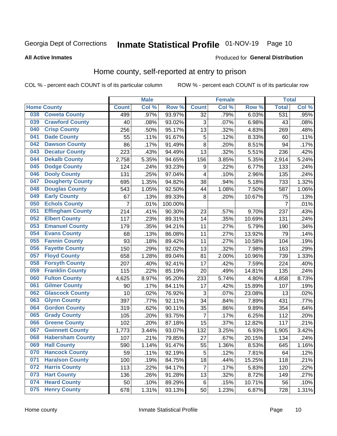# Inmate Statistical Profile 01-NOV-19 Page 10

### **All Active Inmates**

#### Produced for General Distribution

### Home county, self-reported at entry to prison

COL % - percent each COUNT is of its particular column

|     |                         |                  | <b>Male</b> |         |                 | <b>Female</b> |        | <b>Total</b>   |       |
|-----|-------------------------|------------------|-------------|---------|-----------------|---------------|--------|----------------|-------|
|     | <b>Home County</b>      | <b>Count</b>     | Col %       | Row %   | <b>Count</b>    | Col %         | Row %  | <b>Total</b>   | Col % |
| 038 | <b>Coweta County</b>    | 499              | .97%        | 93.97%  | $\overline{32}$ | .79%          | 6.03%  | 531            | .95%  |
| 039 | <b>Crawford County</b>  | 40               | .08%        | 93.02%  | 3               | .07%          | 6.98%  | 43             | .08%  |
| 040 | <b>Crisp County</b>     | 256              | .50%        | 95.17%  | 13              | .32%          | 4.83%  | 269            | .48%  |
| 041 | <b>Dade County</b>      | 55               | .11%        | 91.67%  | 5               | .12%          | 8.33%  | 60             | .11%  |
| 042 | <b>Dawson County</b>    | 86               | .17%        | 91.49%  | 8               | .20%          | 8.51%  | 94             | .17%  |
| 043 | <b>Decatur County</b>   | 223              | .43%        | 94.49%  | 13              | .32%          | 5.51%  | 236            | .42%  |
| 044 | <b>Dekalb County</b>    | 2,758            | 5.35%       | 94.65%  | 156             | 3.85%         | 5.35%  | 2,914          | 5.24% |
| 045 | <b>Dodge County</b>     | 124              | .24%        | 93.23%  | 9               | .22%          | 6.77%  | 133            | .24%  |
| 046 | <b>Dooly County</b>     | 131              | .25%        | 97.04%  | $\overline{4}$  | .10%          | 2.96%  | 135            | .24%  |
| 047 | <b>Dougherty County</b> | 695              | 1.35%       | 94.82%  | 38              | .94%          | 5.18%  | 733            | 1.32% |
| 048 | <b>Douglas County</b>   | 543              | 1.05%       | 92.50%  | 44              | 1.08%         | 7.50%  | 587            | 1.06% |
| 049 | <b>Early County</b>     | 67               | .13%        | 89.33%  | 8               | .20%          | 10.67% | 75             | .13%  |
| 050 | <b>Echols County</b>    | 7                | .01%        | 100.00% |                 |               |        | $\overline{7}$ | .01%  |
| 051 | <b>Effingham County</b> | $\overline{2}14$ | .41%        | 90.30%  | 23              | .57%          | 9.70%  | 237            | .43%  |
| 052 | <b>Elbert County</b>    | 117              | .23%        | 89.31%  | 14              | .35%          | 10.69% | 131            | .24%  |
| 053 | <b>Emanuel County</b>   | 179              | .35%        | 94.21%  | 11              | .27%          | 5.79%  | 190            | .34%  |
| 054 | <b>Evans County</b>     | 68               | .13%        | 86.08%  | 11              | .27%          | 13.92% | 79             | .14%  |
| 055 | <b>Fannin County</b>    | 93               | .18%        | 89.42%  | 11              | .27%          | 10.58% | 104            | .19%  |
| 056 | <b>Fayette County</b>   | 150              | .29%        | 92.02%  | 13              | .32%          | 7.98%  | 163            | .29%  |
| 057 | <b>Floyd County</b>     | 658              | 1.28%       | 89.04%  | 81              | 2.00%         | 10.96% | 739            | 1.33% |
| 058 | <b>Forsyth County</b>   | 207              | .40%        | 92.41%  | 17              | .42%          | 7.59%  | 224            | .40%  |
| 059 | <b>Franklin County</b>  | 115              | .22%        | 85.19%  | 20              | .49%          | 14.81% | 135            | .24%  |
| 060 | <b>Fulton County</b>    | 4,625            | 8.97%       | 95.20%  | 233             | 5.74%         | 4.80%  | 4,858          | 8.73% |
| 061 | <b>Gilmer County</b>    | 90               | .17%        | 84.11%  | 17              | .42%          | 15.89% | 107            | .19%  |
| 062 | <b>Glascock County</b>  | 10               | .02%        | 76.92%  | 3               | .07%          | 23.08% | 13             | .02%  |
| 063 | <b>Glynn County</b>     | 397              | .77%        | 92.11%  | 34              | .84%          | 7.89%  | 431            | .77%  |
| 064 | <b>Gordon County</b>    | 319              | .62%        | 90.11%  | 35              | .86%          | 9.89%  | 354            | .64%  |
| 065 | <b>Grady County</b>     | 105              | .20%        | 93.75%  | $\overline{7}$  | .17%          | 6.25%  | 112            | .20%  |
| 066 | <b>Greene County</b>    | 102              | .20%        | 87.18%  | 15              | .37%          | 12.82% | 117            | .21%  |
| 067 | <b>Gwinnett County</b>  | 1,773            | 3.44%       | 93.07%  | 132             | 3.25%         | 6.93%  | 1,905          | 3.42% |
| 068 | <b>Habersham County</b> | 107              | .21%        | 79.85%  | 27              | .67%          | 20.15% | 134            | .24%  |
| 069 | <b>Hall County</b>      | 590              | 1.14%       | 91.47%  | 55              | 1.36%         | 8.53%  | 645            | 1.16% |
| 070 | <b>Hancock County</b>   | 59               | .11%        | 92.19%  | 5               | .12%          | 7.81%  | 64             | .12%  |
| 071 | <b>Haralson County</b>  | 100              | .19%        | 84.75%  | 18              | .44%          | 15.25% | 118            | .21%  |
| 072 | <b>Harris County</b>    | 113              | .22%        | 94.17%  | $\overline{7}$  | .17%          | 5.83%  | 120            | .22%  |
| 073 | <b>Hart County</b>      | 136              | .26%        | 91.28%  | 13              | .32%          | 8.72%  | 149            | .27%  |
| 074 | <b>Heard County</b>     | 50               | .10%        | 89.29%  | 6               | .15%          | 10.71% | 56             | .10%  |
| 075 | <b>Henry County</b>     | 678              | 1.31%       | 93.13%  | 50              | 1.23%         | 6.87%  | 728            | 1.31% |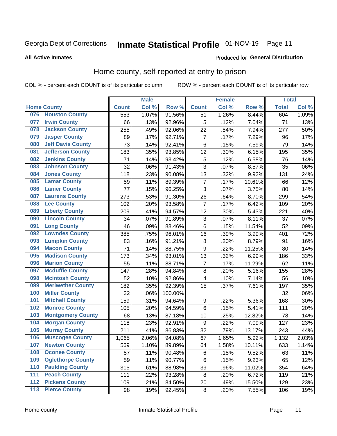#### Inmate Statistical Profile 01-NOV-19 Page 11

**All Active Inmates** 

### Produced for General Distribution

# Home county, self-reported at entry to prison

COL % - percent each COUNT is of its particular column

|                  |                          |              | <b>Male</b> |                  |                         | <b>Female</b> |        | <b>Total</b> |       |
|------------------|--------------------------|--------------|-------------|------------------|-------------------------|---------------|--------|--------------|-------|
|                  | <b>Home County</b>       | <b>Count</b> | Col %       | Row <sup>%</sup> | <b>Count</b>            | Col %         | Row %  | <b>Total</b> | Col % |
| 076              | <b>Houston County</b>    | 553          | 1.07%       | 91.56%           | 51                      | 1.26%         | 8.44%  | 604          | 1.09% |
| 077              | <b>Irwin County</b>      | 66           | .13%        | 92.96%           | 5                       | .12%          | 7.04%  | 71           | .13%  |
| 078              | <b>Jackson County</b>    | 255          | .49%        | 92.06%           | 22                      | .54%          | 7.94%  | 277          | .50%  |
| 079              | <b>Jasper County</b>     | 89           | .17%        | 92.71%           | $\overline{7}$          | .17%          | 7.29%  | 96           | .17%  |
| 080              | <b>Jeff Davis County</b> | 73           | .14%        | 92.41%           | 6                       | .15%          | 7.59%  | 79           | .14%  |
| 081              | <b>Jefferson County</b>  | 183          | .35%        | 93.85%           | 12                      | .30%          | 6.15%  | 195          | .35%  |
| 082              | <b>Jenkins County</b>    | 71           | .14%        | 93.42%           | 5                       | .12%          | 6.58%  | 76           | .14%  |
| 083              | <b>Johnson County</b>    | 32           | .06%        | 91.43%           | 3                       | .07%          | 8.57%  | 35           | .06%  |
| 084              | <b>Jones County</b>      | 118          | .23%        | 90.08%           | 13                      | .32%          | 9.92%  | 131          | .24%  |
| 085              | <b>Lamar County</b>      | 59           | .11%        | 89.39%           | $\overline{7}$          | .17%          | 10.61% | 66           | .12%  |
| 086              | <b>Lanier County</b>     | 77           | .15%        | 96.25%           | 3                       | .07%          | 3.75%  | 80           | .14%  |
| 087              | <b>Laurens County</b>    | 273          | .53%        | 91.30%           | 26                      | .64%          | 8.70%  | 299          | .54%  |
| 088              | <b>Lee County</b>        | 102          | .20%        | 93.58%           | 7                       | .17%          | 6.42%  | 109          | .20%  |
| 089              | <b>Liberty County</b>    | 209          | .41%        | 94.57%           | 12                      | .30%          | 5.43%  | 221          | .40%  |
| 090              | <b>Lincoln County</b>    | 34           | .07%        | 91.89%           | 3                       | .07%          | 8.11%  | 37           | .07%  |
| 091              | <b>Long County</b>       | 46           | .09%        | 88.46%           | 6                       | .15%          | 11.54% | 52           | .09%  |
| 092              | <b>Lowndes County</b>    | 385          | .75%        | 96.01%           | 16                      | .39%          | 3.99%  | 401          | .72%  |
| 093              | <b>Lumpkin County</b>    | 83           | .16%        | 91.21%           | $\bf 8$                 | .20%          | 8.79%  | 91           | .16%  |
| 094              | <b>Macon County</b>      | 71           | .14%        | 88.75%           | $\boldsymbol{9}$        | .22%          | 11.25% | 80           | .14%  |
| 095              | <b>Madison County</b>    | 173          | .34%        | 93.01%           | 13                      | .32%          | 6.99%  | 186          | .33%  |
| 096              | <b>Marion County</b>     | 55           | .11%        | 88.71%           | 7                       | .17%          | 11.29% | 62           | .11%  |
| 097              | <b>Mcduffie County</b>   | 147          | .28%        | 94.84%           | 8                       | .20%          | 5.16%  | 155          | .28%  |
| 098              | <b>Mcintosh County</b>   | 52           | .10%        | 92.86%           | $\overline{\mathbf{4}}$ | .10%          | 7.14%  | 56           | .10%  |
| 099              | <b>Meriwether County</b> | 182          | .35%        | 92.39%           | 15                      | .37%          | 7.61%  | 197          | .35%  |
| 100              | <b>Miller County</b>     | 32           | .06%        | 100.00%          |                         |               |        | 32           | .06%  |
| 101              | <b>Mitchell County</b>   | 159          | .31%        | 94.64%           | $\boldsymbol{9}$        | .22%          | 5.36%  | 168          | .30%  |
| 102              | <b>Monroe County</b>     | 105          | .20%        | 94.59%           | $\,6$                   | .15%          | 5.41%  | 111          | .20%  |
| 103              | <b>Montgomery County</b> | 68           | .13%        | 87.18%           | 10                      | .25%          | 12.82% | 78           | .14%  |
| 104              | <b>Morgan County</b>     | 118          | .23%        | 92.91%           | $\boldsymbol{9}$        | .22%          | 7.09%  | 127          | .23%  |
| 105              | <b>Murray County</b>     | 211          | .41%        | 86.83%           | 32                      | .79%          | 13.17% | 243          | .44%  |
| 106              | <b>Muscogee County</b>   | 1,065        | 2.06%       | 94.08%           | 67                      | 1.65%         | 5.92%  | 1,132        | 2.03% |
| 107              | <b>Newton County</b>     | 569          | 1.10%       | 89.89%           | 64                      | 1.58%         | 10.11% | 633          | 1.14% |
| 108              | <b>Oconee County</b>     | 57           | .11%        | 90.48%           | 6                       | .15%          | 9.52%  | 63           | .11%  |
| 109              | <b>Oglethorpe County</b> | 59           | .11%        | 90.77%           | 6                       | .15%          | 9.23%  | 65           | .12%  |
| 110              | <b>Paulding County</b>   | 315          | .61%        | 88.98%           | 39                      | .96%          | 11.02% | 354          | .64%  |
| 111              | <b>Peach County</b>      | 111          | .22%        | 93.28%           | 8                       | .20%          | 6.72%  | 119          | .21%  |
| $\overline{112}$ | <b>Pickens County</b>    | 109          | .21%        | 84.50%           | 20                      | .49%          | 15.50% | 129          | .23%  |
| 113              | <b>Pierce County</b>     | 98           | .19%        | 92.45%           | $\bf 8$                 | .20%          | 7.55%  | 106          | .19%  |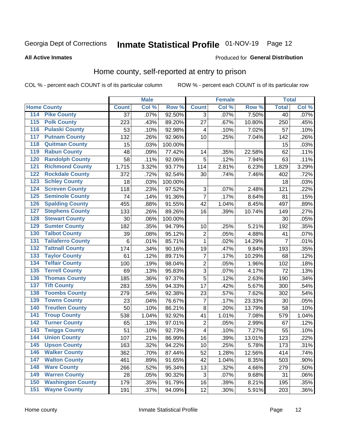# Inmate Statistical Profile 01-NOV-19 Page 12

### **All Active Inmates**

#### Produced for General Distribution

### Home county, self-reported at entry to prison

COL % - percent each COUNT is of its particular column

|                    |                          |              | <b>Male</b> |                  |                | <b>Female</b> |        | <b>Total</b>    |         |
|--------------------|--------------------------|--------------|-------------|------------------|----------------|---------------|--------|-----------------|---------|
| <b>Home County</b> |                          | <b>Count</b> | Col %       | Row <sup>%</sup> | <b>Count</b>   | Col %         | Row %  | <b>Total</b>    | Col %   |
| 114                | <b>Pike County</b>       | 37           | .07%        | 92.50%           | 3              | .07%          | 7.50%  | $\overline{40}$ | .07%    |
| 115                | <b>Polk County</b>       | 223          | .43%        | 89.20%           | 27             | .67%          | 10.80% | 250             | .45%    |
| 116                | <b>Pulaski County</b>    | 53           | .10%        | 92.98%           | 4              | .10%          | 7.02%  | 57              | .10%    |
| 117                | <b>Putnam County</b>     | 132          | .26%        | 92.96%           | 10             | .25%          | 7.04%  | 142             | .26%    |
| 118                | <b>Quitman County</b>    | 15           | .03%        | 100.00%          |                |               |        | 15              | .03%    |
| 119                | <b>Rabun County</b>      | 48           | .09%        | 77.42%           | 14             | .35%          | 22.58% | 62              | .11%    |
| 120                | <b>Randolph County</b>   | 58           | .11%        | 92.06%           | 5              | .12%          | 7.94%  | 63              | .11%    |
| 121                | <b>Richmond County</b>   | 1,715        | 3.32%       | 93.77%           | 114            | 2.81%         | 6.23%  | 1,829           | 3.29%   |
| 122                | <b>Rockdale County</b>   | 372          | .72%        | 92.54%           | 30             | .74%          | 7.46%  | 402             | .72%    |
| 123                | <b>Schley County</b>     | 18           | .03%        | 100.00%          |                |               |        | 18              | .03%    |
| 124                | <b>Screven County</b>    | 118          | .23%        | 97.52%           | $\sqrt{3}$     | .07%          | 2.48%  | 121             | .22%    |
| 125                | <b>Seminole County</b>   | 74           | .14%        | 91.36%           | $\overline{7}$ | .17%          | 8.64%  | 81              | .15%    |
| 126                | <b>Spalding County</b>   | 455          | .88%        | 91.55%           | 42             | 1.04%         | 8.45%  | 497             | .89%    |
| 127                | <b>Stephens County</b>   | 133          | .26%        | 89.26%           | 16             | .39%          | 10.74% | 149             | .27%    |
| 128                | <b>Stewart County</b>    | 30           | .06%        | 100.00%          |                |               |        | 30              | .05%    |
| 129                | <b>Sumter County</b>     | 182          | .35%        | 94.79%           | 10             | .25%          | 5.21%  | 192             | .35%    |
| 130                | <b>Talbot County</b>     | 39           | .08%        | 95.12%           | 2              | .05%          | 4.88%  | 41              | .07%    |
| 131                | <b>Taliaferro County</b> | 6            | .01%        | 85.71%           | 1              | .02%          | 14.29% | $\overline{7}$  | .01%    |
| 132                | <b>Tattnall County</b>   | 174          | .34%        | 90.16%           | 19             | .47%          | 9.84%  | 193             | .35%    |
| 133                | <b>Taylor County</b>     | 61           | .12%        | 89.71%           | $\overline{7}$ | .17%          | 10.29% | 68              | .12%    |
| 134                | <b>Telfair County</b>    | 100          | .19%        | 98.04%           | $\overline{2}$ | .05%          | 1.96%  | 102             | .18%    |
| 135                | <b>Terrell County</b>    | 69           | .13%        | 95.83%           | $\overline{3}$ | .07%          | 4.17%  | 72              | .13%    |
| 136                | <b>Thomas County</b>     | 185          | .36%        | 97.37%           | $\overline{5}$ | .12%          | 2.63%  | 190             | .34%    |
| 137                | <b>Tift County</b>       | 283          | .55%        | 94.33%           | 17             | .42%          | 5.67%  | 300             | .54%    |
| 138                | <b>Toombs County</b>     | 279          | .54%        | 92.38%           | 23             | .57%          | 7.62%  | 302             | .54%    |
| 139                | <b>Towns County</b>      | 23           | .04%        | 76.67%           | 7              | .17%          | 23.33% | 30              | .05%    |
| 140                | <b>Treutlen County</b>   | 50           | .10%        | 86.21%           | 8              | .20%          | 13.79% | 58              | .10%    |
| 141                | <b>Troup County</b>      | 538          | 1.04%       | 92.92%           | 41             | 1.01%         | 7.08%  | 579             | 1.04%   |
| 142                | <b>Turner County</b>     | 65           | .13%        | 97.01%           | $\overline{2}$ | .05%          | 2.99%  | 67              | .12%    |
| 143                | <b>Twiggs County</b>     | 51           | .10%        | 92.73%           | 4              | .10%          | 7.27%  | 55              | .10%    |
| 144                | <b>Union County</b>      | 107          | .21%        | 86.99%           | 16             | .39%          | 13.01% | 123             | .22%    |
| 145                | <b>Upson County</b>      | 163          | .32%        | 94.22%           | 10             | .25%          | 5.78%  | 173             | .31%    |
| 146                | <b>Walker County</b>     | 362          | .70%        | 87.44%           | 52             | 1.28%         | 12.56% | 414             | .74%    |
| 147                | <b>Walton County</b>     | 461          | .89%        | 91.65%           | 42             | 1.04%         | 8.35%  | 503             | .90%    |
| 148                | <b>Ware County</b>       | 266          | .52%        | 95.34%           | 13             | .32%          | 4.66%  | 279             | .50%    |
| 149                | <b>Warren County</b>     | 28           | .05%        | 90.32%           | 3              | .07%          | 9.68%  | 31              | .06%    |
| 150                | <b>Washington County</b> | 179          | .35%        | 91.79%           | 16             | .39%          | 8.21%  | 195             | .35%    |
| 151                | <b>Wayne County</b>      | 191          | .37%        | 94.09%           | 12             | .30%          | 5.91%  | 203             | $.36\%$ |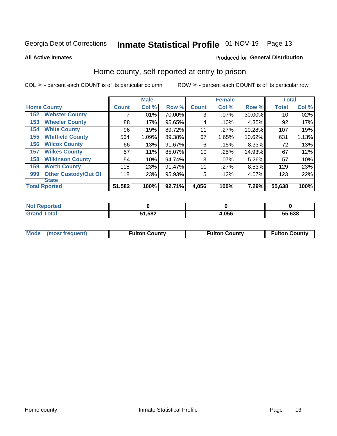# Inmate Statistical Profile 01-NOV-19 Page 13

**All Active Inmates** 

#### Produced for General Distribution

### Home county, self-reported at entry to prison

COL % - percent each COUNT is of its particular column

|     |                             |              | <b>Male</b> |        |              | <b>Female</b> |        | <b>Total</b> |       |
|-----|-----------------------------|--------------|-------------|--------|--------------|---------------|--------|--------------|-------|
|     | <b>Home County</b>          | <b>Count</b> | Col %       | Row %  | <b>Count</b> | Col %         | Row %  | <b>Total</b> | Col % |
| 152 | <b>Webster County</b>       | ⇁            | .01%        | 70.00% | 3            | .07%          | 30.00% | 10           | .02%  |
| 153 | <b>Wheeler County</b>       | 88           | $.17\%$     | 95.65% | 4            | .10%          | 4.35%  | 92           | .17%  |
| 154 | <b>White County</b>         | 96           | .19%        | 89.72% | 11           | .27%          | 10.28% | 107          | .19%  |
| 155 | <b>Whitfield County</b>     | 564          | 1.09%       | 89.38% | 67           | 1.65%         | 10.62% | 631          | 1.13% |
| 156 | <b>Wilcox County</b>        | 66           | .13%        | 91.67% | 6            | .15%          | 8.33%  | 72           | .13%  |
| 157 | <b>Wilkes County</b>        | 57           | .11%        | 85.07% | 10           | .25%          | 14.93% | 67           | .12%  |
| 158 | <b>Wilkinson County</b>     | 54           | .10%        | 94.74% | 3            | .07%          | 5.26%  | 57           | .10%  |
| 159 | <b>Worth County</b>         | 118          | .23%        | 91.47% | 11           | .27%          | 8.53%  | 129          | .23%  |
| 999 | <b>Other Custody/Out Of</b> | 118          | .23%        | 95.93% | 5            | .12%          | 4.07%  | 123          | .22%  |
|     | <b>State</b>                |              |             |        |              |               |        |              |       |
|     | <b>Total Rported</b>        | 51,582       | 100%        | 92.71% | 4,056        | 100%          | 7.29%  | 55,638       | 100%  |

| Reported<br>NO1 |              |      |        |
|-----------------|--------------|------|--------|
| <b>Fotal</b>    | 51,582<br>51 | ,056 | 55,638 |

|  | Mode (most frequent) | <b>Fulton County</b> | <b>Fulton County</b> | <b>Fulton County</b> |
|--|----------------------|----------------------|----------------------|----------------------|
|--|----------------------|----------------------|----------------------|----------------------|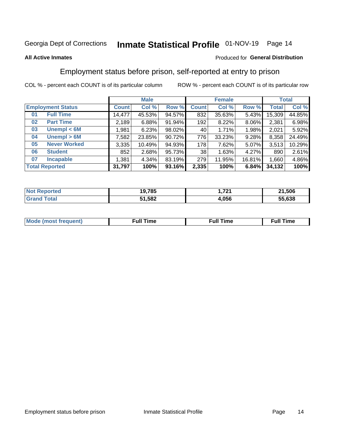# Inmate Statistical Profile 01-NOV-19 Page 14

### **All Active Inmates**

### Produced for General Distribution

# Employment status before prison, self-reported at entry to prison

COL % - percent each COUNT is of its particular column

|                           |         | <b>Male</b> |        |              | <b>Female</b> | <b>Total</b> |        |        |
|---------------------------|---------|-------------|--------|--------------|---------------|--------------|--------|--------|
| <b>Employment Status</b>  | Count l | Col %       | Row %  | <b>Count</b> | Col %         | Row %        | Total  | Col %  |
| <b>Full Time</b><br>01    | 14,477  | 45.53%      | 94.57% | 832          | 35.63%        | 5.43%        | 15,309 | 44.85% |
| <b>Part Time</b><br>02    | 2,189   | 6.88%       | 91.94% | 192          | 8.22%         | 8.06%        | 2,381  | 6.98%  |
| Unempl $<$ 6M<br>03       | 1,981   | 6.23%       | 98.02% | 40           | 1.71%         | 1.98%        | 2,021  | 5.92%  |
| Unempl > 6M<br>04         | 7,582   | 23.85%      | 90.72% | 776          | 33.23%        | 9.28%        | 8,358  | 24.49% |
| <b>Never Worked</b><br>05 | 3,335   | 10.49%      | 94.93% | 178          | 7.62%         | 5.07%        | 3,513  | 10.29% |
| <b>Student</b><br>06      | 852     | 2.68%       | 95.73% | 38           | 1.63%         | 4.27%        | 890    | 2.61%  |
| <b>Incapable</b><br>07    | 1,381   | 4.34%       | 83.19% | 279          | 11.95%        | 16.81%       | 1,660  | 4.86%  |
| <b>Total Reported</b>     | 31,797  | 100%        | 93.16% | 2,335        | 100%          | 6.84%        | 34,132 | 100%   |

| тес<br>Nt       | 19,785 | フウィ<br>. .         | ,506<br>- 24 |
|-----------------|--------|--------------------|--------------|
| $\sim$ 4 $\sim$ | 51,582 | <b>OEC</b><br>.uoo | .638<br>--   |

| Mc | ----<br>me<br>ш | nc<br>. |
|----|-----------------|---------|
|    |                 |         |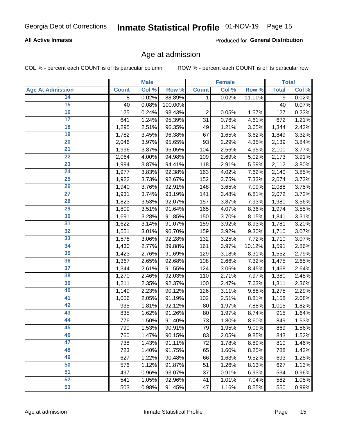### **All Active Inmates**

Produced for General Distribution

### Age at admission

COL % - percent each COUNT is of its particular column

|                         |              | <b>Male</b> |         |              | <b>Female</b> |        |              | <b>Total</b> |
|-------------------------|--------------|-------------|---------|--------------|---------------|--------|--------------|--------------|
| <b>Age At Admission</b> | <b>Count</b> | Col %       | Row %   | <b>Count</b> | Col %         | Row %  | <b>Total</b> | Col %        |
| 14                      | 8            | 0.02%       | 88.89%  | 1            | 0.02%         | 11.11% | 9            | 0.02%        |
| 15                      | 40           | 0.08%       | 100.00% |              |               |        | 40           | 0.07%        |
| 16                      | 125          | 0.24%       | 98.43%  | $\mathbf 2$  | 0.05%         | 1.57%  | 127          | 0.23%        |
| $\overline{17}$         | 641          | 1.24%       | 95.39%  | 31           | 0.76%         | 4.61%  | 672          | 1.21%        |
| $\overline{18}$         | 1,295        | 2.51%       | 96.35%  | 49           | 1.21%         | 3.65%  | 1,344        | 2.42%        |
| 19                      | 1,782        | 3.45%       | 96.38%  | 67           | 1.65%         | 3.62%  | 1,849        | 3.32%        |
| 20                      | 2,046        | 3.97%       | 95.65%  | 93           | 2.29%         | 4.35%  | 2,139        | 3.84%        |
| $\overline{21}$         | 1,996        | 3.87%       | 95.05%  | 104          | 2.56%         | 4.95%  | 2,100        | 3.77%        |
| $\overline{22}$         | 2,064        | 4.00%       | 94.98%  | 109          | 2.69%         | 5.02%  | 2,173        | 3.91%        |
| $\overline{23}$         | 1,994        | 3.87%       | 94.41%  | 118          | 2.91%         | 5.59%  | 2,112        | 3.80%        |
| 24                      | 1,977        | 3.83%       | 92.38%  | 163          | 4.02%         | 7.62%  | 2,140        | 3.85%        |
| $\overline{25}$         | 1,922        | 3.73%       | 92.67%  | 152          | 3.75%         | 7.33%  | 2,074        | 3.73%        |
| $\overline{26}$         | 1,940        | 3.76%       | 92.91%  | 148          | 3.65%         | 7.09%  | 2,088        | 3.75%        |
| $\overline{27}$         | 1,931        | 3.74%       | 93.19%  | 141          | 3.48%         | 6.81%  | 2,072        | 3.72%        |
| 28                      | 1,823        | 3.53%       | 92.07%  | 157          | 3.87%         | 7.93%  | 1,980        | 3.56%        |
| 29                      | 1,809        | 3.51%       | 91.64%  | 165          | 4.07%         | 8.36%  | 1,974        | 3.55%        |
| 30                      | 1,691        | 3.28%       | 91.85%  | 150          | 3.70%         | 8.15%  | 1,841        | 3.31%        |
| 31                      | 1,622        | 3.14%       | 91.07%  | 159          | 3.92%         | 8.93%  | 1,781        | 3.20%        |
| 32                      | 1,551        | 3.01%       | 90.70%  | 159          | 3.92%         | 9.30%  | 1,710        | 3.07%        |
| 33                      | 1,578        | 3.06%       | 92.28%  | 132          | 3.25%         | 7.72%  | 1,710        | 3.07%        |
| 34                      | 1,430        | 2.77%       | 89.88%  | 161          | 3.97%         | 10.12% | 1,591        | 2.86%        |
| 35                      | 1,423        | 2.76%       | 91.69%  | 129          | 3.18%         | 8.31%  | 1,552        | 2.79%        |
| 36                      | 1,367        | 2.65%       | 92.68%  | 108          | 2.66%         | 7.32%  | 1,475        | 2.65%        |
| $\overline{37}$         | 1,344        | 2.61%       | 91.55%  | 124          | 3.06%         | 8.45%  | 1,468        | 2.64%        |
| 38                      | 1,270        | 2.46%       | 92.03%  | 110          | 2.71%         | 7.97%  | 1,380        | 2.48%        |
| 39                      | 1,211        | 2.35%       | 92.37%  | 100          | 2.47%         | 7.63%  | 1,311        | 2.36%        |
| 40                      | 1,149        | 2.23%       | 90.12%  | 126          | 3.11%         | 9.88%  | 1,275        | 2.29%        |
| 41                      | 1,056        | 2.05%       | 91.19%  | 102          | 2.51%         | 8.81%  | 1,158        | 2.08%        |
| 42                      | 935          | 1.81%       | 92.12%  | 80           | 1.97%         | 7.88%  | 1,015        | 1.82%        |
| 43                      | 835          | 1.62%       | 91.26%  | 80           | 1.97%         | 8.74%  | 915          | 1.64%        |
| 44                      | 776          | 1.50%       | 91.40%  | 73           | 1.80%         | 8.60%  | 849          | 1.53%        |
| 45                      | 790          | 1.53%       | 90.91%  | 79           | 1.95%         | 9.09%  | 869          | 1.56%        |
| 46                      | 760          | 1.47%       | 90.15%  | 83           | 2.05%         | 9.85%  | 843          | 1.52%        |
| 47                      | 738          | 1.43%       | 91.11%  | 72           | 1.78%         | 8.89%  | 810          | 1.46%        |
| 48                      | 723          | 1.40%       | 91.75%  | 65           | 1.60%         | 8.25%  | 788          | 1.42%        |
| 49                      | 627          | 1.22%       | 90.48%  | 66           | 1.63%         | 9.52%  | 693          | 1.25%        |
| 50                      | 576          | 1.12%       | 91.87%  | 51           | 1.26%         | 8.13%  | 627          | 1.13%        |
| 51                      | 497          | 0.96%       | 93.07%  | 37           | 0.91%         | 6.93%  | 534          | 0.96%        |
| 52                      | 541          | 1.05%       | 92.96%  | 41           | 1.01%         | 7.04%  | 582          | 1.05%        |
| 53                      | 503          | 0.98%       | 91.45%  | 47           | 1.16%         | 8.55%  | 550          | 0.99%        |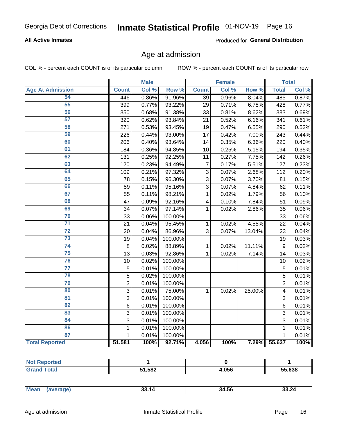### **All Active Inmates**

Produced for General Distribution

### Age at admission

COL % - percent each COUNT is of its particular column

|                         |                | <b>Male</b> |                  |                 | <b>Female</b> |                  |                | <b>Total</b> |
|-------------------------|----------------|-------------|------------------|-----------------|---------------|------------------|----------------|--------------|
| <b>Age At Admission</b> | <b>Count</b>   | Col %       | Row <sup>%</sup> | <b>Count</b>    | Col %         | Row <sup>%</sup> | <b>Total</b>   | Col %        |
| 54                      | 446            | 0.86%       | 91.96%           | $\overline{39}$ | 0.96%         | 8.04%            | 485            | 0.87%        |
| 55                      | 399            | 0.77%       | 93.22%           | 29              | 0.71%         | 6.78%            | 428            | 0.77%        |
| 56                      | 350            | 0.68%       | 91.38%           | 33              | 0.81%         | 8.62%            | 383            | 0.69%        |
| 57                      | 320            | 0.62%       | 93.84%           | 21              | 0.52%         | 6.16%            | 341            | 0.61%        |
| 58                      | 271            | 0.53%       | 93.45%           | 19              | 0.47%         | 6.55%            | 290            | 0.52%        |
| 59                      | 226            | 0.44%       | 93.00%           | 17              | 0.42%         | 7.00%            | 243            | 0.44%        |
| 60                      | 206            | 0.40%       | 93.64%           | 14              | 0.35%         | 6.36%            | 220            | 0.40%        |
| 61                      | 184            | 0.36%       | 94.85%           | 10              | 0.25%         | 5.15%            | 194            | 0.35%        |
| 62                      | 131            | 0.25%       | 92.25%           | 11              | 0.27%         | 7.75%            | 142            | 0.26%        |
| 63                      | 120            | 0.23%       | 94.49%           | $\overline{7}$  | 0.17%         | 5.51%            | 127            | 0.23%        |
| 64                      | 109            | 0.21%       | 97.32%           | 3               | 0.07%         | 2.68%            | 112            | 0.20%        |
| 65                      | 78             | 0.15%       | 96.30%           | $\overline{3}$  | 0.07%         | 3.70%            | 81             | 0.15%        |
| 66                      | 59             | 0.11%       | 95.16%           | $\overline{3}$  | 0.07%         | 4.84%            | 62             | 0.11%        |
| 67                      | 55             | 0.11%       | 98.21%           | $\mathbf 1$     | 0.02%         | 1.79%            | 56             | 0.10%        |
| 68                      | 47             | 0.09%       | 92.16%           | 4               | 0.10%         | 7.84%            | 51             | 0.09%        |
| 69                      | 34             | 0.07%       | 97.14%           | $\mathbf 1$     | 0.02%         | 2.86%            | 35             | 0.06%        |
| 70                      | 33             | 0.06%       | 100.00%          |                 |               |                  | 33             | 0.06%        |
| $\overline{71}$         | 21             | 0.04%       | 95.45%           | 1               | 0.02%         | 4.55%            | 22             | 0.04%        |
| $\overline{72}$         | 20             | 0.04%       | 86.96%           | 3               | 0.07%         | 13.04%           | 23             | 0.04%        |
| 73                      | 19             | 0.04%       | 100.00%          |                 |               |                  | 19             | 0.03%        |
| 74                      | $\overline{8}$ | 0.02%       | 88.89%           | $\mathbf{1}$    | 0.02%         | 11.11%           | $\overline{9}$ | 0.02%        |
| 75                      | 13             | 0.03%       | 92.86%           | $\mathbf{1}$    | 0.02%         | 7.14%            | 14             | 0.03%        |
| 76                      | 10             | 0.02%       | 100.00%          |                 |               |                  | 10             | 0.02%        |
| $\overline{77}$         | 5              | 0.01%       | 100.00%          |                 |               |                  | $\overline{5}$ | 0.01%        |
| 78                      | $\overline{8}$ | 0.02%       | 100.00%          |                 |               |                  | $\overline{8}$ | 0.01%        |
| 79                      | $\overline{3}$ | 0.01%       | 100.00%          |                 |               |                  | 3              | 0.01%        |
| 80                      | 3              | 0.01%       | 75.00%           | $\mathbf{1}$    | 0.02%         | 25.00%           | 4              | 0.01%        |
| $\overline{81}$         | $\overline{3}$ | 0.01%       | 100.00%          |                 |               |                  | 3              | 0.01%        |
| $\overline{82}$         | 6              | 0.01%       | 100.00%          |                 |               |                  | 6              | 0.01%        |
| 83                      | 3              | 0.01%       | 100.00%          |                 |               |                  | 3              | 0.01%        |
| 84                      | 3              | 0.01%       | 100.00%          |                 |               |                  | 3              | 0.01%        |
| 86                      | 1              | 0.01%       | 100.00%          |                 |               |                  | 1              | 0.01%        |
| 87                      | $\mathbf{1}$   | 0.01%       | 100.00%          |                 |               |                  | $\mathbf{1}$   | 0.01%        |
| <b>Total Reported</b>   | 51,581         | 100%        | 92.71%           | 4,056           | 100%          | 7.29%            | 55,637         | 100%         |

| rteu |        |       |        |
|------|--------|-------|--------|
|      | 51,582 | 4,056 | 55,638 |

|  | <b>Mear</b><br>чин. | -1 <i>0</i><br>. | 34.56 | .15/1<br>____ |
|--|---------------------|------------------|-------|---------------|
|--|---------------------|------------------|-------|---------------|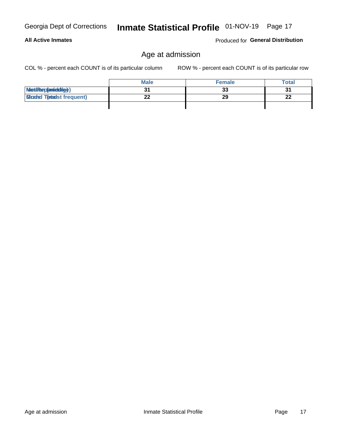**All Active Inmates** 

# Age at admission

COL % - percent each COUNT is of its particular column

ROW % - percent each COUNT is of its particular row

|                                  | <b>Male</b> | <b>Female</b> | Total     |
|----------------------------------|-------------|---------------|-----------|
| MetiRep(aniektig)                |             | 33            | ູ         |
| <b>Micaded Tomadst frequent)</b> | ົ           | 29            | ne.<br>44 |
|                                  |             |               |           |

Inmate Statistical Profile 01-NOV-19 Page 17

Produced for General Distribution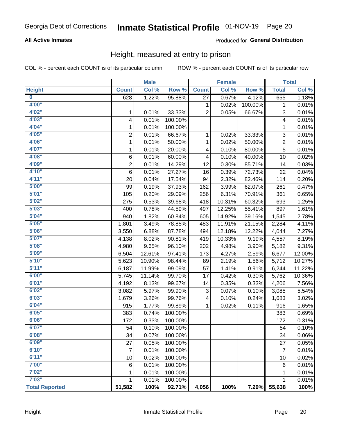### **All Active Inmates**

### Produced for General Distribution

### Height, measured at entry to prison

COL % - percent each COUNT is of its particular column

|                         |                | <b>Male</b> |         |              | <b>Female</b> |         |                | <b>Total</b> |
|-------------------------|----------------|-------------|---------|--------------|---------------|---------|----------------|--------------|
| <b>Height</b>           | <b>Count</b>   | Col %       | Row %   | <b>Count</b> | Col %         | Row %   | <b>Total</b>   | Col %        |
| $\overline{\mathbf{0}}$ | 628            | 1.22%       | 95.88%  | 27           | 0.67%         | 4.12%   | 655            | 1.18%        |
| 4'00"                   |                |             |         | 1            | 0.02%         | 100.00% | 1              | 0.01%        |
| 4'02''                  | 1              | 0.01%       | 33.33%  | 2            | 0.05%         | 66.67%  | 3              | 0.01%        |
| 4'03''                  | 4              | 0.01%       | 100.00% |              |               |         | 4              | 0.01%        |
| 4'04"                   | 1              | 0.01%       | 100.00% |              |               |         | 1              | 0.01%        |
| 4'05"                   | $\overline{2}$ | 0.01%       | 66.67%  | 1            | 0.02%         | 33.33%  | 3              | 0.01%        |
| 4'06"                   | $\mathbf 1$    | 0.01%       | 50.00%  | 1            | 0.02%         | 50.00%  | $\overline{2}$ | 0.01%        |
| 4'07"                   | 1              | 0.01%       | 20.00%  | 4            | 0.10%         | 80.00%  | 5              | 0.01%        |
| 4'08"                   | 6              | 0.01%       | 60.00%  | 4            | 0.10%         | 40.00%  | 10             | 0.02%        |
| 4'09"                   | $\overline{2}$ | 0.01%       | 14.29%  | 12           | 0.30%         | 85.71%  | 14             | 0.03%        |
| 4'10"                   | 6              | 0.01%       | 27.27%  | 16           | 0.39%         | 72.73%  | 22             | 0.04%        |
| 4'11''                  | 20             | 0.04%       | 17.54%  | 94           | 2.32%         | 82.46%  | 114            | 0.20%        |
| 5'00''                  | 99             | 0.19%       | 37.93%  | 162          | 3.99%         | 62.07%  | 261            | 0.47%        |
| 5'01"                   | 105            | 0.20%       | 29.09%  | 256          | 6.31%         | 70.91%  | 361            | 0.65%        |
| 5'02"                   | 275            | 0.53%       | 39.68%  | 418          | 10.31%        | 60.32%  | 693            | 1.25%        |
| 5'03''                  | 400            | 0.78%       | 44.59%  | 497          | 12.25%        | 55.41%  | 897            | 1.61%        |
| 5'04"                   | 940            | 1.82%       | 60.84%  | 605          | 14.92%        | 39.16%  | 1,545          | 2.78%        |
| 5'05"                   | 1,801          | 3.49%       | 78.85%  | 483          | 11.91%        | 21.15%  | 2,284          | 4.11%        |
| 5'06''                  | 3,550          | 6.88%       | 87.78%  | 494          | 12.18%        | 12.22%  | 4,044          | 7.27%        |
| 5'07"                   | 4,138          | 8.02%       | 90.81%  | 419          | 10.33%        | 9.19%   | 4,557          | 8.19%        |
| 5'08''                  | 4,980          | 9.65%       | 96.10%  | 202          | 4.98%         | 3.90%   | 5,182          | 9.31%        |
| 5'09''                  | 6,504          | 12.61%      | 97.41%  | 173          | 4.27%         | 2.59%   | 6,677          | 12.00%       |
| 5'10''                  | 5,623          | 10.90%      | 98.44%  | 89           | 2.19%         | 1.56%   | 5,712          | 10.27%       |
| 5'11"                   | 6,187          | 11.99%      | 99.09%  | 57           | 1.41%         | 0.91%   | 6,244          | 11.22%       |
| 6'00''                  | 5,745          | 11.14%      | 99.70%  | 17           | 0.42%         | 0.30%   | 5,762          | 10.36%       |
| 6'01''                  | 4,192          | 8.13%       | 99.67%  | 14           | 0.35%         | 0.33%   | 4,206          | 7.56%        |
| 6'02"                   | 3,082          | 5.97%       | 99.90%  | 3            | 0.07%         | 0.10%   | 3,085          | 5.54%        |
| 6'03''                  | 1,679          | 3.26%       | 99.76%  | 4            | 0.10%         | 0.24%   | 1,683          | 3.02%        |
| 6'04"                   | 915            | 1.77%       | 99.89%  | $\mathbf{1}$ | 0.02%         | 0.11%   | 916            | 1.65%        |
| 6'05"                   | 383            | 0.74%       | 100.00% |              |               |         | 383            | 0.69%        |
| 6'06''                  | 172            | 0.33%       | 100.00% |              |               |         | 172            | 0.31%        |
| 6'07"                   | 54             | 0.10%       | 100.00% |              |               |         | 54             | 0.10%        |
| 6'08"                   | 34             | 0.07%       | 100.00% |              |               |         | 34             | 0.06%        |
| 6'09''                  | 27             | 0.05%       | 100.00% |              |               |         | 27             | 0.05%        |
| 6'10''                  | $\overline{7}$ | 0.01%       | 100.00% |              |               |         | $\overline{7}$ | 0.01%        |
| 6'11''                  | 10             | 0.02%       | 100.00% |              |               |         | 10             | 0.02%        |
| 7'00"                   | 6              | 0.01%       | 100.00% |              |               |         | $\,6$          | 0.01%        |
| 7'02"                   |                |             |         |              |               |         |                |              |
| 7'03''                  | 1              | 0.01%       | 100.00% |              |               |         | 1              | 0.01%        |
|                         | 1              | 0.01%       | 100.00% |              |               |         | 1              | 0.01%        |
| <b>Total Reported</b>   | 51,582         | 100%        | 92.71%  | 4,056        | 100%          | 7.29%   | 55,638         | 100%         |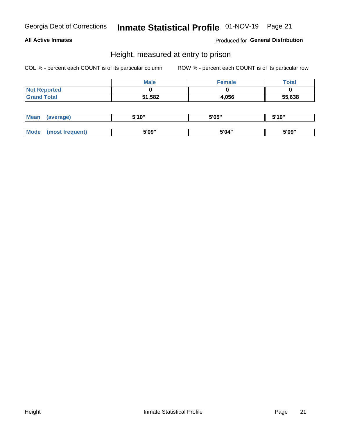### **All Active Inmates**

Produced for General Distribution

### Height, measured at entry to prison

COL % - percent each COUNT is of its particular column

|                     | <b>Male</b> | <b>Female</b> | Total  |
|---------------------|-------------|---------------|--------|
| <b>Not Reported</b> |             |               |        |
| <b>Grand Total</b>  | 51,582      | 4,056         | 55,638 |

| <b>Mean</b> | 'average) | EI4 OIL | 5'05" | 5'10" |
|-------------|-----------|---------|-------|-------|
|             |           |         |       |       |
| $M_{\odot}$ | frequent) | 5'09"   | 5'04" | 5'09" |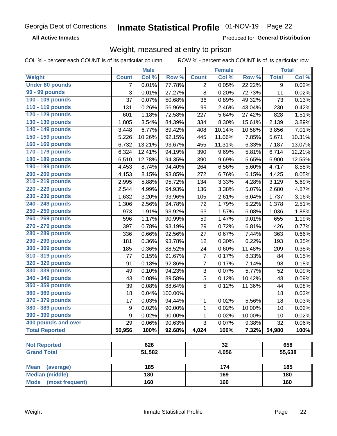**All Active Inmates** 

Produced for General Distribution

# Weight, measured at entry to prison

COL % - percent each COUNT is of its particular column ROW % - percent each COUNT is of its particular row

|                                     |                  | <b>Male</b> |         |                | <b>Female</b> |                  |              | <b>Total</b> |
|-------------------------------------|------------------|-------------|---------|----------------|---------------|------------------|--------------|--------------|
| Weight                              | <b>Count</b>     | Col %       | Row %   | <b>Count</b>   | Col %         | Row <sup>%</sup> | <b>Total</b> | Col %        |
| <b>Under 80 pounds</b>              | $\overline{7}$   | 0.01%       | 77.78%  | $\overline{2}$ | 0.05%         | 22.22%           | 9            | 0.02%        |
| 90 - 99 pounds                      | 3                | 0.01%       | 27.27%  | 8              | 0.20%         | 72.73%           | 11           | 0.02%        |
| 100 - 109 pounds                    | 37               | 0.07%       | 50.68%  | 36             | 0.89%         | 49.32%           | 73           | 0.13%        |
| 110 - 119 pounds                    | 131              | 0.26%       | 56.96%  | 99             | 2.46%         | 43.04%           | 230          | 0.42%        |
| 120 - 129 pounds                    | 601              | 1.18%       | 72.58%  | 227            | 5.64%         | 27.42%           | 828          | 1.51%        |
| 130 - 139 pounds                    | 1,805            | 3.54%       | 84.39%  | 334            | 8.30%         | 15.61%           | 2,139        | 3.89%        |
| 140 - 149 pounds                    | 3,448            | 6.77%       | 89.42%  | 408            | 10.14%        | 10.58%           | 3,856        | 7.01%        |
| 150 - 159 pounds                    | 5,226            | 10.26%      | 92.15%  | 445            | 11.06%        | 7.85%            | 5,671        | 10.31%       |
| 160 - 169 pounds                    | 6,732            | 13.21%      | 93.67%  | 455            | 11.31%        | 6.33%            | 7,187        | 13.07%       |
| 170 - 179 pounds                    | 6,324            | 12.41%      | 94.19%  | 390            | 9.69%         | 5.81%            | 6,714        | 12.21%       |
| 180 - 189 pounds                    | 6,510            | 12.78%      | 94.35%  | 390            | 9.69%         | 5.65%            | 6,900        | 12.55%       |
| 190 - 199 pounds                    | 4,453            | 8.74%       | 94.40%  | 264            | 6.56%         | 5.60%            | 4,717        | 8.58%        |
| 200 - 209 pounds                    | 4,153            | 8.15%       | 93.85%  | 272            | 6.76%         | 6.15%            | 4,425        | 8.05%        |
| 210 - 219 pounds                    | 2,995            | 5.88%       | 95.72%  | 134            | 3.33%         | 4.28%            | 3,129        | 5.69%        |
| 220 - 229 pounds                    | 2,544            | 4.99%       | 94.93%  | 136            | 3.38%         | 5.07%            | 2,680        | 4.87%        |
| 230 - 239 pounds                    | 1,632            | 3.20%       | 93.96%  | 105            | 2.61%         | 6.04%            | 1,737        | 3.16%        |
| 240 - 249 pounds                    | 1,306            | 2.56%       | 94.78%  | 72             | 1.79%         | 5.22%            | 1,378        | 2.51%        |
| 250 - 259 pounds                    | 973              | 1.91%       | 93.92%  | 63             | 1.57%         | 6.08%            | 1,036        | 1.88%        |
| 260 - 269 pounds                    | 596              | 1.17%       | 90.99%  | 59             | 1.47%         | 9.01%            | 655          | 1.19%        |
| 270 - 279 pounds                    | 397              | 0.78%       | 93.19%  | 29             | 0.72%         | 6.81%            | 426          | 0.77%        |
| 280 - 289 pounds                    | 336              | 0.66%       | 92.56%  | 27             | 0.67%         | 7.44%            | 363          | 0.66%        |
| 290 - 299 pounds                    | 181              | 0.36%       | 93.78%  | 12             | 0.30%         | 6.22%            | 193          | 0.35%        |
| 300 - 309 pounds                    | 185              | 0.36%       | 88.52%  | 24             | 0.60%         | 11.48%           | 209          | 0.38%        |
| 310 - 319 pounds                    | 77               | 0.15%       | 91.67%  | $\overline{7}$ | 0.17%         | 8.33%            | 84           | 0.15%        |
| 320 - 329 pounds                    | 91               | 0.18%       | 92.86%  | $\overline{7}$ | 0.17%         | 7.14%            | 98           | 0.18%        |
| 330 - 339 pounds                    | 49               | 0.10%       | 94.23%  | 3              | 0.07%         | 5.77%            | 52           | 0.09%        |
| 340 - 349 pounds                    | 43               | 0.08%       | 89.58%  | $\sqrt{5}$     | 0.12%         | 10.42%           | 48           | 0.09%        |
| 350 - 359 pounds                    | 39               | 0.08%       | 88.64%  | 5              | 0.12%         | 11.36%           | 44           | 0.08%        |
| 360 - 369 pounds                    | 18               | 0.04%       | 100.00% |                |               |                  | 18           | 0.03%        |
| 370 - 379 pounds                    | 17               | 0.03%       | 94.44%  | 1              | 0.02%         | 5.56%            | 18           | 0.03%        |
| 380 - 389 pounds                    | $\boldsymbol{9}$ | 0.02%       | 90.00%  | 1              | 0.02%         | 10.00%           | 10           | 0.02%        |
| 390 - 399 pounds                    | 9                | 0.02%       | 90.00%  | 1              | 0.02%         | 10.00%           | 10           | 0.02%        |
| 400 pounds and over                 | 29               | 0.06%       | 90.63%  | 3              | 0.07%         | 9.38%            | 32           | 0.06%        |
| <b>Total Reported</b>               | 50,956           | 100%        | 92.68%  | 4,024          | 100%          | 7.32%            | 54,980       | 100%         |
|                                     |                  |             |         |                |               |                  |              |              |
| <b>Not Reported</b>                 | 626              |             | 32      |                |               | 658              |              |              |
| <b>Grand Total</b>                  |                  | 51,582      |         |                | 4,056         |                  | 55,638       |              |
| <b>Mean</b>                         |                  | 185         |         |                | 174           |                  |              | 185          |
| (average)<br><b>Median (middle)</b> |                  | 180         |         |                | 169           |                  |              | 180          |
|                                     |                  |             |         |                |               |                  |              |              |
| <b>Mode</b><br>(most frequent)      |                  | 160         |         |                | 160           |                  |              | 160          |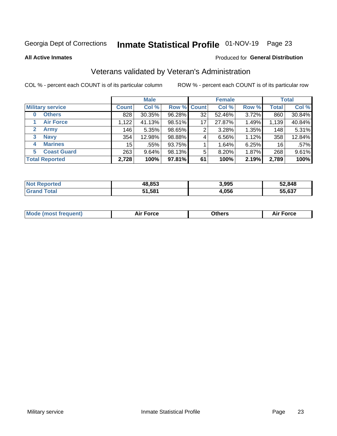# Inmate Statistical Profile 01-NOV-19 Page 23

**All Active Inmates** 

### Produced for General Distribution

# Veterans validated by Veteran's Administration

COL % - percent each COUNT is of its particular column

|                          |              | <b>Male</b> |        |             | <b>Female</b> |       |              | <b>Total</b> |
|--------------------------|--------------|-------------|--------|-------------|---------------|-------|--------------|--------------|
| <b>Military service</b>  | <b>Count</b> | Col %       |        | Row % Count | Col %         | Row % | <b>Total</b> | Col %        |
| <b>Others</b><br>0       | 828          | 30.35%      | 96.28% | 32          | 52.46%        | 3.72% | 860          | 30.84%       |
| <b>Air Force</b>         | 1.122        | 41.13%      | 98.51% | 17          | 27.87%        | 1.49% | 1,139        | 40.84%       |
| 2<br><b>Army</b>         | 146          | 5.35%       | 98.65% | 2           | 3.28%         | 1.35% | 148          | 5.31%        |
| <b>Navy</b><br>3         | 354          | 12.98%      | 98.88% | 4           | 6.56%         | 1.12% | 358          | 12.84%       |
| <b>Marines</b><br>4      | 15           | .55%        | 93.75% |             | 1.64%         | 6.25% | 16           | $.57\%$      |
| <b>Coast Guard</b><br>5. | 263          | 9.64%       | 98.13% | 5           | 8.20%         | 1.87% | 268          | 9.61%        |
| <b>Total Reported</b>    | 2,728        | 100%        | 97.81% | 61          | 100%          | 2.19% | 2,789        | 100%         |

| orted           | 48,853       | 3,995 | 52,848 |
|-----------------|--------------|-------|--------|
| $\sim$ 4 $\sim$ | 51.581<br>E4 | 4,056 | 55.637 |

|  |  | <b>Mode (most frequent)</b> | <b>Force</b><br>Aır | วthers | orce |
|--|--|-----------------------------|---------------------|--------|------|
|--|--|-----------------------------|---------------------|--------|------|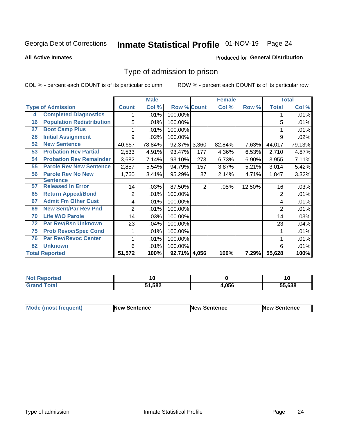# Inmate Statistical Profile 01-NOV-19 Page 24

#### **All Active Inmates**

#### Produced for General Distribution

### Type of admission to prison

COL % - percent each COUNT is of its particular column

|    |                                  |              | <b>Male</b> |                    |                | <b>Female</b> |        |                | <b>Total</b> |
|----|----------------------------------|--------------|-------------|--------------------|----------------|---------------|--------|----------------|--------------|
|    | <b>Type of Admission</b>         | <b>Count</b> | Col %       | <b>Row % Count</b> |                | Col %         | Row %  | <b>Total</b>   | Col %        |
| 4  | <b>Completed Diagnostics</b>     |              | .01%        | 100.00%            |                |               |        |                | .01%         |
| 16 | <b>Population Redistribution</b> | 5            | .01%        | 100.00%            |                |               |        | 5              | .01%         |
| 27 | <b>Boot Camp Plus</b>            |              | .01%        | 100.00%            |                |               |        |                | .01%         |
| 28 | <b>Initial Assignment</b>        | 9            | .02%        | 100.00%            |                |               |        | 9              | .02%         |
| 52 | <b>New Sentence</b>              | 40,657       | 78.84%      | 92.37% 3,360       |                | 82.84%        | 7.63%  | 44,017         | 79.13%       |
| 53 | <b>Probation Rev Partial</b>     | 2,533        | 4.91%       | 93.47%             | 177            | 4.36%         | 6.53%  | 2,710          | 4.87%        |
| 54 | <b>Probation Rev Remainder</b>   | 3,682        | 7.14%       | 93.10%             | 273            | 6.73%         | 6.90%  | 3,955          | 7.11%        |
| 55 | <b>Parole Rev New Sentence</b>   | 2,857        | 5.54%       | 94.79%             | 157            | 3.87%         | 5.21%  | 3,014          | 5.42%        |
| 56 | <b>Parole Rev No New</b>         | 1,760        | 3.41%       | 95.29%             | 87             | 2.14%         | 4.71%  | 1,847          | 3.32%        |
|    | <b>Sentence</b>                  |              |             |                    |                |               |        |                |              |
| 57 | <b>Released In Error</b>         | 14           | .03%        | 87.50%             | $\overline{2}$ | .05%          | 12.50% | 16             | .03%         |
| 65 | <b>Return Appeal/Bond</b>        | 2            | .01%        | 100.00%            |                |               |        | 2              | .01%         |
| 67 | <b>Admit Fm Other Cust</b>       | 4            | .01%        | 100.00%            |                |               |        | 4              | .01%         |
| 69 | <b>New Sent/Par Rev Pnd</b>      | 2            | .01%        | 100.00%            |                |               |        | $\overline{2}$ | .01%         |
| 70 | <b>Life W/O Parole</b>           | 14           | .03%        | 100.00%            |                |               |        | 14             | .03%         |
| 72 | <b>Par Rev/Rsn Unknown</b>       | 23           | .04%        | 100.00%            |                |               |        | 23             | .04%         |
| 75 | <b>Prob Revoc/Spec Cond</b>      |              | .01%        | 100.00%            |                |               |        |                | .01%         |
| 76 | <b>Par Rev/Revoc Center</b>      |              | .01%        | 100.00%            |                |               |        |                | .01%         |
| 82 | <b>Unknown</b>                   | 6            | .01%        | 100.00%            |                |               |        | 6              | .01%         |
|    | <b>Total Reported</b>            | 51,572       | 100%        | 92.71% 4,056       |                | 100%          | 7.29%  | 55,628         | 100%         |

| N<br>тес |                     |      | טו     |
|----------|---------------------|------|--------|
|          | 1,582<br>- -<br>. . | .056 | 55,638 |

| Mode (most frequent) | <b>New Sentence</b> | <b>New Sentence</b> | <b>New Sentence</b> |
|----------------------|---------------------|---------------------|---------------------|
|                      |                     |                     |                     |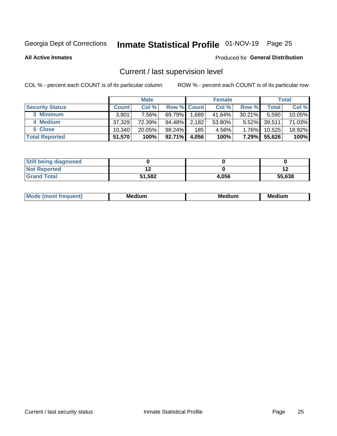# Inmate Statistical Profile 01-NOV-19 Page 25

**All Active Inmates** 

#### Produced for General Distribution

# Current / last supervision level

COL % - percent each COUNT is of its particular column

|                        |              | <b>Male</b> |                    |       | <b>Female</b> |           |        | <b>Total</b> |
|------------------------|--------------|-------------|--------------------|-------|---------------|-----------|--------|--------------|
| <b>Security Status</b> | <b>Count</b> | Col %       | <b>Row % Count</b> |       | Col %         | Row %     | Total  | Col %        |
| 3 Minimum              | 3,901        | 7.56%       | 69.79%             | 1,689 | 41.64%        | $30.21\%$ | 5,590  | $10.05\%$    |
| 4 Medium               | 37,329       | 72.39%      | 94.48%             | 2,182 | 53.80%        | $5.52\%$  | 39,511 | 71.03%       |
| 5 Close                | 10.340       | $20.05\%$   | 98.24%             | 185   | 4.56%         | $1.76\%$  | 10,525 | 18.92%       |
| <b>Total Reported</b>  | 51,570       | 100%        | 92.71%             | 4,056 | 100%          | $7.29\%$  | 55,626 | 100%         |

| <b>Still being diagnosed</b> |        |       |        |
|------------------------------|--------|-------|--------|
| <b>Not Reported</b>          |        |       |        |
| <b>Grand Total</b>           | 51,582 | 4,056 | 55,638 |

| М | Мє<br>dium<br>_____ | Me<br>dium<br>_____ | Med<br>dıum<br>$  -$ |
|---|---------------------|---------------------|----------------------|
|   |                     |                     |                      |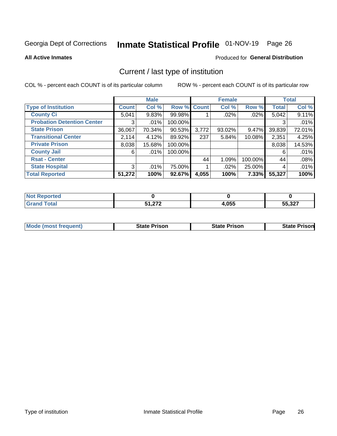# Inmate Statistical Profile 01-NOV-19 Page 26

**All Active Inmates** 

### **Produced for General Distribution**

# Current / last type of institution

COL % - percent each COUNT is of its particular column

|                                   |              | <b>Male</b> |             |       | <b>Female</b> |         |              | <b>Total</b> |
|-----------------------------------|--------------|-------------|-------------|-------|---------------|---------|--------------|--------------|
| <b>Type of Institution</b>        | <b>Count</b> | Col %       | Row % Count |       | Col %         | Row %   | <b>Total</b> | Col %        |
| <b>County Ci</b>                  | 5,041        | 9.83%       | 99.98%      |       | $.02\%$       | .02%    | 5,042        | 9.11%        |
| <b>Probation Detention Center</b> | 3            | .01%        | 100.00%     |       |               |         |              | .01%         |
| <b>State Prison</b>               | 36,067       | 70.34%      | $90.53\%$   | 3,772 | 93.02%        | 9.47%   | 39,839       | 72.01%       |
| <b>Transitional Center</b>        | 2,114        | 4.12%       | 89.92%      | 237   | 5.84%         | 10.08%  | 2,351        | 4.25%        |
| <b>Private Prison</b>             | 8,038        | 15.68%      | 100.00%     |       |               |         | 8,038        | 14.53%       |
| <b>County Jail</b>                | 6            | $.01\%$     | 100.00%     |       |               |         | 6            | .01%         |
| <b>Rsat - Center</b>              |              |             |             | 44    | 1.09%         | 100.00% | 44           | .08%         |
| <b>State Hospital</b>             | 3            | .01%        | 75.00%      |       | .02%          | 25.00%  | 4            | .01%         |
| <b>Total Reported</b>             | 51,272       | 100%        | 92.67%      | 4,055 | 100%          | 7.33%   | 55,327       | 100%         |

| Reported |                  |       |                  |
|----------|------------------|-------|------------------|
| Total    | E4 979<br>1.ZI 4 | 4,055 | EE 997<br>55,327 |

| Mode (most frequent) | <b>State Prison</b> | <b>State Prison</b> | <b>State Prisonl</b> |
|----------------------|---------------------|---------------------|----------------------|
|                      |                     |                     |                      |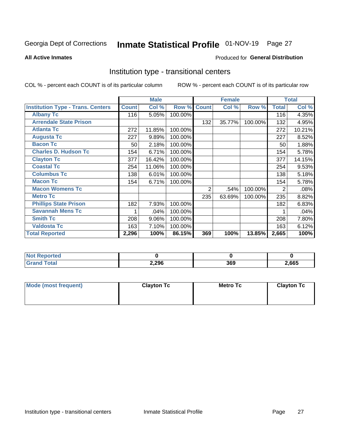# Inmate Statistical Profile 01-NOV-19 Page 27

#### **All Active Inmates**

### Produced for General Distribution

### Institution type - transitional centers

COL % - percent each COUNT is of its particular column

|                                          |              | <b>Male</b> |         |                | <b>Female</b> |         |              | <b>Total</b> |
|------------------------------------------|--------------|-------------|---------|----------------|---------------|---------|--------------|--------------|
| <b>Institution Type - Trans. Centers</b> | <b>Count</b> | Col %       | Row %   | <b>Count</b>   | Col %         | Row %   | <b>Total</b> | Col %        |
| <b>Albany Tc</b>                         | 116          | 5.05%       | 100.00% |                |               |         | 116          | 4.35%        |
| <b>Arrendale State Prison</b>            |              |             |         | 132            | 35.77%        | 100.00% | 132          | 4.95%        |
| <b>Atlanta Tc</b>                        | 272          | 11.85%      | 100.00% |                |               |         | 272          | 10.21%       |
| <b>Augusta Tc</b>                        | 227          | 9.89%       | 100.00% |                |               |         | 227          | 8.52%        |
| <b>Bacon Tc</b>                          | 50           | 2.18%       | 100.00% |                |               |         | 50           | 1.88%        |
| <b>Charles D. Hudson Tc</b>              | 154          | 6.71%       | 100.00% |                |               |         | 154          | 5.78%        |
| <b>Clayton Tc</b>                        | 377          | 16.42%      | 100.00% |                |               |         | 377          | 14.15%       |
| <b>Coastal Tc</b>                        | 254          | 11.06%      | 100.00% |                |               |         | 254          | 9.53%        |
| <b>Columbus Tc</b>                       | 138          | 6.01%       | 100.00% |                |               |         | 138          | 5.18%        |
| <b>Macon Tc</b>                          | 154          | 6.71%       | 100.00% |                |               |         | 154          | 5.78%        |
| <b>Macon Womens Tc</b>                   |              |             |         | $\overline{2}$ | .54%          | 100.00% | 2            | .08%         |
| <b>Metro Tc</b>                          |              |             |         | 235            | 63.69%        | 100.00% | 235          | 8.82%        |
| <b>Phillips State Prison</b>             | 182          | 7.93%       | 100.00% |                |               |         | 182          | 6.83%        |
| <b>Savannah Mens Tc</b>                  |              | .04%        | 100.00% |                |               |         |              | .04%         |
| <b>Smith Tc</b>                          | 208          | 9.06%       | 100.00% |                |               |         | 208          | 7.80%        |
| <b>Valdosta Tc</b>                       | 163          | 7.10%       | 100.00% |                |               |         | 163          | 6.12%        |
| <b>Total Reported</b>                    | 2,296        | 100%        | 86.15%  | 369            | 100%          | 13.85%  | 2,665        | 100%         |

| <b>Not Reported</b> |       |            |       |
|---------------------|-------|------------|-------|
| Total               | 2,296 | sen<br>วงว | 2,665 |

| Mode (most frequent) | <b>Clayton Tc</b> | Metro Tc | <b>Clayton Tc</b> |
|----------------------|-------------------|----------|-------------------|
|                      |                   |          |                   |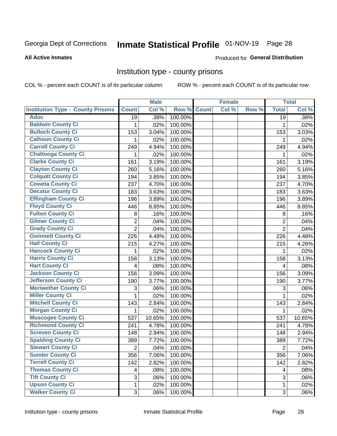# Inmate Statistical Profile 01-NOV-19 Page 28

#### **All Active Inmates**

#### Produced for General Distribution

### Institution type - county prisons

COL % - percent each COUNT is of its particular column

|                                          |                | <b>Male</b> |         |              | <b>Female</b> |       |                | <b>Total</b> |
|------------------------------------------|----------------|-------------|---------|--------------|---------------|-------|----------------|--------------|
| <b>Institution Type - County Prisons</b> | <b>Count</b>   | Col %       | Row %   | <b>Count</b> | Col %         | Row % | <b>Total</b>   | Col %        |
| <b>Adoc</b>                              | 19             | .38%        | 100.00% |              |               |       | 19             | .38%         |
| <b>Baldwin County Ci</b>                 | 1              | .02%        | 100.00% |              |               |       | 1              | .02%         |
| <b>Bulloch County Ci</b>                 | 153            | 3.04%       | 100.00% |              |               |       | 153            | 3.03%        |
| <b>Calhoun County Ci</b>                 | 1              | .02%        | 100.00% |              |               |       | 1              | .02%         |
| <b>Carroll County Ci</b>                 | 249            | 4.94%       | 100.00% |              |               |       | 249            | 4.94%        |
| <b>Chattooga County Ci</b>               | 1              | .02%        | 100.00% |              |               |       | 1              | .02%         |
| <b>Clarke County Ci</b>                  | 161            | 3.19%       | 100.00% |              |               |       | 161            | 3.19%        |
| <b>Clayton County Ci</b>                 | 260            | 5.16%       | 100.00% |              |               |       | 260            | 5.16%        |
| <b>Colquitt County Ci</b>                | 194            | 3.85%       | 100.00% |              |               |       | 194            | 3.85%        |
| <b>Coweta County Ci</b>                  | 237            | 4.70%       | 100.00% |              |               |       | 237            | 4.70%        |
| <b>Decatur County Ci</b>                 | 183            | 3.63%       | 100.00% |              |               |       | 183            | 3.63%        |
| <b>Effingham County Ci</b>               | 196            | 3.89%       | 100.00% |              |               |       | 196            | 3.89%        |
| <b>Floyd County Ci</b>                   | 446            | 8.85%       | 100.00% |              |               |       | 446            | 8.85%        |
| <b>Fulton County Ci</b>                  | 8              | .16%        | 100.00% |              |               |       | 8              | .16%         |
| <b>Gilmer County Ci</b>                  | $\overline{2}$ | .04%        | 100.00% |              |               |       | $\overline{2}$ | .04%         |
| <b>Grady County Ci</b>                   | $\overline{2}$ | .04%        | 100.00% |              |               |       | $\overline{2}$ | .04%         |
| <b>Gwinnett County Ci</b>                | 226            | 4.48%       | 100.00% |              |               |       | 226            | 4.48%        |
| <b>Hall County Ci</b>                    | 215            | 4.27%       | 100.00% |              |               |       | 215            | 4.26%        |
| <b>Hancock County Ci</b>                 | 1              | .02%        | 100.00% |              |               |       | 1              | .02%         |
| <b>Harris County Ci</b>                  | 158            | 3.13%       | 100.00% |              |               |       | 158            | 3.13%        |
| <b>Hart County Ci</b>                    | 4              | .08%        | 100.00% |              |               |       | 4              | .08%         |
| <b>Jackson County Ci</b>                 | 156            | 3.09%       | 100.00% |              |               |       | 156            | 3.09%        |
| Jefferson County Ci                      | 190            | 3.77%       | 100.00% |              |               |       | 190            | 3.77%        |
| <b>Meriwether County Ci</b>              | 3              | .06%        | 100.00% |              |               |       | 3              | .06%         |
| <b>Miller County Ci</b>                  | 1              | .02%        | 100.00% |              |               |       | $\mathbf{1}$   | .02%         |
| <b>Mitchell County Ci</b>                | 143            | 2.84%       | 100.00% |              |               |       | 143            | 2.84%        |
| <b>Morgan County Ci</b>                  | 1              | .02%        | 100.00% |              |               |       | 1              | .02%         |
| <b>Muscogee County Ci</b>                | 537            | 10.65%      | 100.00% |              |               |       | 537            | 10.65%       |
| <b>Richmond County Ci</b>                | 241            | 4.78%       | 100.00% |              |               |       | 241            | 4.78%        |
| <b>Screven County Ci</b>                 | 148            | 2.94%       | 100.00% |              |               |       | 148            | 2.94%        |
| <b>Spalding County Ci</b>                | 389            | 7.72%       | 100.00% |              |               |       | 389            | 7.72%        |
| <b>Stewart County Ci</b>                 | $\overline{c}$ | .04%        | 100.00% |              |               |       | $\overline{2}$ | .04%         |
| <b>Sumter County Ci</b>                  | 356            | 7.06%       | 100.00% |              |               |       | 356            | 7.06%        |
| <b>Terrell County Ci</b>                 | 142            | 2.82%       | 100.00% |              |               |       | 142            | 2.82%        |
| <b>Thomas County Ci</b>                  | 4              | .08%        | 100.00% |              |               |       | 4              | .08%         |
| <b>Tift County Ci</b>                    | 3              | .06%        | 100.00% |              |               |       | 3              | .06%         |
| <b>Upson County Ci</b>                   | 1              | .02%        | 100.00% |              |               |       | $\mathbf 1$    | .02%         |
| <b>Walker County Ci</b>                  | 3              | .06%        | 100.00% |              |               |       | $\mathfrak{S}$ | .06%         |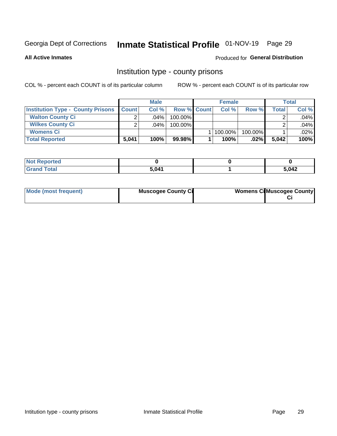# Inmate Statistical Profile 01-NOV-19 Page 29

**All Active Inmates** 

### Produced for General Distribution

### Institution type - county prisons

COL % - percent each COUNT is of its particular column

|                                          |              | <b>Male</b> |                    | <b>Female</b> |         |       | <b>Total</b> |
|------------------------------------------|--------------|-------------|--------------------|---------------|---------|-------|--------------|
| <b>Institution Type - County Prisons</b> | <b>Count</b> | Col%        | <b>Row % Count</b> | Col%          | Row %   | Total | Col %        |
| <b>Walton County Ci</b>                  | ⌒            | $.04\%$     | 100.00%            |               |         |       | .04%         |
| <b>Wilkes County Ci</b>                  |              | $.04\%$     | 100.00%            |               |         |       | .04%         |
| <b>Womens Ci</b>                         |              |             |                    | 100.00%       | 100.00% |       | $.02\%$      |
| <b>Total Reported</b>                    | 5,041        | 100%        | 99.98%             | 100%          | $.02\%$ | 5,042 | 100%         |

| rtea<br>$\sim$<br>$\sim$ |       |       |
|--------------------------|-------|-------|
|                          | 5.041 | 5,042 |

| Mode (most frequent) | <b>Muscogee County Ci</b> | <b>Womens CilMuscogee County</b> |
|----------------------|---------------------------|----------------------------------|
|----------------------|---------------------------|----------------------------------|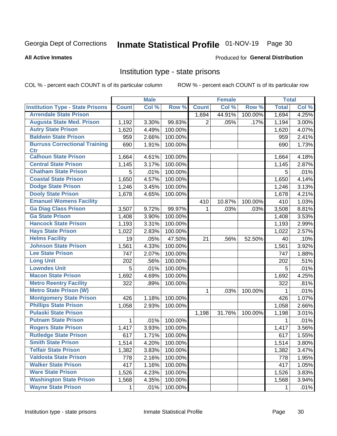# Inmate Statistical Profile 01-NOV-19 Page 30

#### **All Active Inmates**

#### **Produced for General Distribution**

### Institution type - state prisons

COL % - percent each COUNT is of its particular column

|                                         |              | <b>Male</b> |         |              | <b>Female</b> |         | <b>Total</b> |       |
|-----------------------------------------|--------------|-------------|---------|--------------|---------------|---------|--------------|-------|
| <b>Institution Type - State Prisons</b> | <b>Count</b> | Col %       | Row %   | <b>Count</b> | Col %         | Row %   | <b>Total</b> | Col % |
| <b>Arrendale State Prison</b>           |              |             |         | 1,694        | 44.91%        | 100.00% | 1,694        | 4.25% |
| <b>Augusta State Med. Prison</b>        | 1,192        | 3.30%       | 99.83%  | 2            | .05%          | .17%    | 1,194        | 3.00% |
| <b>Autry State Prison</b>               | 1,620        | 4.49%       | 100.00% |              |               |         | 1,620        | 4.07% |
| <b>Baldwin State Prison</b>             | 959          | 2.66%       | 100.00% |              |               |         | 959          | 2.41% |
| <b>Burruss Correctional Training</b>    | 690          | 1.91%       | 100.00% |              |               |         | 690          | 1.73% |
| <b>Ctr</b>                              |              |             |         |              |               |         |              |       |
| <b>Calhoun State Prison</b>             | 1,664        | 4.61%       | 100.00% |              |               |         | 1,664        | 4.18% |
| <b>Central State Prison</b>             | 1,145        | 3.17%       | 100.00% |              |               |         | 1,145        | 2.87% |
| <b>Chatham State Prison</b>             | 5            | .01%        | 100.00% |              |               |         | 5            | .01%  |
| <b>Coastal State Prison</b>             | 1,650        | 4.57%       | 100.00% |              |               |         | 1,650        | 4.14% |
| <b>Dodge State Prison</b>               | 1,246        | 3.45%       | 100.00% |              |               |         | 1,246        | 3.13% |
| <b>Dooly State Prison</b>               | 1,678        | 4.65%       | 100.00% |              |               |         | 1,678        | 4.21% |
| <b>Emanuel Womens Facility</b>          |              |             |         | 410          | 10.87%        | 100.00% | 410          | 1.03% |
| <b>Ga Diag Class Prison</b>             | 3,507        | 9.72%       | 99.97%  | $\mathbf 1$  | .03%          | .03%    | 3,508        | 8.81% |
| <b>Ga State Prison</b>                  | 1,408        | 3.90%       | 100.00% |              |               |         | 1,408        | 3.53% |
| <b>Hancock State Prison</b>             | 1,193        | 3.31%       | 100.00% |              |               |         | 1,193        | 2.99% |
| <b>Hays State Prison</b>                | 1,022        | 2.83%       | 100.00% |              |               |         | 1,022        | 2.57% |
| <b>Helms Facility</b>                   | 19           | .05%        | 47.50%  | 21           | .56%          | 52.50%  | 40           | .10%  |
| <b>Johnson State Prison</b>             | 1,561        | 4.33%       | 100.00% |              |               |         | 1,561        | 3.92% |
| <b>Lee State Prison</b>                 | 747          | 2.07%       | 100.00% |              |               |         | 747          | 1.88% |
| <b>Long Unit</b>                        | 202          | .56%        | 100.00% |              |               |         | 202          | .51%  |
| <b>Lowndes Unit</b>                     | 5            | .01%        | 100.00% |              |               |         | 5            | .01%  |
| <b>Macon State Prison</b>               | 1,692        | 4.69%       | 100.00% |              |               |         | 1,692        | 4.25% |
| <b>Metro Reentry Facility</b>           | 322          | .89%        | 100.00% |              |               |         | 322          | .81%  |
| <b>Metro State Prison (W)</b>           |              |             |         | 1            | .03%          | 100.00% | 1            | .01%  |
| <b>Montgomery State Prison</b>          | 426          | 1.18%       | 100.00% |              |               |         | 426          | 1.07% |
| <b>Phillips State Prison</b>            | 1,058        | 2.93%       | 100.00% |              |               |         | 1,058        | 2.66% |
| <b>Pulaski State Prison</b>             |              |             |         | 1,198        | 31.76%        | 100.00% | 1,198        | 3.01% |
| <b>Putnam State Prison</b>              | 1            | .01%        | 100.00% |              |               |         | 1            | .01%  |
| <b>Rogers State Prison</b>              | 1,417        | 3.93%       | 100.00% |              |               |         | 1,417        | 3.56% |
| <b>Rutledge State Prison</b>            | 617          | 1.71%       | 100.00% |              |               |         | 617          | 1.55% |
| <b>Smith State Prison</b>               | 1,514        | 4.20%       | 100.00% |              |               |         | 1,514        | 3.80% |
| <b>Telfair State Prison</b>             | 1,382        | 3.83%       | 100.00% |              |               |         | 1,382        | 3.47% |
| <b>Valdosta State Prison</b>            | 778          | 2.16%       | 100.00% |              |               |         | 778          | 1.95% |
| <b>Walker State Prison</b>              | 417          | 1.16%       | 100.00% |              |               |         | 417          | 1.05% |
| <b>Ware State Prison</b>                | 1,526        | 4.23%       | 100.00% |              |               |         | 1,526        | 3.83% |
| <b>Washington State Prison</b>          | 1,568        | 4.35%       | 100.00% |              |               |         | 1,568        | 3.94% |
| <b>Wayne State Prison</b>               | 1            | .01%        | 100.00% |              |               |         | 1            | .01%  |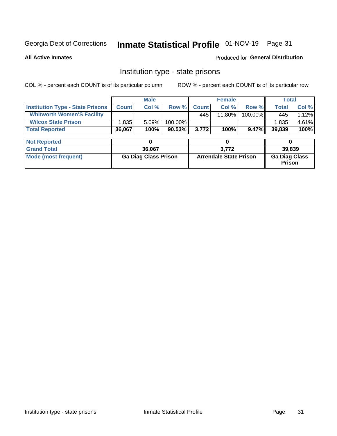# Inmate Statistical Profile 01-NOV-19 Page 31

**All Active Inmates** 

#### Produced for General Distribution

# Institution type - state prisons

COL % - percent each COUNT is of its particular column

|                                         |                             | <b>Male</b> |                               |       | <b>Female</b> | <b>Total</b>                   |              |        |  |
|-----------------------------------------|-----------------------------|-------------|-------------------------------|-------|---------------|--------------------------------|--------------|--------|--|
| <b>Institution Type - State Prisons</b> | <b>Count</b>                | Col %       | Row %                         | Count | Col %         | Row %                          | <b>Total</b> | Col %  |  |
| <b>Whitworth Women'S Facility</b>       |                             |             |                               | 445   | 11.80%        | 100.00%                        | 445          | 1.12%  |  |
| <b>Wilcox State Prison</b>              | 1,835                       | 5.09%       | 100.00%                       |       |               |                                | 1,835        | 4.61%  |  |
| <b>Total Reported</b>                   | 36,067                      | 100%        | $90.53\%$                     | 3,772 | 100%          | 9.47%                          | 39,839       | 100%   |  |
|                                         |                             |             |                               |       |               |                                |              |        |  |
| <b>Not Reported</b>                     |                             | 0           |                               |       | 0             |                                | 0            |        |  |
| <b>Grand Total</b>                      |                             | 36,067      |                               |       | 3,772         |                                |              | 39,839 |  |
| <b>Mode (most frequent)</b>             | <b>Ga Diag Class Prison</b> |             | <b>Arrendale State Prison</b> |       |               | <b>Ga Diag Class</b><br>Prison |              |        |  |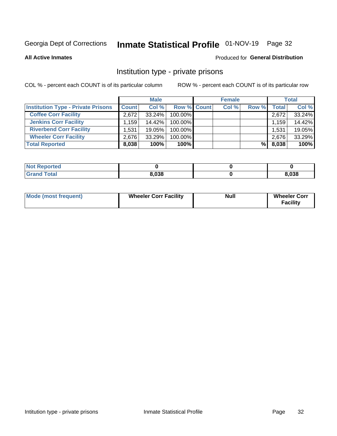# Inmate Statistical Profile 01-NOV-19 Page 32

**All Active Inmates** 

### Produced for General Distribution

### Institution type - private prisons

COL % - percent each COUNT is of its particular column

|                                           |                   | <b>Male</b> |                    | <b>Female</b> |       |       | <b>Total</b> |
|-------------------------------------------|-------------------|-------------|--------------------|---------------|-------|-------|--------------|
| <b>Institution Type - Private Prisons</b> | <b>Count</b>      | Col %       | <b>Row % Count</b> | Col %         | Row % | Total | Col %        |
| <b>Coffee Corr Facility</b>               | 2.672             | $33.24\%$   | 100.00%            |               |       | 2,672 | 33.24%       |
| <b>Jenkins Corr Facility</b>              | $.159$ $^{\circ}$ | 14.42%      | 100.00%            |               |       | 1,159 | 14.42%       |
| <b>Riverbend Corr Facility</b>            | 1,531             | 19.05%      | 100.00%            |               |       | 1,531 | 19.05%       |
| <b>Wheeler Corr Facility</b>              | 2.676             | 33.29%      | 100.00%            |               |       | 2,676 | 33.29%       |
| <b>Total Reported</b>                     | 8,038             | 100%        | $100\%$            |               | %Ⅰ    | 8,038 | 100%         |

| <b>Not Reported</b> |       |       |
|---------------------|-------|-------|
| <b>Total</b>        | 8,038 | 8,038 |

| <b>Mode (most frequent)</b> | <b>Wheeler Corr Facility</b> | <b>Null</b> | <b>Wheeler Corr</b><br><b>Facility</b> |
|-----------------------------|------------------------------|-------------|----------------------------------------|
|-----------------------------|------------------------------|-------------|----------------------------------------|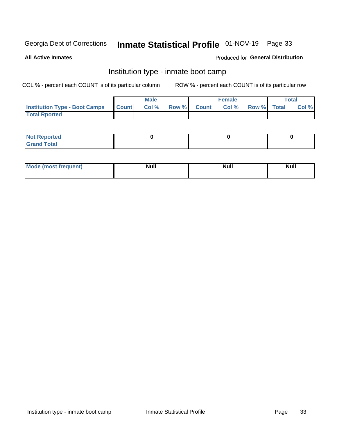# Inmate Statistical Profile 01-NOV-19 Page 33

**All Active Inmates** 

### Produced for General Distribution

# Institution type - inmate boot camp

COL % - percent each COUNT is of its particular column

|                                      |              | <b>Male</b> |             | <b>Female</b> |             | Total |
|--------------------------------------|--------------|-------------|-------------|---------------|-------------|-------|
| <b>Institution Type - Boot Camps</b> | <b>Count</b> | Col %       | Row % Count | Col%          | Row % Total | Col % |
| <b>Total Rported</b>                 |              |             |             |               |             |       |

| <b>Not Reported</b> |  |  |
|---------------------|--|--|
| <b>Total</b><br>Cro |  |  |

| Mod<br>uamo | Nul.<br>$- - - - - -$ | <b>Null</b> | . .<br>uu.<br>------ |
|-------------|-----------------------|-------------|----------------------|
|             |                       |             |                      |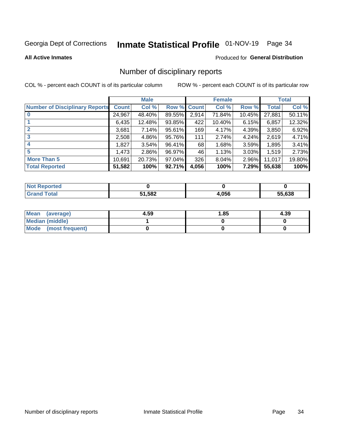# Inmate Statistical Profile 01-NOV-19 Page 34

#### **All Active Inmates**

#### Produced for General Distribution

# Number of disciplinary reports

COL % - percent each COUNT is of its particular column

|                                       |              | <b>Male</b> |        |              | <b>Female</b> |          |              | <b>Total</b> |
|---------------------------------------|--------------|-------------|--------|--------------|---------------|----------|--------------|--------------|
| <b>Number of Disciplinary Reports</b> | <b>Count</b> | Col %       | Row %  | <b>Count</b> | Col %         | Row %    | <b>Total</b> | Col %        |
|                                       | 24,967       | 48.40%      | 89.55% | 2,914        | 71.84%        | 10.45%   | 27,881       | 50.11%       |
|                                       | 6,435        | 12.48%      | 93.85% | 422          | 10.40%        | 6.15%    | 6,857        | 12.32%       |
|                                       | 3,681        | 7.14%       | 95.61% | 169          | 4.17%         | $4.39\%$ | 3,850        | 6.92%        |
| 3                                     | 2,508        | 4.86%       | 95.76% | 111          | 2.74%         | 4.24%    | 2,619        | 4.71%        |
| 4                                     | 1,827        | 3.54%       | 96.41% | 68           | 1.68%         | 3.59%    | 1,895        | 3.41%        |
| 5                                     | 1,473        | $2.86\%$    | 96.97% | 46           | 1.13%         | $3.03\%$ | 1,519        | 2.73%        |
| <b>More Than 5</b>                    | 10,691       | 20.73%      | 97.04% | 326          | $8.04\%$      | $2.96\%$ | 11,017       | 19.80%       |
| <b>Total Reported</b>                 | 51,582       | 100%        | 92.71% | 4,056        | 100%          | 7.29%    | 55,638       | 100%         |

| orted<br>NO. |       |       |        |
|--------------|-------|-------|--------|
| <b>Total</b> | 1,582 | 4,056 | 55.638 |

| Mean (average)         | 4.59 | 1.85 | 4.39 |
|------------------------|------|------|------|
| <b>Median (middle)</b> |      |      |      |
| Mode (most frequent)   |      |      |      |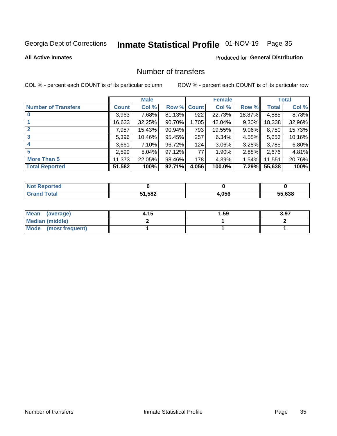# Inmate Statistical Profile 01-NOV-19 Page 35

#### **All Active Inmates**

#### **Produced for General Distribution**

# Number of transfers

COL % - percent each COUNT is of its particular column

|                            |         | <b>Male</b> |        |              | <b>Female</b> |          |              | <b>Total</b> |
|----------------------------|---------|-------------|--------|--------------|---------------|----------|--------------|--------------|
| <b>Number of Transfers</b> | Count l | Col %       | Row %  | <b>Count</b> | Col %         | Row %    | <b>Total</b> | Col %        |
|                            | 3,963   | 7.68%       | 81.13% | 922          | 22.73%        | 18.87%   | 4,885        | 8.78%        |
|                            | 16,633  | 32.25%      | 90.70% | 1,705        | 42.04%        | $9.30\%$ | 18,338       | 32.96%       |
| $\mathbf{2}$               | 7,957   | 15.43%      | 90.94% | 793          | 19.55%        | $9.06\%$ | 8,750        | 15.73%       |
| 3                          | 5,396   | 10.46%      | 95.45% | 257          | 6.34%         | 4.55%    | 5,653        | 10.16%       |
| 4                          | 3.661   | 7.10%       | 96.72% | 124          | 3.06%         | 3.28%    | 3,785        | 6.80%        |
| 5                          | 2,599   | 5.04%       | 97.12% | 77           | 1.90%         | 2.88%    | 2,676        | 4.81%        |
| <b>More Than 5</b>         | 11,373  | 22.05%      | 98.46% | 178          | 4.39%         | $1.54\%$ | 11,551       | 20.76%       |
| <b>Total Reported</b>      | 51,582  | 100%        | 92.71% | 4,056        | 100.0%        | 7.29%    | 55,638       | 100%         |

| <b>rted</b><br>NO |             |       |        |
|-------------------|-------------|-------|--------|
| <b>Total</b>      | 1,582<br>51 | 4,056 | 55.638 |

| Mean (average)       | 4.15 | 1.59 | 3.97 |
|----------------------|------|------|------|
| Median (middle)      |      |      |      |
| Mode (most frequent) |      |      |      |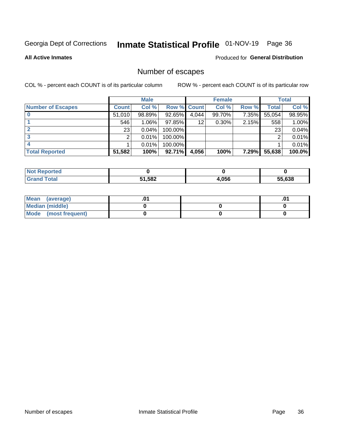# Inmate Statistical Profile 01-NOV-19 Page 36

**All Active Inmates** 

### **Produced for General Distribution**

# Number of escapes

COL % - percent each COUNT is of its particular column

|                          |              | <b>Male</b> |             |       | <b>Female</b> |       |        | <b>Total</b> |
|--------------------------|--------------|-------------|-------------|-------|---------------|-------|--------|--------------|
| <b>Number of Escapes</b> | <b>Count</b> | Col %       | Row % Count |       | Col %         | Row % | Total  | Col %        |
|                          | 51,010       | 98.89%      | 92.65%      | 4,044 | 99.70%        | 7.35% | 55,054 | 98.95%       |
|                          | 546          | 1.06%       | $97.85\%$   | 12    | $0.30\%$      | 2.15% | 558    | 1.00%        |
| 2                        | 23           | 0.04%       | 100.00%     |       |               |       | 23     | 0.04%        |
| 3                        | ⌒            | 0.01%       | 100.00%     |       |               |       | ⌒      | 0.01%        |
|                          |              | 0.01%       | 100.00%     |       |               |       |        | 0.01%        |
| <b>Total Reported</b>    | 51,582       | 100%        | $92.71\%$   | 4,056 | 100%          | 7.29% | 55,638 | 100.0%       |

| orten |        |       |        |
|-------|--------|-------|--------|
| Total | 51,582 | 056.ا | 55.638 |

| Mean (average)       |  | .0 <sup>1</sup> |
|----------------------|--|-----------------|
| Median (middle)      |  |                 |
| Mode (most frequent) |  |                 |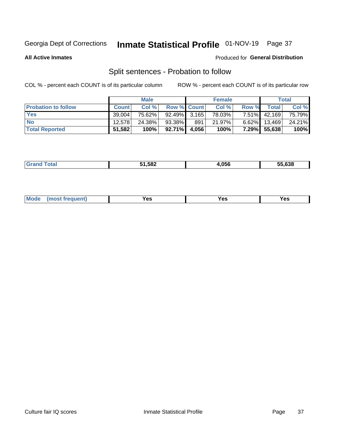# Inmate Statistical Profile 01-NOV-19 Page 37

**All Active Inmates** 

#### Produced for General Distribution

# Split sentences - Probation to follow

COL % - percent each COUNT is of its particular column

|                            |              | <b>Male</b> |                    |     | <b>Female</b> |          |        | <b>Total</b> |
|----------------------------|--------------|-------------|--------------------|-----|---------------|----------|--------|--------------|
| <b>Probation to follow</b> | <b>Count</b> | Col%        | <b>Row % Count</b> |     | Col %         | Row %    | Total  | Col %        |
| <b>Yes</b>                 | 39.004       | 75.62%      | $92.49\%$ 3.165    |     | 78.03%        | $7.51\%$ | 42,169 | 75.79%       |
| <b>No</b>                  | 12.578       | 24.38%      | 93.38%             | 891 | 21.97%        | $6.62\%$ | 13,469 | 24.21%       |
| <b>Total Reported</b>      | 51,582       | 100%        | $92.71\%$ 4,056    |     | 100%          | $7.29\%$ | 55,638 | 100%         |

|  |  | 51,582 | 4.056 | 55.638 |
|--|--|--------|-------|--------|
|--|--|--------|-------|--------|

| <b>Mode</b><br>reauent)<br>Yes<br>v.c<br>0٥<br>.<br>. .<br>$\sim$ |
|-------------------------------------------------------------------|
|-------------------------------------------------------------------|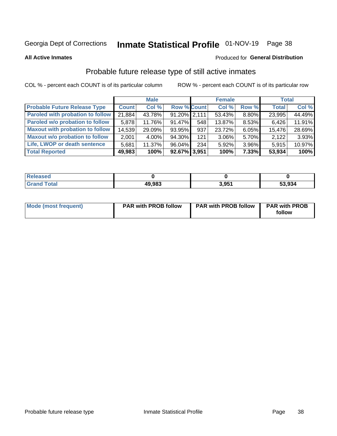# Inmate Statistical Profile 01-NOV-19 Page 38

**All Active Inmates** 

### Produced for General Distribution

# Probable future release type of still active inmates

COL % - percent each COUNT is of its particular column

|                                         |              | <b>Male</b> |                    |     | <b>Female</b> |          | <b>Total</b> |        |
|-----------------------------------------|--------------|-------------|--------------------|-----|---------------|----------|--------------|--------|
| <b>Probable Future Release Type</b>     | <b>Count</b> | Col %       | <b>Row % Count</b> |     | Col %         | Row %    | <b>Total</b> | Col %  |
| <b>Paroled with probation to follow</b> | 21,884       | 43.78%      | $91.20\%$ 2,111    |     | 53.43%        | 8.80%    | 23,995       | 44.49% |
| Paroled w/o probation to follow         | 5,878        | 11.76%      | 91.47%             | 548 | 13.87%        | 8.53%    | 6,426        | 11.91% |
| <b>Maxout with probation to follow</b>  | 14,539       | 29.09%      | 93.95%             | 937 | 23.72%        | 6.05%    | 15,476       | 28.69% |
| <b>Maxout w/o probation to follow</b>   | 2,001        | 4.00%       | 94.30%             | 121 | 3.06%         | 5.70%    | 2,122        | 3.93%  |
| Life, LWOP or death sentence            | 5,681        | 11.37%      | 96.04%             | 234 | 5.92%         | 3.96%    | 5,915        | 10.97% |
| <b>Total Reported</b>                   | 49,983       | 100%        | 92.67% 3,951       |     | 100%          | $7.33\%$ | 53,934       | 100%   |

| ased                  |        |       |        |
|-----------------------|--------|-------|--------|
| $f \wedge f \wedge f$ | 49,983 | 3.951 | 53,934 |

| <b>Mode (most frequent)</b> | <b>PAR with PROB follow</b> | <b>PAR with PROB follow</b> | <b>PAR with PROB</b> |
|-----------------------------|-----------------------------|-----------------------------|----------------------|
|                             |                             |                             | follow               |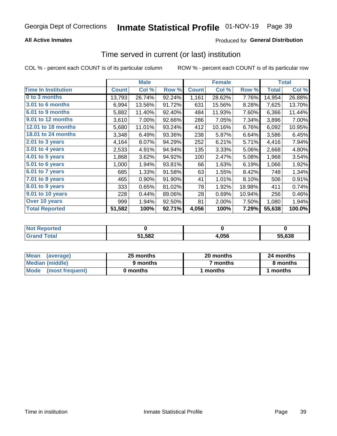## **All Active Inmates**

# **Produced for General Distribution**

# Time served in current (or last) institution

COL % - percent each COUNT is of its particular column

|                            |              | <b>Male</b> |        |              | <b>Female</b> |        |              | <b>Total</b> |
|----------------------------|--------------|-------------|--------|--------------|---------------|--------|--------------|--------------|
| <b>Time In Institution</b> | <b>Count</b> | Col %       | Row %  | <b>Count</b> | Col %         | Row %  | <b>Total</b> | Col %        |
| 0 to 3 months              | 13,793       | 26.74%      | 92.24% | 1,161        | 28.62%        | 7.76%  | 14,954       | 26.88%       |
| 3.01 to 6 months           | 6,994        | 13.56%      | 91.72% | 631          | 15.56%        | 8.28%  | 7,625        | 13.70%       |
| 6.01 to 9 months           | 5,882        | 11.40%      | 92.40% | 484          | 11.93%        | 7.60%  | 6,366        | 11.44%       |
| 9.01 to 12 months          | 3,610        | 7.00%       | 92.66% | 286          | 7.05%         | 7.34%  | 3,896        | 7.00%        |
| 12.01 to 18 months         | 5,680        | 11.01%      | 93.24% | 412          | 10.16%        | 6.76%  | 6,092        | 10.95%       |
| <b>18.01 to 24 months</b>  | 3,348        | 6.49%       | 93.36% | 238          | 5.87%         | 6.64%  | 3,586        | 6.45%        |
| $2.01$ to 3 years          | 4,164        | 8.07%       | 94.29% | 252          | 6.21%         | 5.71%  | 4,416        | 7.94%        |
| $3.01$ to 4 years          | 2,533        | 4.91%       | 94.94% | 135          | 3.33%         | 5.06%  | 2,668        | 4.80%        |
| 4.01 to 5 years            | 1,868        | 3.62%       | 94.92% | 100          | 2.47%         | 5.08%  | 1,968        | 3.54%        |
| 5.01 to 6 years            | 1,000        | 1.94%       | 93.81% | 66           | 1.63%         | 6.19%  | 1,066        | 1.92%        |
| 6.01 to 7 years            | 685          | 1.33%       | 91.58% | 63           | 1.55%         | 8.42%  | 748          | 1.34%        |
| 7.01 to 8 years            | 465          | 0.90%       | 91.90% | 41           | 1.01%         | 8.10%  | 506          | 0.91%        |
| 8.01 to 9 years            | 333          | 0.65%       | 81.02% | 78           | 1.92%         | 18.98% | 411          | 0.74%        |
| 9.01 to 10 years           | 228          | 0.44%       | 89.06% | 28           | 0.69%         | 10.94% | 256          | 0.46%        |
| Over 10 years              | 999          | 1.94%       | 92.50% | 81           | 2.00%         | 7.50%  | 1,080        | 1.94%        |
| <b>Total Reported</b>      | 51,582       | 100%        | 92.71% | 4,056        | 100%          | 7.29%  | 55,638       | 100.0%       |

| I NOT<br>meo |        |       |        |
|--------------|--------|-------|--------|
|              | 51,582 | 1,056 | 55.638 |

| <b>Mean</b><br>(average) | 25 months | 20 months | 24 months |  |
|--------------------------|-----------|-----------|-----------|--|
| Median (middle)          | 9 months  | 7 months  | 8 months  |  |
| Mode (most frequent)     | 0 months  | months    | l months  |  |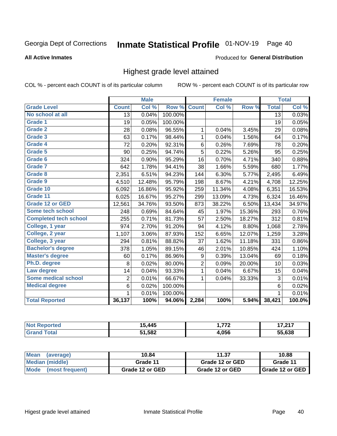#### Inmate Statistical Profile 01-NOV-19 Page 40

#### **All Active Inmates**

### Produced for General Distribution

# Highest grade level attained

COL % - percent each COUNT is of its particular column

|                              |                 | <b>Male</b> |         |                | <b>Female</b> |        |                 | <b>Total</b> |
|------------------------------|-----------------|-------------|---------|----------------|---------------|--------|-----------------|--------------|
| <b>Grade Level</b>           | <b>Count</b>    | Col %       | Row %   | <b>Count</b>   | Col%          | Row %  | <b>Total</b>    | Col %        |
| No school at all             | $\overline{13}$ | 0.04%       | 100.00% |                |               |        | $\overline{13}$ | 0.03%        |
| <b>Grade 1</b>               | 19              | 0.05%       | 100.00% |                |               |        | 19              | 0.05%        |
| <b>Grade 2</b>               | 28              | 0.08%       | 96.55%  | 1              | 0.04%         | 3.45%  | 29              | 0.08%        |
| Grade 3                      | 63              | 0.17%       | 98.44%  | $\mathbf{1}$   | 0.04%         | 1.56%  | 64              | 0.17%        |
| Grade 4                      | 72              | 0.20%       | 92.31%  | 6              | 0.26%         | 7.69%  | 78              | 0.20%        |
| Grade 5                      | 90              | 0.25%       | 94.74%  | $\overline{5}$ | 0.22%         | 5.26%  | 95              | 0.25%        |
| Grade 6                      | 324             | 0.90%       | 95.29%  | 16             | 0.70%         | 4.71%  | 340             | 0.88%        |
| <b>Grade 7</b>               | 642             | 1.78%       | 94.41%  | 38             | 1.66%         | 5.59%  | 680             | 1.77%        |
| Grade 8                      | 2,351           | 6.51%       | 94.23%  | 144            | 6.30%         | 5.77%  | 2,495           | 6.49%        |
| Grade 9                      | 4,510           | 12.48%      | 95.79%  | 198            | 8.67%         | 4.21%  | 4,708           | 12.25%       |
| Grade 10                     | 6,092           | 16.86%      | 95.92%  | 259            | 11.34%        | 4.08%  | 6,351           | 16.53%       |
| Grade 11                     | 6,025           | 16.67%      | 95.27%  | 299            | 13.09%        | 4.73%  | 6,324           | 16.46%       |
| <b>Grade 12 or GED</b>       | 12,561          | 34.76%      | 93.50%  | 873            | 38.22%        | 6.50%  | 13,434          | 34.97%       |
| <b>Some tech school</b>      | 248             | 0.69%       | 84.64%  | 45             | 1.97%         | 15.36% | 293             | 0.76%        |
| <b>Completed tech school</b> | 255             | 0.71%       | 81.73%  | 57             | 2.50%         | 18.27% | 312             | 0.81%        |
| College, 1 year              | 974             | 2.70%       | 91.20%  | 94             | 4.12%         | 8.80%  | 1,068           | 2.78%        |
| College, 2 year              | 1,107           | 3.06%       | 87.93%  | 152            | 6.65%         | 12.07% | 1,259           | 3.28%        |
| College, 3 year              | 294             | 0.81%       | 88.82%  | 37             | 1.62%         | 11.18% | 331             | 0.86%        |
| <b>Bachelor's degree</b>     | 378             | 1.05%       | 89.15%  | 46             | 2.01%         | 10.85% | 424             | 1.10%        |
| <b>Master's degree</b>       | 60              | 0.17%       | 86.96%  | 9              | 0.39%         | 13.04% | 69              | 0.18%        |
| Ph.D. degree                 | 8               | 0.02%       | 80.00%  | $\overline{c}$ | 0.09%         | 20.00% | 10              | 0.03%        |
| Law degree                   | 14              | 0.04%       | 93.33%  | $\mathbf{1}$   | 0.04%         | 6.67%  | 15              | 0.04%        |
| <b>Some medical school</b>   | $\overline{2}$  | 0.01%       | 66.67%  | $\mathbf 1$    | 0.04%         | 33.33% | 3               | 0.01%        |
| <b>Medical degree</b>        | 6               | 0.02%       | 100.00% |                |               |        | 6               | 0.02%        |
|                              | 1               | 0.01%       | 100.00% |                |               |        | $\mathbf{1}$    | 0.01%        |
| <b>Total Reported</b>        | 36,137          | 100%        | 94.06%  | 2,284          | 100%          | 5.94%  | 38,421          | 100.0%       |

| .445   | フフウ   | 7.247<br>.<br>--- |
|--------|-------|-------------------|
| 51,582 | 4.056 | EF COO            |

| Mean<br>(average)    | 10.84           | 11.37           | 10.88           |  |
|----------------------|-----------------|-----------------|-----------------|--|
| Median (middle)      | Grade 11        | Grade 12 or GED | Grade 11        |  |
| Mode (most frequent) | Grade 12 or GED | Grade 12 or GED | Grade 12 or GED |  |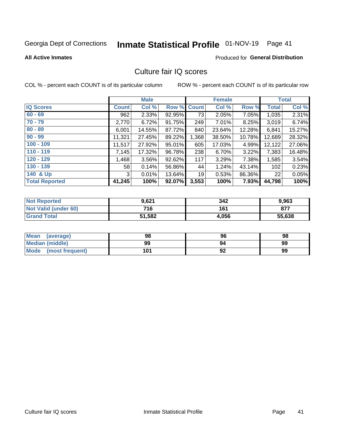# Inmate Statistical Profile 01-NOV-19 Page 41

#### **All Active Inmates**

## **Produced for General Distribution**

# Culture fair IQ scores

COL % - percent each COUNT is of its particular column

|                       |              | <b>Male</b> |             |       | <b>Female</b> |        |              | <b>Total</b> |
|-----------------------|--------------|-------------|-------------|-------|---------------|--------|--------------|--------------|
| <b>IQ Scores</b>      | <b>Count</b> | Col %       | Row % Count |       | Col %         | Row %  | <b>Total</b> | Col %        |
| $60 - 69$             | 962          | 2.33%       | 92.95%      | 73    | 2.05%         | 7.05%  | 1,035        | 2.31%        |
| $70 - 79$             | 2,770        | 6.72%       | 91.75%      | 249   | 7.01%         | 8.25%  | 3,019        | 6.74%        |
| $80 - 89$             | 6,001        | 14.55%      | 87.72%      | 840   | 23.64%        | 12.28% | 6,841        | 15.27%       |
| $90 - 99$             | 11,321       | 27.45%      | 89.22%      | 1,368 | 38.50%        | 10.78% | 12,689       | 28.32%       |
| $100 - 109$           | 11,517       | 27.92%      | 95.01%      | 605   | 17.03%        | 4.99%  | 12,122       | 27.06%       |
| $110 - 119$           | 7,145        | 17.32%      | 96.78%      | 238   | 6.70%         | 3.22%  | 7,383        | 16.48%       |
| $120 - 129$           | ,468         | 3.56%       | 92.62%      | 117   | 3.29%         | 7.38%  | 1,585        | 3.54%        |
| $130 - 139$           | 58           | 0.14%       | 56.86%      | 44    | 1.24%         | 43.14% | 102          | 0.23%        |
| 140 & Up              | 3            | 0.01%       | 13.64%      | 19    | 0.53%         | 86.36% | 22           | 0.05%        |
| <b>Total Reported</b> | 41,245       | 100%        | 92.07%      | 3,553 | 100%          | 7.93%  | 44,798       | 100%         |

| <b>Not Reported</b>         | 9,621  | 342   | 9,963  |
|-----------------------------|--------|-------|--------|
| <b>Not Valid (under 60)</b> | 716    | 161   | 877    |
| <b>Grand Total</b>          | 51,582 | 4,056 | 55,638 |

| <b>Mean</b><br>(average)       | 98  | 96 | 98 |
|--------------------------------|-----|----|----|
| Median (middle)                | 99  | 94 | 99 |
| <b>Mode</b><br>(most frequent) | 101 | 92 | 99 |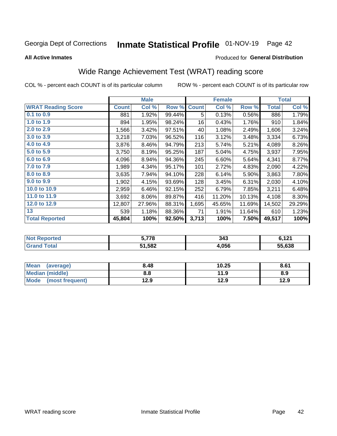# Inmate Statistical Profile 01-NOV-19 Page 42

### **All Active Inmates**

### Produced for General Distribution

# Wide Range Achievement Test (WRAT) reading score

COL % - percent each COUNT is of its particular column

|                           |              | <b>Male</b> |        |              | <b>Female</b> |        |              | <b>Total</b> |
|---------------------------|--------------|-------------|--------|--------------|---------------|--------|--------------|--------------|
| <b>WRAT Reading Score</b> | <b>Count</b> | Col %       | Row %  | <b>Count</b> | Col %         | Row %  | <b>Total</b> | Col %        |
| 0.1 to 0.9                | 881          | 1.92%       | 99.44% | 5            | 0.13%         | 0.56%  | 886          | 1.79%        |
| 1.0 to 1.9                | 894          | 1.95%       | 98.24% | 16           | 0.43%         | 1.76%  | 910          | 1.84%        |
| 2.0 to 2.9                | 1,566        | 3.42%       | 97.51% | 40           | 1.08%         | 2.49%  | 1,606        | 3.24%        |
| 3.0 to 3.9                | 3,218        | 7.03%       | 96.52% | 116          | 3.12%         | 3.48%  | 3,334        | 6.73%        |
| 4.0 to 4.9                | 3,876        | 8.46%       | 94.79% | 213          | 5.74%         | 5.21%  | 4,089        | 8.26%        |
| 5.0 to 5.9                | 3,750        | 8.19%       | 95.25% | 187          | 5.04%         | 4.75%  | 3,937        | 7.95%        |
| 6.0 to 6.9                | 4,096        | 8.94%       | 94.36% | 245          | 6.60%         | 5.64%  | 4,341        | 8.77%        |
| 7.0 to 7.9                | 1,989        | 4.34%       | 95.17% | 101          | 2.72%         | 4.83%  | 2,090        | 4.22%        |
| 8.0 to 8.9                | 3,635        | 7.94%       | 94.10% | 228          | 6.14%         | 5.90%  | 3,863        | 7.80%        |
| 9.0 to 9.9                | 1,902        | 4.15%       | 93.69% | 128          | 3.45%         | 6.31%  | 2,030        | 4.10%        |
| 10.0 to 10.9              | 2,959        | 6.46%       | 92.15% | 252          | 6.79%         | 7.85%  | 3,211        | 6.48%        |
| 11.0 to 11.9              | 3,692        | 8.06%       | 89.87% | 416          | 11.20%        | 10.13% | 4,108        | 8.30%        |
| 12.0 to 12.9              | 12,807       | 27.96%      | 88.31% | 1,695        | 45.65%        | 11.69% | 14,502       | 29.29%       |
| 13                        | 539          | 1.18%       | 88.36% | 71           | 1.91%         | 11.64% | 610          | 1.23%        |
| <b>Total Reported</b>     | 45,804       | 100%        | 92.50% | 3,713        | 100%          | 7.50%  | 49,517       | 100%         |

| NO.             | <b>E 770</b> | 343  | <b>C</b> 191 |
|-----------------|--------------|------|--------------|
| <b>ceported</b> | 70           |      | $\mathbf{L}$ |
| <b>otal</b>     | 51,582       | .056 | 55.638       |

| <b>Mean</b><br>(average)       | 8.48 | 10.25 | 8.61 |
|--------------------------------|------|-------|------|
| Median (middle)                | 8.8  | 11.9  | 8.9  |
| <b>Mode</b><br>(most frequent) | 12.9 | 12.9  | 12.9 |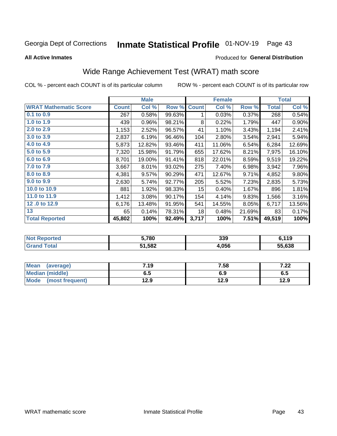# Inmate Statistical Profile 01-NOV-19 Page 43

**All Active Inmates** 

### Produced for General Distribution

# Wide Range Achievement Test (WRAT) math score

COL % - percent each COUNT is of its particular column

|                              |              | <b>Male</b> |        |              | <b>Female</b> |        |              | <b>Total</b> |
|------------------------------|--------------|-------------|--------|--------------|---------------|--------|--------------|--------------|
| <b>WRAT Mathematic Score</b> | <b>Count</b> | Col %       | Row %  | <b>Count</b> | Col %         | Row %  | <b>Total</b> | Col %        |
| $0.1$ to $0.9$               | 267          | 0.58%       | 99.63% | 1            | 0.03%         | 0.37%  | 268          | 0.54%        |
| 1.0 to 1.9                   | 439          | 0.96%       | 98.21% | 8            | 0.22%         | 1.79%  | 447          | 0.90%        |
| 2.0 to 2.9                   | 1,153        | 2.52%       | 96.57% | 41           | 1.10%         | 3.43%  | 1,194        | 2.41%        |
| 3.0 to 3.9                   | 2,837        | 6.19%       | 96.46% | 104          | 2.80%         | 3.54%  | 2,941        | 5.94%        |
| 4.0 to 4.9                   | 5,873        | 12.82%      | 93.46% | 411          | 11.06%        | 6.54%  | 6,284        | 12.69%       |
| 5.0 to 5.9                   | 7,320        | 15.98%      | 91.79% | 655          | 17.62%        | 8.21%  | 7,975        | 16.10%       |
| 6.0 to 6.9                   | 8,701        | 19.00%      | 91.41% | 818          | 22.01%        | 8.59%  | 9,519        | 19.22%       |
| 7.0 to 7.9                   | 3,667        | 8.01%       | 93.02% | 275          | 7.40%         | 6.98%  | 3,942        | 7.96%        |
| 8.0 to 8.9                   | 4,381        | 9.57%       | 90.29% | 471          | 12.67%        | 9.71%  | 4,852        | 9.80%        |
| 9.0 to 9.9                   | 2,630        | 5.74%       | 92.77% | 205          | 5.52%         | 7.23%  | 2,835        | 5.73%        |
| 10.0 to 10.9                 | 881          | 1.92%       | 98.33% | 15           | 0.40%         | 1.67%  | 896          | 1.81%        |
| 11.0 to 11.9                 | 1,412        | 3.08%       | 90.17% | 154          | 4.14%         | 9.83%  | 1,566        | 3.16%        |
| 12.0 to 12.9                 | 6,176        | 13.48%      | 91.95% | 541          | 14.55%        | 8.05%  | 6,717        | 13.56%       |
| 13                           | 65           | 0.14%       | 78.31% | 18           | 0.48%         | 21.69% | 83           | 0.17%        |
| <b>Total Reported</b>        | 45,802       | 100%        | 92.49% | 3,717        | 100%          | 7.51%  | 49,519       | 100%         |

| <b>orted</b><br><b>NOT</b><br>₹ем | 5,780  | 339   | 2 44 C<br>I I J |
|-----------------------------------|--------|-------|-----------------|
| <b>Total</b><br>'Grand            | 51,582 | 4,056 | 55.638          |

| <b>Mean</b><br>(average) | 7.19 | 7.58 | 7.00<br>1.ZZ |
|--------------------------|------|------|--------------|
| <b>Median (middle)</b>   | כ.ס  | 6.9  | 0.J          |
| Mode<br>(most frequent)  | l2.9 | 12.9 | 12.9         |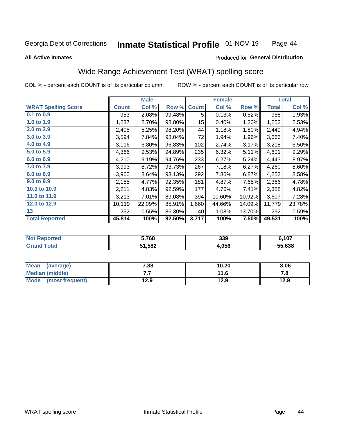#### **Inmate Statistical Profile 01-NOV-19** Page 44

**Produced for General Distribution** 

#### **All Active Inmates**

# Wide Range Achievement Test (WRAT) spelling score

COL % - percent each COUNT is of its particular column

|                            |              | <b>Male</b> |        |              | <b>Female</b> |          |              | <b>Total</b> |
|----------------------------|--------------|-------------|--------|--------------|---------------|----------|--------------|--------------|
| <b>WRAT Spelling Score</b> | <b>Count</b> | Col %       | Row %  | <b>Count</b> | Col %         | Row %    | <b>Total</b> | Col %        |
| $0.1$ to $0.9$             | 953          | 2.08%       | 99.48% | 5            | 0.13%         | 0.52%    | 958          | 1.93%        |
| 1.0 to 1.9                 | 1,237        | 2.70%       | 98.80% | 15           | 0.40%         | 1.20%    | 1,252        | 2.53%        |
| 2.0 to 2.9                 | 2,405        | 5.25%       | 98.20% | 44           | 1.18%         | 1.80%    | 2,449        | 4.94%        |
| 3.0 to 3.9                 | 3,594        | 7.84%       | 98.04% | 72           | 1.94%         | 1.96%    | 3,666        | 7.40%        |
| 4.0 to 4.9                 | 3,116        | 6.80%       | 96.83% | 102          | 2.74%         | 3.17%    | 3,218        | 6.50%        |
| 5.0 to 5.9                 | 4,366        | 9.53%       | 94.89% | 235          | 6.32%         | 5.11%    | 4,601        | 9.29%        |
| 6.0 to 6.9                 | 4,210        | 9.19%       | 94.76% | 233          | 6.27%         | 5.24%    | 4,443        | 8.97%        |
| 7.0 to 7.9                 | 3,993        | 8.72%       | 93.73% | 267          | 7.18%         | 6.27%    | 4,260        | 8.60%        |
| 8.0 to 8.9                 | 3,960        | 8.64%       | 93.13% | 292          | 7.86%         | 6.87%    | 4,252        | 8.58%        |
| 9.0 to 9.9                 | 2,185        | 4.77%       | 92.35% | 181          | 4.87%         | 7.65%    | 2,366        | 4.78%        |
| 10.0 to 10.9               | 2,211        | 4.83%       | 92.59% | 177          | 4.76%         | 7.41%    | 2,388        | 4.82%        |
| 11.0 to 11.9               | 3,213        | 7.01%       | 89.08% | 394          | 10.60%        | 10.92%   | 3,607        | 7.28%        |
| 12.0 to 12.9               | 10,119       | 22.09%      | 85.91% | 1,660        | 44.66%        | 14.09%   | 11,779       | 23.78%       |
| 13                         | 252          | 0.55%       | 86.30% | 40           | 1.08%         | 13.70%   | 292          | 0.59%        |
| <b>Total Reported</b>      | 45,814       | 100%        | 92.50% | 3,717        | 100%          | $7.50\%$ | 49,531       | 100%         |

| тес.<br>NO | 5,768  | 339   | ,107   |
|------------|--------|-------|--------|
|            | 51,582 | .056، | 55.638 |

| <b>Mean</b><br>(average) | 7.88 | 10.20 | 8.06 |
|--------------------------|------|-------|------|
| <b>Median (middle)</b>   | . .  | 11.6  | ه. ، |
| Mode<br>(most frequent)  | 12.9 | 12.9  | 12.9 |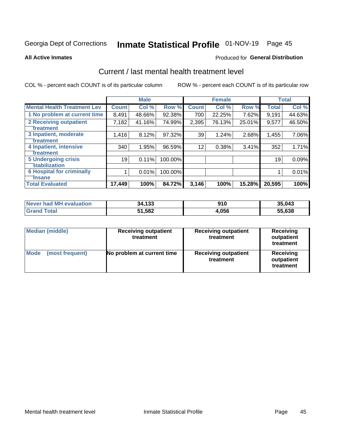# Inmate Statistical Profile 01-NOV-19 Page 45

#### **All Active Inmates**

## **Produced for General Distribution**

# Current / last mental health treatment level

COL % - percent each COUNT is of its particular column

|                                    |                 | <b>Male</b> |         |              | <b>Female</b> |        |              | <b>Total</b> |
|------------------------------------|-----------------|-------------|---------|--------------|---------------|--------|--------------|--------------|
| <b>Mental Health Treatment Lev</b> | <b>Count</b>    | Col %       | Row %   | <b>Count</b> | Col %         | Row %  | <b>Total</b> | Col %        |
| 1 No problem at current time       | 8,491           | 48.66%      | 92.38%  | 700          | 22.25%        | 7.62%  | 9,191        | 44.63%       |
| 2 Receiving outpatient             | 7,182           | 41.16%      | 74.99%  | 2,395        | 76.13%        | 25.01% | 9,577        | 46.50%       |
| <b>Treatment</b>                   |                 |             |         |              |               |        |              |              |
| 3 Inpatient, moderate              | 1,416           | 8.12%       | 97.32%  | 39           | 1.24%         | 2.68%  | 1,455        | 7.06%        |
| Treatment                          |                 |             |         |              |               |        |              |              |
| 4 Inpatient, intensive             | 340             | 1.95%       | 96.59%  | 12           | 0.38%         | 3.41%  | 352          | 1.71%        |
| <b>Treatment</b>                   |                 |             |         |              |               |        |              |              |
| 5 Undergoing crisis                | 19 <sub>1</sub> | 0.11%       | 100.00% |              |               |        | 19           | 0.09%        |
| <b>stabilization</b>               |                 |             |         |              |               |        |              |              |
| <b>6 Hospital for criminally</b>   |                 | 0.01%       | 100.00% |              |               |        |              | 0.01%        |
| <b>Tinsane</b>                     |                 |             |         |              |               |        |              |              |
| <b>Total Evaluated</b>             | 17,449          | 100%        | 84.72%  | 3,146        | 100%          | 15.28% | 20,595       | 100%         |

| Never had MH evaluation | 34,133 | 910   | 35,043 |
|-------------------------|--------|-------|--------|
| <b>Grand Total</b>      | 51,582 | 4,056 | 55,638 |

| <b>Median (middle)</b>         | <b>Receiving outpatient</b><br>treatment | <b>Receiving outpatient</b><br>treatment | <b>Receiving</b><br>outpatient<br>treatment |  |  |
|--------------------------------|------------------------------------------|------------------------------------------|---------------------------------------------|--|--|
| <b>Mode</b><br>(most frequent) | No problem at current time               | <b>Receiving outpatient</b><br>treatment | Receiving<br>outpatient<br>treatment        |  |  |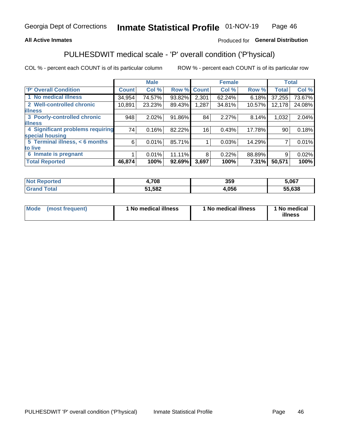## **All Active Inmates**

# Produced for General Distribution

# PULHESDWIT medical scale - 'P' overall condition ('P'hysical)

COL % - percent each COUNT is of its particular column

|                                  |              | <b>Male</b> |        |                 | <b>Female</b> |        |              | <b>Total</b> |
|----------------------------------|--------------|-------------|--------|-----------------|---------------|--------|--------------|--------------|
| <b>P' Overall Condition</b>      | <b>Count</b> | Col %       | Row %  | <b>Count</b>    | Col %         | Row %  | <b>Total</b> | Col %        |
| 1 No medical illness             | 34,954       | 74.57%      | 93.82% | 2,301           | 62.24%        | 6.18%  | 37,255       | 73.67%       |
| 2 Well-controlled chronic        | 10,891       | 23.23%      | 89.43% | 1,287           | 34.81%        | 10.57% | 12,178       | 24.08%       |
| <b>lillness</b>                  |              |             |        |                 |               |        |              |              |
| 3 Poorly-controlled chronic      | 948          | 2.02%       | 91.86% | 84              | 2.27%         | 8.14%  | 1,032        | 2.04%        |
| <b>illness</b>                   |              |             |        |                 |               |        |              |              |
| 4 Significant problems requiring | 74           | 0.16%       | 82.22% | 16 <sub>1</sub> | 0.43%         | 17.78% | 90           | 0.18%        |
| special housing                  |              |             |        |                 |               |        |              |              |
| 5 Terminal illness, $< 6$ months | 6            | 0.01%       | 85.71% |                 | 0.03%         | 14.29% |              | 0.01%        |
| to live                          |              |             |        |                 |               |        |              |              |
| 6 Inmate is pregnant             |              | 0.01%       | 11.11% | 8               | 0.22%         | 88.89% | 9            | 0.02%        |
| <b>Total Reported</b>            | 46,874       | 100%        | 92.69% | 3,697           | 100%          | 7.31%  | 50,571       | 100%         |

| нас | ,708 | 359  | 5,067  |
|-----|------|------|--------|
|     | 582  | .056 | 55.638 |

| Mode<br>(most frequent) |  | <sup>1</sup> No medical illness | 1 No medical illness | 1 No medical<br>illness |
|-------------------------|--|---------------------------------|----------------------|-------------------------|
|-------------------------|--|---------------------------------|----------------------|-------------------------|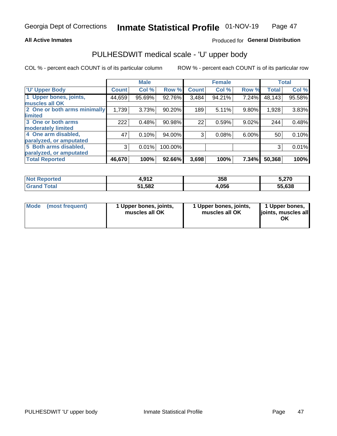### **All Active Inmates**

## Produced for General Distribution

# PULHESDWIT medical scale - 'U' upper body

COL % - percent each COUNT is of its particular column

|                              |               | <b>Male</b> |         |              | <b>Female</b> |       |              | <b>Total</b> |
|------------------------------|---------------|-------------|---------|--------------|---------------|-------|--------------|--------------|
| <b>U' Upper Body</b>         | <b>Count!</b> | Col %       | Row %   | <b>Count</b> | Col %         | Row % | <b>Total</b> | Col %        |
| 1 Upper bones, joints,       | 44,659        | 95.69%      | 92.76%  | 3,484        | 94.21%        | 7.24% | 48,143       | 95.58%       |
| muscles all OK               |               |             |         |              |               |       |              |              |
| 2 One or both arms minimally | 1,739         | 3.73%       | 90.20%  | 189          | 5.11%         | 9.80% | 1,928        | 3.83%        |
| limited                      |               |             |         |              |               |       |              |              |
| 3 One or both arms           | 222           | 0.48%       | 90.98%  | 22           | 0.59%         | 9.02% | 244          | 0.48%        |
| <b>moderately limited</b>    |               |             |         |              |               |       |              |              |
| 4 One arm disabled,          | 47            | 0.10%       | 94.00%  | 3            | 0.08%         | 6.00% | 50           | 0.10%        |
| paralyzed, or amputated      |               |             |         |              |               |       |              |              |
| 5 Both arms disabled,        | 3             | 0.01%       | 100.00% |              |               |       | 3            | 0.01%        |
| paralyzed, or amputated      |               |             |         |              |               |       |              |              |
| <b>Total Reported</b>        | 46,670        | 100%        | 92.66%  | 3,698        | 100%          | 7.34% | 50,368       | 100%         |

| <b>Not Reported</b>          | .017<br>4.J I 4 | 358   | 5,270  |
|------------------------------|-----------------|-------|--------|
| <b>Total</b><br><b>Grand</b> | 51,582          | 4,056 | 55,638 |

|  | Mode (most frequent) | 1 Upper bones, joints,<br>muscles all OK | 1 Upper bones, joints,<br>muscles all OK | 1 Upper bones,<br>ljoints, muscles all<br>ОK |
|--|----------------------|------------------------------------------|------------------------------------------|----------------------------------------------|
|--|----------------------|------------------------------------------|------------------------------------------|----------------------------------------------|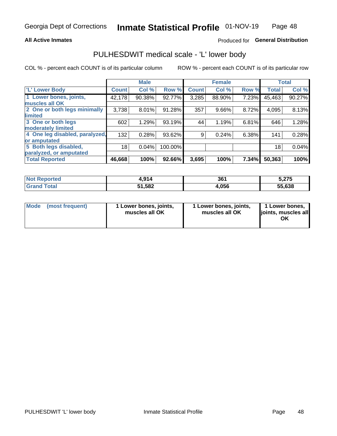### **All Active Inmates**

# Produced for General Distribution

# PULHESDWIT medical scale - 'L' lower body

COL % - percent each COUNT is of its particular column

|                                |              | <b>Male</b> |         |              | <b>Female</b> |       |              | <b>Total</b> |
|--------------------------------|--------------|-------------|---------|--------------|---------------|-------|--------------|--------------|
| 'L' Lower Body                 | <b>Count</b> | Col %       | Row %   | <b>Count</b> | Col %         | Row % | <b>Total</b> | Col %        |
| 1 Lower bones, joints,         | 42,178       | 90.38%      | 92.77%  | 3,285        | 88.90%        | 7.23% | 45,463       | 90.27%       |
| muscles all OK                 |              |             |         |              |               |       |              |              |
| 2 One or both legs minimally   | 3,738        | 8.01%       | 91.28%  | 357          | 9.66%         | 8.72% | 4,095        | 8.13%        |
| limited                        |              |             |         |              |               |       |              |              |
| 3 One or both legs             | 602          | 1.29%       | 93.19%  | 44           | 1.19%         | 6.81% | 646          | 1.28%        |
| moderately limited             |              |             |         |              |               |       |              |              |
| 4 One leg disabled, paralyzed, | 132          | 0.28%       | 93.62%  | 9            | 0.24%         | 6.38% | 141          | 0.28%        |
| or amputated                   |              |             |         |              |               |       |              |              |
| 5 Both legs disabled,          | 18           | 0.04%       | 100.00% |              |               |       | 18           | 0.04%        |
| paralyzed, or amputated        |              |             |         |              |               |       |              |              |
| <b>Total Reported</b>          | 46,668       | 100%        | 92.66%  | 3,695        | 100%          | 7.34% | 50,363       | 100%         |

| <b>Not Reported</b>   | 4,914  | 361   | 5 275<br>J.LI J |
|-----------------------|--------|-------|-----------------|
| <b>Total</b><br>Grand | 51,582 | 4,056 | 55,638          |

|  | Mode (most frequent) | 1 Lower bones, joints,<br>muscles all OK | 1 Lower bones, joints,<br>muscles all OK | 1 Lower bones,<br>joints, muscles all<br>ΟK |
|--|----------------------|------------------------------------------|------------------------------------------|---------------------------------------------|
|--|----------------------|------------------------------------------|------------------------------------------|---------------------------------------------|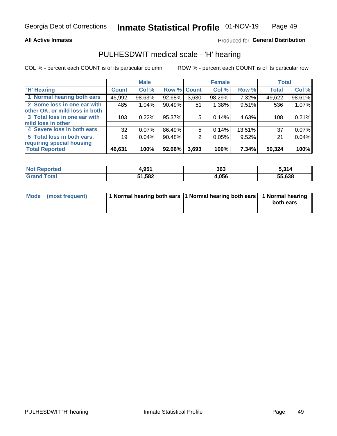### **All Active Inmates**

# Produced for General Distribution

# PULHESDWIT medical scale - 'H' hearing

COL % - percent each COUNT is of its particular column

|                                |              | <b>Male</b> |                    |       | <b>Female</b> |        | <b>Total</b> |        |
|--------------------------------|--------------|-------------|--------------------|-------|---------------|--------|--------------|--------|
| <b>'H' Hearing</b>             | <b>Count</b> | Col %       | <b>Row % Count</b> |       | Col %         | Row %  | <b>Total</b> | Col %  |
| 1 Normal hearing both ears     | 45,992       | 98.63%      | 92.68%             | 3,630 | 98.29%        | 7.32%  | 49,622       | 98.61% |
| 2 Some loss in one ear with    | 485          | 1.04%       | 90.49%             | 51    | 1.38%         | 9.51%  | 536          | 1.07%  |
| other OK, or mild loss in both |              |             |                    |       |               |        |              |        |
| 3 Total loss in one ear with   | 103          | 0.22%       | 95.37%             | 5     | 0.14%         | 4.63%  | 108          | 0.21%  |
| mild loss in other             |              |             |                    |       |               |        |              |        |
| 4 Severe loss in both ears     | 32           | 0.07%       | 86.49%             | 5     | 0.14%         | 13.51% | 37           | 0.07%  |
| 5 Total loss in both ears,     | 19           | 0.04%       | 90.48%             | 2     | 0.05%         | 9.52%  | 21           | 0.04%  |
| requiring special housing      |              |             |                    |       |               |        |              |        |
| <b>Total Reported</b>          | 46,631       | 100%        | 92.66%             | 3,693 | 100%          | 7.34%  | 50,324       | 100%   |

| <b>orted</b>          | OE <sub>4</sub> | 363  | 314،   |
|-----------------------|-----------------|------|--------|
| <b>NOT</b>            | 9.JJ.           |      | ა.ა    |
| $F \wedge f \wedge f$ | 51,582          | .056 | 55,638 |

| Mode (most frequent) | 1 Normal hearing both ears 11 Normal hearing both ears 1 Normal hearing | both ears |
|----------------------|-------------------------------------------------------------------------|-----------|
|                      |                                                                         |           |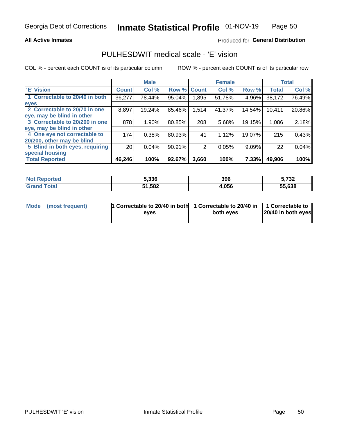## **All Active Inmates**

# Produced for General Distribution

# PULHESDWIT medical scale - 'E' vision

COL % - percent each COUNT is of its particular column

|                                 |                 | <b>Male</b> |        |              | <b>Female</b> |        |              | <b>Total</b> |
|---------------------------------|-----------------|-------------|--------|--------------|---------------|--------|--------------|--------------|
| <b>E' Vision</b>                | <b>Count</b>    | Col %       | Row %  | <b>Count</b> | Col %         | Row %  | <b>Total</b> | Col %        |
| 1 Correctable to 20/40 in both  | 36,277          | 78.44%      | 95.04% | .895         | 51.78%        | 4.96%  | 38,172       | 76.49%       |
| eyes                            |                 |             |        |              |               |        |              |              |
| 2 Correctable to 20/70 in one   | 8,897           | 19.24%      | 85.46% | 1,514        | 41.37%        | 14.54% | 10,411       | 20.86%       |
| eye, may be blind in other      |                 |             |        |              |               |        |              |              |
| 3 Correctable to 20/200 in one  | 878             | 1.90%       | 80.85% | 208          | 5.68%         | 19.15% | 1,086        | 2.18%        |
| eye, may be blind in other      |                 |             |        |              |               |        |              |              |
| 4 One eye not correctable to    | 174             | 0.38%       | 80.93% | 41           | 1.12%         | 19.07% | 215          | 0.43%        |
| 20/200, other may be blind      |                 |             |        |              |               |        |              |              |
| 5 Blind in both eyes, requiring | 20 <sub>1</sub> | 0.04%       | 90.91% | 2            | 0.05%         | 9.09%  | 22           | 0.04%        |
| special housing                 |                 |             |        |              |               |        |              |              |
| <b>Total Reported</b>           | 46,246          | 100%        | 92.67% | 3,660        | 100%          | 7.33%  | 49,906       | 100%         |

| <b>Not Reported</b> | 5.336  | 396   | ^ מי<br>⊾ن ' |
|---------------------|--------|-------|--------------|
| ⊺ำtal               | 51,582 | 4,056 | 55,638       |

| Mode (most frequent) | 1 Correctable to 20/40 in both<br>eves | 1 Correctable to 20/40 in   1 Correctable to  <br>both eves | 20/40 in both eyes |
|----------------------|----------------------------------------|-------------------------------------------------------------|--------------------|
|                      |                                        |                                                             |                    |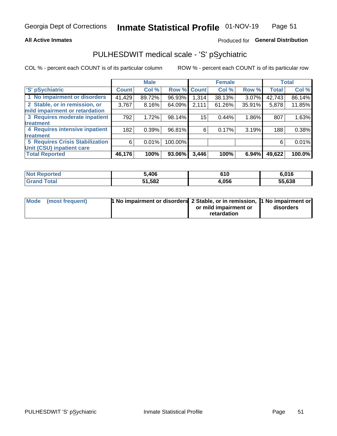### **All Active Inmates**

# Produced for General Distribution

# PULHESDWIT medical scale - 'S' pSychiatric

COL % - percent each COUNT is of its particular column

|                                        |              | <b>Male</b> |         |              | <b>Female</b> |          |              | <b>Total</b> |
|----------------------------------------|--------------|-------------|---------|--------------|---------------|----------|--------------|--------------|
| 'S' pSychiatric                        | <b>Count</b> | Col %       | Row %   | <b>Count</b> | Col %         | Row %    | <b>Total</b> | Col %        |
| 1 No impairment or disorders           | 41,429       | 89.72%      | 96.93%  | 1,314        | 38.13%        | $3.07\%$ | 42,743       | 86.14%       |
| 2 Stable, or in remission, or          | 3,767        | 8.16%       | 64.09%  | 2,111        | 61.26%        | 35.91%   | 5,878        | 11.85%       |
| mild impairment or retardation         |              |             |         |              |               |          |              |              |
| 3 Requires moderate inpatient          | 792          | 1.72%       | 98.14%  | 15           | 0.44%         | 1.86%    | 807          | 1.63%        |
| treatment                              |              |             |         |              |               |          |              |              |
| 4 Requires intensive inpatient         | 182          | 0.39%       | 96.81%  | 6            | 0.17%         | 3.19%    | 188          | 0.38%        |
| treatment                              |              |             |         |              |               |          |              |              |
| <b>5 Requires Crisis Stabilization</b> | 6            | 0.01%       | 100.00% |              |               |          | 6            | 0.01%        |
| Unit (CSU) inpatient care              |              |             |         |              |               |          |              |              |
| <b>Total Reported</b>                  | 46,176       | 100%        | 93.06%  | 3,446        | 100%          | 6.94%    | 49,622       | 100.0%       |

| <b>Not Reported</b>      | ,406   | 610   | 6,016        |
|--------------------------|--------|-------|--------------|
| $\mathsf{Total}$<br>Gran | 51,582 | 4,056 | 55.638<br>ככ |

| Mode (most frequent) | <b>1 No impairment or disorders 2 Stable, or in remission, 1 No impairment or</b> |                       |           |
|----------------------|-----------------------------------------------------------------------------------|-----------------------|-----------|
|                      |                                                                                   | or mild impairment or | disorders |
|                      |                                                                                   | retardation           |           |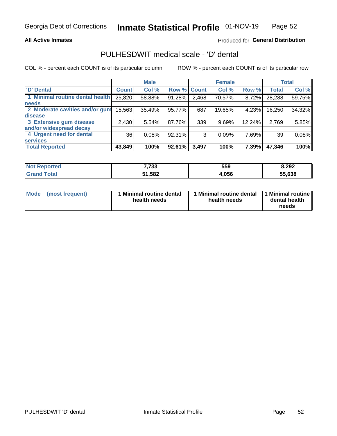## **All Active Inmates**

# Produced for General Distribution

# PULHESDWIT medical scale - 'D' dental

COL % - percent each COUNT is of its particular column

|                                 |              | <b>Male</b> |        |              | <b>Female</b> |        |              | <b>Total</b> |
|---------------------------------|--------------|-------------|--------|--------------|---------------|--------|--------------|--------------|
| <b>D'</b> Dental                | <b>Count</b> | Col %       | Row %  | <b>Count</b> | Col %         | Row %  | <b>Total</b> | Col %        |
| 1 Minimal routine dental health | 25,820       | 58.88%      | 91.28% | 2,468        | 70.57%        | 8.72%  | 28,288       | 59.75%       |
| <b>needs</b>                    |              |             |        |              |               |        |              |              |
| 2 Moderate cavities and/or gum  | 15,563       | 35.49%      | 95.77% | 687          | 19.65%        | 4.23%  | 16,250       | 34.32%       |
| disease                         |              |             |        |              |               |        |              |              |
| 3 Extensive gum disease         | 2,430        | 5.54%       | 87.76% | 339          | 9.69%         | 12.24% | 2,769        | 5.85%        |
| and/or widespread decay         |              |             |        |              |               |        |              |              |
| 4 Urgent need for dental        | 36           | 0.08%       | 92.31% | 3            | 0.09%         | 7.69%  | 39           | 0.08%        |
| <b>services</b>                 |              |             |        |              |               |        |              |              |
| <b>Total Reported</b>           | 43,849       | 100%        | 92.61% | 3,497        | 100%          | 7.39%  | 47,346       | 100%         |

| Not I<br>anorted and | 7,733  | 559   | 8,292  |
|----------------------|--------|-------|--------|
| <b>Total</b>         | 51,582 | 1.056 | 55,638 |

| <b>Mode</b> | (most frequent) | Minimal routine dental<br>health needs | 1 Minimal routine dental 11 Minimal routine<br>health needs | dental health<br>needs |
|-------------|-----------------|----------------------------------------|-------------------------------------------------------------|------------------------|
|-------------|-----------------|----------------------------------------|-------------------------------------------------------------|------------------------|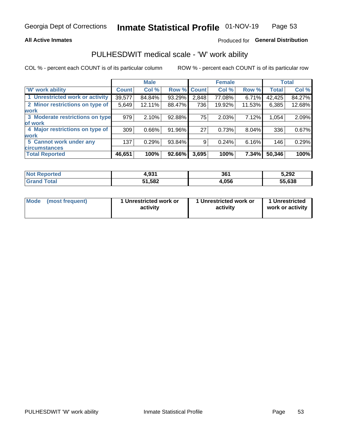## **All Active Inmates**

# Produced for General Distribution

# PULHESDWIT medical scale - 'W' work ability

COL % - percent each COUNT is of its particular column

|                                 |              | <b>Male</b> |             |       | <b>Female</b> |          |              | <b>Total</b> |
|---------------------------------|--------------|-------------|-------------|-------|---------------|----------|--------------|--------------|
| 'W' work ability                | <b>Count</b> | Col %       | Row % Count |       | Col %         | Row %    | <b>Total</b> | Col %        |
| 1 Unrestricted work or activity | 39,577       | 84.84%      | 93.29%      | 2,848 | 77.08%        | 6.71%    | 42,425       | 84.27%       |
| 2 Minor restrictions on type of | 5,649        | 12.11%      | 88.47%      | 736   | 19.92%        | 11.53%   | 6,385        | 12.68%       |
| <b>work</b>                     |              |             |             |       |               |          |              |              |
| 3 Moderate restrictions on type | 979          | 2.10%       | 92.88%      | 75    | 2.03%         | 7.12%    | 1,054        | 2.09%        |
| lof work                        |              |             |             |       |               |          |              |              |
| 4 Major restrictions on type of | 309          | 0.66%       | 91.96%      | 27    | 0.73%         | $8.04\%$ | 336          | 0.67%        |
| <b>work</b>                     |              |             |             |       |               |          |              |              |
| 5 Cannot work under any         | 137          | 0.29%       | 93.84%      | 9     | 0.24%         | 6.16%    | 146          | 0.29%        |
| <b>circumstances</b>            |              |             |             |       |               |          |              |              |
| <b>Total Reported</b>           | 46,651       | 100%        | 92.66%      | 3,695 | 100%          | 7.34%    | 50,346       | 100%         |

| <b>Not Reported</b> | 4,931  | 361   | 5,292  |
|---------------------|--------|-------|--------|
| Total<br>Grand      | 51,582 | 4,056 | 55,638 |

| Mode | (most frequent) | 1 Unrestricted work or<br>activity | 1 Unrestricted work or<br>activity | 1 Unrestricted<br>work or activity |
|------|-----------------|------------------------------------|------------------------------------|------------------------------------|
|------|-----------------|------------------------------------|------------------------------------|------------------------------------|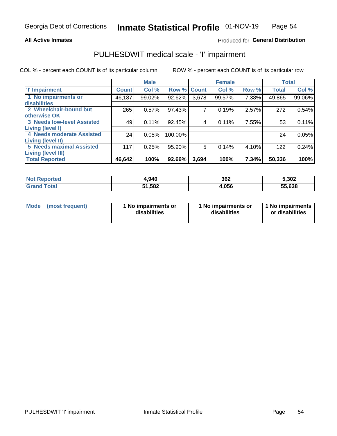## **All Active Inmates**

# Produced for General Distribution

# PULHESDWIT medical scale - 'I' impairment

COL % - percent each COUNT is of its particular column ROW % - percent each COUNT is of its particular row

|                                   |              | <b>Male</b> |             |       | <b>Female</b> |       |              | <b>Total</b> |
|-----------------------------------|--------------|-------------|-------------|-------|---------------|-------|--------------|--------------|
| <b>T' Impairment</b>              | <b>Count</b> | Col %       | Row % Count |       | Col %         | Row % | <b>Total</b> | Col %        |
| 1 No impairments or               | 46,187       | 99.02%      | 92.62%      | 3,678 | 99.57%        | 7.38% | 49,865       | 99.06%       |
| disabilities                      |              |             |             |       |               |       |              |              |
| 2 Wheelchair-bound but            | 265          | 0.57%       | 97.43%      | 7     | 0.19%         | 2.57% | 272          | 0.54%        |
| otherwise OK                      |              |             |             |       |               |       |              |              |
| <b>3 Needs low-level Assisted</b> | 49           | 0.11%       | 92.45%      | 4     | 0.11%         | 7.55% | 53           | 0.11%        |
| Living (level I)                  |              |             |             |       |               |       |              |              |
| 4 Needs moderate Assisted         | 24           | 0.05%       | 100.00%     |       |               |       | 24           | 0.05%        |
| <b>Living (level II)</b>          |              |             |             |       |               |       |              |              |
| <b>5 Needs maximal Assisted</b>   | 117          | 0.25%       | 95.90%      | 5     | 0.14%         | 4.10% | 122          | 0.24%        |
| <b>Living (level III)</b>         |              |             |             |       |               |       |              |              |
| <b>Total Reported</b>             | 46,642       | 100%        | 92.66%      | 3,694 | 100%          | 7.34% | 50,336       | 100%         |

| <b>Not</b><br>Reported | 1,940  | 362   | 5,302  |
|------------------------|--------|-------|--------|
| Total<br>Grand         | 51,582 | 1,056 | 55,638 |

| <b>Mode</b> | (most frequent) | <b>No impairments or</b><br>disabilities | 1 No impairments or<br>disabilities | 1 No impairments<br>or disabilities |
|-------------|-----------------|------------------------------------------|-------------------------------------|-------------------------------------|
|-------------|-----------------|------------------------------------------|-------------------------------------|-------------------------------------|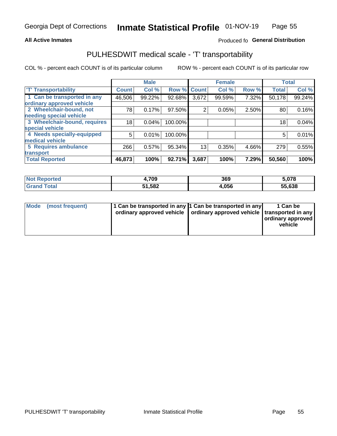### **All Active Inmates**

# Produced fo General Distribution

# PULHESDWIT medical scale - 'T' transportability

COL % - percent each COUNT is of its particular column

|                              |              | <b>Male</b> |         |              | <b>Female</b> |       |              | <b>Total</b> |
|------------------------------|--------------|-------------|---------|--------------|---------------|-------|--------------|--------------|
| <b>T' Transportability</b>   | <b>Count</b> | Col %       | Row %   | <b>Count</b> | Col %         | Row % | <b>Total</b> | Col %        |
| 1 Can be transported in any  | 46,506       | 99.22%      | 92.68%  | 3,672        | 99.59%        | 7.32% | 50,178       | 99.24%       |
| ordinary approved vehicle    |              |             |         |              |               |       |              |              |
| 2 Wheelchair-bound, not      | 78           | 0.17%       | 97.50%  | 2            | 0.05%         | 2.50% | 80           | 0.16%        |
| needing special vehicle      |              |             |         |              |               |       |              |              |
| 3 Wheelchair-bound, requires | 18           | 0.04%       | 100.00% |              |               |       | 18           | 0.04%        |
| special vehicle              |              |             |         |              |               |       |              |              |
| 4 Needs specially-equipped   | 5            | 0.01%       | 100.00% |              |               |       | 5            | 0.01%        |
| medical vehicle              |              |             |         |              |               |       |              |              |
| <b>5 Requires ambulance</b>  | 266          | 0.57%       | 95.34%  | 13           | 0.35%         | 4.66% | 279          | 0.55%        |
| transport                    |              |             |         |              |               |       |              |              |
| <b>Total Reported</b>        | 46,873       | 100%        | 92.71%  | 3,687        | 100%          | 7.29% | 50,560       | 100%         |

| rted | 1,709  | 369   | 5,078  |
|------|--------|-------|--------|
|      | 51,582 | 1,056 | 55,638 |

|  | Mode (most frequent) | 1 Can be transported in any 1 Can be transported in any<br>ordinary approved vehicle   ordinary approved vehicle   transported in any |  | 1 Can be<br>  ordinary approved  <br>vehicle |
|--|----------------------|---------------------------------------------------------------------------------------------------------------------------------------|--|----------------------------------------------|
|--|----------------------|---------------------------------------------------------------------------------------------------------------------------------------|--|----------------------------------------------|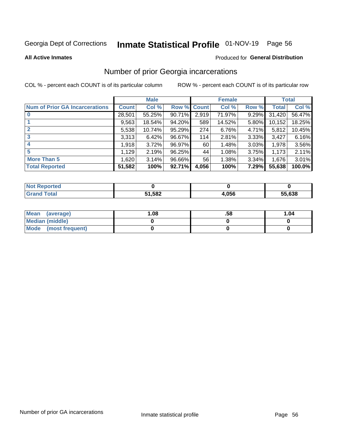# Inmate Statistical Profile 01-NOV-19 Page 56

#### **All Active Inmates**

### Produced for General Distribution

# Number of prior Georgia incarcerations

COL % - percent each COUNT is of its particular column

|                                       |              | <b>Male</b> |             |       | <b>Female</b> |       |        | <b>Total</b> |
|---------------------------------------|--------------|-------------|-------------|-------|---------------|-------|--------|--------------|
| <b>Num of Prior GA Incarcerations</b> | <b>Count</b> | Col %       | Row % Count |       | Col %         | Row % | Total  | Col %        |
|                                       | 28,501       | 55.25%      | 90.71%      | 2,919 | 71.97%        | 9.29% | 31,420 | 56.47%       |
|                                       | 9,563        | 18.54%      | 94.20%      | 589   | 14.52%        | 5.80% | 10,152 | 18.25%       |
| $\overline{2}$                        | 5,538        | 10.74%      | 95.29%      | 274   | 6.76%         | 4.71% | 5,812  | 10.45%       |
| 3                                     | 3,313        | 6.42%       | 96.67%      | 114   | 2.81%         | 3.33% | 3,427  | 6.16%        |
| $\boldsymbol{4}$                      | 1,918        | 3.72%       | 96.97%      | 60    | 1.48%         | 3.03% | 1,978  | 3.56%        |
| 5                                     | 1,129        | 2.19%       | 96.25%      | 44    | 1.08%         | 3.75% | 1,173  | 2.11%        |
| <b>More Than 5</b>                    | 1,620        | 3.14%       | 96.66%      | 56    | 1.38%         | 3.34% | 1,676  | 3.01%        |
| <b>Total Reported</b>                 | 51,582       | 100%        | $92.71\%$   | 4,056 | 100%          | 7.29% | 55,638 | 100.0%       |

| orted<br>NO. |        |      |        |
|--------------|--------|------|--------|
| <b>ota</b>   | 51,582 | .056 | 55.638 |

| Mean (average)       | 1.08 | .58 | 1.04 |
|----------------------|------|-----|------|
| Median (middle)      |      |     |      |
| Mode (most frequent) |      |     |      |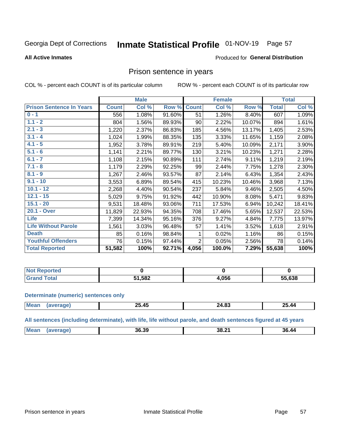#### Inmate Statistical Profile 01-NOV-19 Page 57

#### **All Active Inmates**

### Produced for General Distribution

# Prison sentence in years

COL % - percent each COUNT is of its particular column

ROW % - percent each COUNT is of its particular row

|                                 |              | <b>Male</b> |        |                | <b>Female</b> |        |              | <b>Total</b> |
|---------------------------------|--------------|-------------|--------|----------------|---------------|--------|--------------|--------------|
| <b>Prison Sentence In Years</b> | <b>Count</b> | Col %       | Row %  | <b>Count</b>   | Col %         | Row %  | <b>Total</b> | Col %        |
| $0 - 1$                         | 556          | 1.08%       | 91.60% | 51             | 1.26%         | 8.40%  | 607          | 1.09%        |
| $1.1 - 2$                       | 804          | 1.56%       | 89.93% | 90             | 2.22%         | 10.07% | 894          | 1.61%        |
| $2.1 - 3$                       | 1,220        | 2.37%       | 86.83% | 185            | 4.56%         | 13.17% | 1,405        | 2.53%        |
| $3.1 - 4$                       | 1,024        | 1.99%       | 88.35% | 135            | 3.33%         | 11.65% | 1,159        | 2.08%        |
| $4.1 - 5$                       | 1,952        | 3.78%       | 89.91% | 219            | 5.40%         | 10.09% | 2,171        | 3.90%        |
| $5.1 - 6$                       | 1,141        | 2.21%       | 89.77% | 130            | 3.21%         | 10.23% | 1,271        | 2.28%        |
| $6.1 - 7$                       | 1,108        | 2.15%       | 90.89% | 111            | 2.74%         | 9.11%  | 1,219        | 2.19%        |
| $7.1 - 8$                       | 1,179        | 2.29%       | 92.25% | 99             | 2.44%         | 7.75%  | 1,278        | 2.30%        |
| $8.1 - 9$                       | 1,267        | 2.46%       | 93.57% | 87             | 2.14%         | 6.43%  | 1,354        | 2.43%        |
| $9.1 - 10$                      | 3,553        | 6.89%       | 89.54% | 415            | 10.23%        | 10.46% | 3,968        | 7.13%        |
| $10.1 - 12$                     | 2,268        | 4.40%       | 90.54% | 237            | 5.84%         | 9.46%  | 2,505        | 4.50%        |
| $12.1 - 15$                     | 5,029        | 9.75%       | 91.92% | 442            | 10.90%        | 8.08%  | 5,471        | 9.83%        |
| $15.1 - 20$                     | 9,531        | 18.48%      | 93.06% | 711            | 17.53%        | 6.94%  | 10,242       | 18.41%       |
| 20.1 - Over                     | 11,829       | 22.93%      | 94.35% | 708            | 17.46%        | 5.65%  | 12,537       | 22.53%       |
| <b>Life</b>                     | 7,399        | 14.34%      | 95.16% | 376            | 9.27%         | 4.84%  | 7,775        | 13.97%       |
| <b>Life Without Parole</b>      | 1,561        | 3.03%       | 96.48% | 57             | 1.41%         | 3.52%  | 1,618        | 2.91%        |
| <b>Death</b>                    | 85           | 0.16%       | 98.84% |                | 0.02%         | 1.16%  | 86           | 0.15%        |
| <b>Youthful Offenders</b>       | 76           | 0.15%       | 97.44% | $\overline{2}$ | 0.05%         | 2.56%  | 78           | 0.14%        |
| <b>Total Reported</b>           | 51,582       | 100%        | 92.71% | 4,056          | 100.0%        | 7.29%  | 55,638       | 100%         |

| ported<br>I NOT      |      |      |        |
|----------------------|------|------|--------|
| $\sim$ $\sim$ $\sim$ | ,582 | .056 | 55,638 |

#### **Determinate (numeric) sentences only**

| $\sim$<br><b>AF</b><br><b>Mos</b><br>25.44<br>л.<br>27.VJ<br>--<br>_____ |  |  |  |
|--------------------------------------------------------------------------|--|--|--|
|                                                                          |  |  |  |

All sentences (including determinate), with life, life without parole, and death sentences figured at 45 years

| <b>Me</b><br>$\cdots$<br>36.39<br>36.44<br>88.∡<br>$ -$ |  |  |  |
|---------------------------------------------------------|--|--|--|
|                                                         |  |  |  |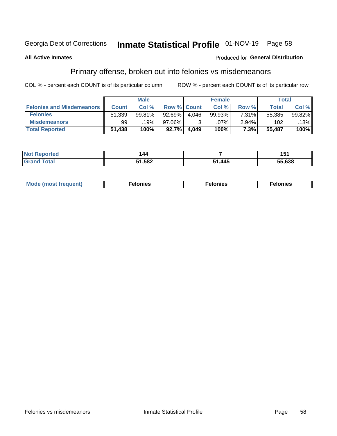# Inmate Statistical Profile 01-NOV-19 Page 58

### **All Active Inmates**

### Produced for General Distribution

# Primary offense, broken out into felonies vs misdemeanors

COL % - percent each COUNT is of its particular column

|                                  |              | <b>Male</b> |                    |       | <b>Female</b> |          | Total  |        |
|----------------------------------|--------------|-------------|--------------------|-------|---------------|----------|--------|--------|
| <b>Felonies and Misdemeanors</b> | <b>Count</b> | Col %       | <b>Row % Count</b> |       | Col %         | Row %    | Total  | Col %  |
| <b>Felonies</b>                  | 51,339       | 99.81%      | $92.69\%$          | 4.046 | 99.93%        | 7.31%    | 55,385 | 99.82% |
| <b>Misdemeanors</b>              | 99           | 19%         | 97.06%             |       | $.07\%$ '     | $2.94\%$ | 102    | 18%    |
| <b>Total Reported</b>            | 51,438       | 100%        | 92.7%              | 4,049 | 100%          | 7.3%     | 55,487 | 100%   |

| <b>Not</b><br>rted.<br>reno. |               |      | . .<br>וטו |
|------------------------------|---------------|------|------------|
| ™otai<br>Gran                | 51,582<br>34. | ,445 | 55,638     |

| M      | .    | nes | onies |
|--------|------|-----|-------|
| nuenti | ____ | .   | .     |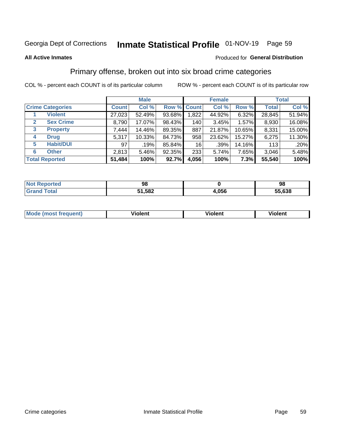# Inmate Statistical Profile 01-NOV-19 Page 59

#### **All Active Inmates**

### Produced for General Distribution

# Primary offense, broken out into six broad crime categories

COL % - percent each COUNT is of its particular column

|                                 | <b>Male</b>  |        |        | <b>Female</b> |        |        | <b>Total</b> |        |
|---------------------------------|--------------|--------|--------|---------------|--------|--------|--------------|--------|
| <b>Crime Categories</b>         | <b>Count</b> | Col %  |        | Row % Count   | Col %  | Row %  | <b>Total</b> | Col %  |
| <b>Violent</b>                  | 27,023       | 52.49% | 93.68% | 1,822         | 44.92% | 6.32%  | 28,845       | 51.94% |
| <b>Sex Crime</b><br>2           | 8,790        | 17.07% | 98.43% | 140           | 3.45%  | 1.57%  | 8,930        | 16.08% |
| $\mathbf{3}$<br><b>Property</b> | 7,444        | 14.46% | 89.35% | 887           | 21.87% | 10.65% | 8,331        | 15.00% |
| <b>Drug</b><br>4                | 5,317        | 10.33% | 84.73% | 958           | 23.62% | 15.27% | 6,275        | 11.30% |
| <b>Habit/DUI</b><br>5           | 97           | .19%   | 85.84% | 16            | .39%   | 14.16% | 113          | .20%   |
| <b>Other</b><br>6               | 2,813        | 5.46%  | 92.35% | 233           | 5.74%  | 7.65%  | 3,046        | 5.48%  |
| <b>Total Reported</b>           | 51,484       | 100%   | 92.7%  | 4,056         | 100%   | 7.3%   | 55,540       | 100%   |

| Reported<br><b>NOT</b>    | 98     |                    | 98     |
|---------------------------|--------|--------------------|--------|
| $F \cap F \cap F$<br>υιαι | 51,582 | <b>OFC</b><br>טטע. | 55,638 |

| M | - --<br>1010111 | .<br><b>VIOIGIIL</b> | 1.91311 |
|---|-----------------|----------------------|---------|
|   |                 |                      |         |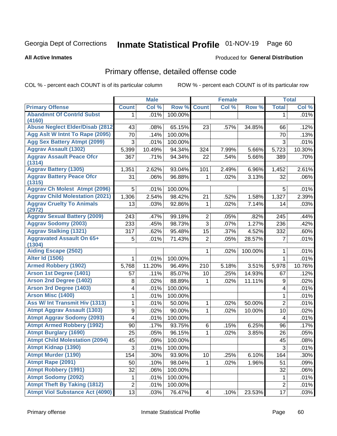# Inmate Statistical Profile 01-NOV-19 Page 60

#### **All Active Inmates**

### Produced for General Distribution

# Primary offense, detailed offense code

COL % - percent each COUNT is of its particular column

|                                                   |                         | <b>Male</b> |         |                 | <b>Female</b> |         |                | <b>Total</b> |
|---------------------------------------------------|-------------------------|-------------|---------|-----------------|---------------|---------|----------------|--------------|
| <b>Primary Offense</b>                            | <b>Count</b>            | Col %       | Row %   | <b>Count</b>    | Col %         | Row %   | <b>Total</b>   | Col %        |
| <b>Abandmnt Of Contrid Subst</b>                  | 1.                      | .01%        | 100.00% |                 |               |         | 1              | .01%         |
| (4160)<br><b>Abuse Neglect Elder/Disab (2812)</b> | 43                      | .08%        | 65.15%  | 23              | .57%          | 34.85%  | 66             | .12%         |
| Agg Aslt W Intnt To Rape (2095)                   | 70                      | .14%        | 100.00% |                 |               |         | 70             | .13%         |
| <b>Agg Sex Battery Atmpt (2099)</b>               | 3                       | .01%        | 100.00% |                 |               |         | 3              | .01%         |
| <b>Aggrav Assault (1302)</b>                      | 5,399                   | 10.49%      | 94.34%  | 324             | 7.99%         | 5.66%   | 5,723          | 10.30%       |
| <b>Aggrav Assault Peace Ofcr</b>                  | 367                     | .71%        | 94.34%  | 22              | .54%          | 5.66%   |                |              |
| (1314)                                            |                         |             |         |                 |               |         | 389            | .70%         |
| <b>Aggrav Battery (1305)</b>                      | 1,351                   | 2.62%       | 93.04%  | 101             | 2.49%         | 6.96%   | 1,452          | 2.61%        |
| <b>Aggrav Battery Peace Ofcr</b><br>(1315)        | 31                      | .06%        | 96.88%  | 1               | .02%          | 3.13%   | 32             | .06%         |
| <b>Aggrav Ch Molest Atmpt (2096)</b>              | 5                       | .01%        | 100.00% |                 |               |         | 5              | .01%         |
| <b>Aggrav Child Molestation (2021)</b>            | 1,306                   | 2.54%       | 98.42%  | 21              | .52%          | 1.58%   | 1,327          | 2.39%        |
| <b>Aggrav Cruelty To Animals</b>                  | 13                      | .03%        | 92.86%  | $\mathbf{1}$    | .02%          | 7.14%   | 14             | .03%         |
| (2972)                                            |                         |             |         |                 |               |         |                |              |
| <b>Aggrav Sexual Battery (2009)</b>               | 243                     | .47%        | 99.18%  | $\overline{2}$  | .05%          | .82%    | 245            | .44%         |
| <b>Aggrav Sodomy (2003)</b>                       | 233                     | .45%        | 98.73%  | $\overline{3}$  | .07%          | 1.27%   | 236            | .42%         |
| <b>Aggrav Stalking (1321)</b>                     | 317                     | .62%        | 95.48%  | 15              | .37%          | 4.52%   | 332            | .60%         |
| <b>Aggravated Assault On 65+</b><br>(1304)        | 5                       | .01%        | 71.43%  | $\overline{2}$  | .05%          | 28.57%  | 7              | $.01\%$      |
| <b>Aiding Escape (2502)</b>                       |                         |             |         | 1               | .02%          | 100.00% | 1              | .01%         |
| <b>Alter Id (1506)</b>                            | 1                       | .01%        | 100.00% |                 |               |         | $\mathbf{1}$   | .01%         |
| <b>Armed Robbery (1902)</b>                       | 5,768                   | 11.20%      | 96.49%  | 210             | 5.18%         | 3.51%   | 5,978          | 10.76%       |
| Arson 1st Degree (1401)                           | 57                      | .11%        | 85.07%  | 10              | .25%          | 14.93%  | 67             | .12%         |
| <b>Arson 2nd Degree (1402)</b>                    | 8                       | .02%        | 88.89%  | 1               | .02%          | 11.11%  | 9              | .02%         |
| <b>Arson 3rd Degree (1403)</b>                    | 4                       | .01%        | 100.00% |                 |               |         | 4              | .01%         |
| <b>Arson Misc (1400)</b>                          | 1                       | .01%        | 100.00% |                 |               |         | 1              | .01%         |
| Ass W/ Int Transmit Hiv (1313)                    | 1                       | .01%        | 50.00%  | $\mathbf{1}$    | .02%          | 50.00%  | $\overline{2}$ | .01%         |
| <b>Atmpt Aggrav Assault (1303)</b>                | 9                       | .02%        | 90.00%  | 1               | .02%          | 10.00%  | 10             | .02%         |
| <b>Atmpt Aggrav Sodomy (2093)</b>                 | $\overline{\mathbf{4}}$ | .01%        | 100.00% |                 |               |         | 4              | .01%         |
| <b>Atmpt Armed Robbery (1992)</b>                 | 90                      | .17%        | 93.75%  | 6               | .15%          | 6.25%   | 96             | .17%         |
| <b>Atmpt Burglary (1690)</b>                      | 25                      | .05%        | 96.15%  | 1               | .02%          | 3.85%   | 26             | .05%         |
| <b>Atmpt Child Molestation (2094)</b>             | 45                      | .09%        | 100.00% |                 |               |         | 45             | .08%         |
| <b>Atmpt Kidnap (1390)</b>                        | 3                       | .01%        | 100.00% |                 |               |         | 3              | .01%         |
| <b>Atmpt Murder (1190)</b>                        | 154                     | .30%        | 93.90%  | 10              | .25%          | 6.10%   | 164            | .30%         |
| Atmpt Rape (2091)                                 | 50                      | .10%        | 98.04%  | $\mathbf{1}$    | .02%          | 1.96%   | 51             | .09%         |
| <b>Atmpt Robbery (1991)</b>                       | 32                      | .06%        | 100.00% |                 |               |         | 32             | .06%         |
| <b>Atmpt Sodomy (2092)</b>                        | 1                       | .01%        | 100.00% |                 |               |         | 1              | .01%         |
| <b>Atmpt Theft By Taking (1812)</b>               | $\overline{c}$          | .01%        | 100.00% |                 |               |         | $\overline{2}$ | .01%         |
| <b>Atmpt Viol Substance Act (4090)</b>            | 13                      | .03%        | 76.47%  | $\vert 4 \vert$ | .10%          | 23.53%  | 17             | .03%         |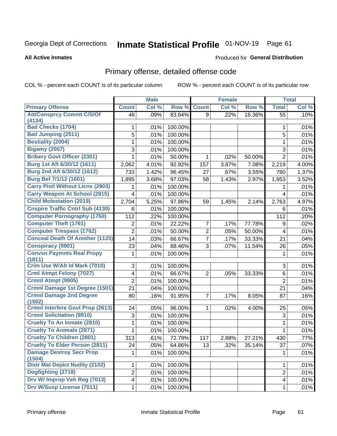# Inmate Statistical Profile 01-NOV-19 Page 61

**All Active Inmates** 

### Produced for General Distribution

# Primary offense, detailed offense code

COL % - percent each COUNT is of its particular column

|                                          |                | <b>Male</b> |         |                | <b>Female</b> |        |                | <b>Total</b> |
|------------------------------------------|----------------|-------------|---------|----------------|---------------|--------|----------------|--------------|
| <b>Primary Offense</b>                   | <b>Count</b>   | Col %       | Row %   | <b>Count</b>   | Col %         | Row %  | <b>Total</b>   | Col %        |
| <b>Att/Consprcy Commt C/S/Of</b>         | 46             | .09%        | 83.64%  | 9              | .22%          | 16.36% | 55             | .10%         |
| (4134)<br><b>Bad Checks (1704)</b>       |                |             |         |                |               |        |                |              |
|                                          | 1              | .01%        | 100.00% |                |               |        | 1              | .01%         |
| <b>Bail Jumping (2511)</b>               | 5              | .01%        | 100.00% |                |               |        | 5              | .01%         |
| <b>Bestiality (2004)</b>                 | 1              | .01%        | 100.00% |                |               |        | 1              | .01%         |
| <b>Bigamy (2007)</b>                     | 3              | .01%        | 100.00% |                |               |        | 3              | .01%         |
| <b>Bribery Govt Officer (2301)</b>       | 1              | .01%        | 50.00%  | 1              | .02%          | 50.00% | $\overline{2}$ | .01%         |
| Burg 1st Aft 6/30/12 (1611)              | 2,062          | 4.01%       | 92.92%  | 157            | 3.87%         | 7.08%  | 2,219          | 4.00%        |
| Burg 2nd Aft 6/30/12 (1612)              | 733            | 1.42%       | 96.45%  | 27             | .67%          | 3.55%  | 760            | 1.37%        |
| <b>Burg Bef 7/1/12 (1601)</b>            | 1,895          | 3.68%       | 97.03%  | 58             | 1.43%         | 2.97%  | 1,953          | 3.52%        |
| <b>Carry Pistl Without Licns (2903)</b>  | 1              | .01%        | 100.00% |                |               |        | 1              | .01%         |
| <b>Carry Weapon At School (2915)</b>     | 4              | .01%        | 100.00% |                |               |        | 4              | .01%         |
| <b>Child Molestation (2019)</b>          | 2,704          | 5.25%       | 97.86%  | 59             | 1.45%         | 2.14%  | 2,763          | 4.97%        |
| <b>Cnspire Traffic Cntrl Sub (4130)</b>  | 6              | .01%        | 100.00% |                |               |        | 6              | .01%         |
| <b>Computer Pornography (1760)</b>       | 112            | .22%        | 100.00% |                |               |        | 112            | .20%         |
| <b>Computer Theft (1761)</b>             | 2              | .01%        | 22.22%  | $\overline{7}$ | .17%          | 77.78% | 9              | .02%         |
| <b>Computer Trespass (1762)</b>          | $\overline{2}$ | .01%        | 50.00%  | $\overline{2}$ | .05%          | 50.00% | 4              | .01%         |
| <b>Conceal Death Of Another (1125)</b>   | 14             | .03%        | 66.67%  | $\overline{7}$ | .17%          | 33.33% | 21             | .04%         |
| <b>Conspiracy (9901)</b>                 | 23             | .04%        | 88.46%  | 3              | .07%          | 11.54% | 26             | .05%         |
| <b>Convsn Paymnts Real Propy</b>         | 1              | .01%        | 100.00% |                |               |        | 1              | .01%         |
| (1811)                                   |                |             |         |                |               |        |                |              |
| Crim Use W/Alt Id Mark (7010)            | 3              | .01%        | 100.00% |                |               |        | 3              | .01%         |
| <b>Crml Atmpt Felony (7027)</b>          | 4              | .01%        | 66.67%  | $\overline{2}$ | .05%          | 33.33% | 6              | .01%         |
| Crmnl Atmpt (9905)                       | $\overline{2}$ | .01%        | 100.00% |                |               |        | $\overline{2}$ | .01%         |
| Crmnl Damage 1st Degree (1501)           | 21             | .04%        | 100.00% |                |               |        | 21             | .04%         |
| <b>Crmnl Damage 2nd Degree</b><br>(1502) | 80             | .16%        | 91.95%  | $\overline{7}$ | .17%          | 8.05%  | 87             | .16%         |
| <b>Crmnl Interfere Govt Prop (2613)</b>  | 24             | .05%        | 96.00%  | $\mathbf{1}$   | .02%          | 4.00%  | 25             | .05%         |
| <b>Crmnl Solicitation (9910)</b>         | $\sqrt{3}$     | .01%        | 100.00% |                |               |        | $\sqrt{3}$     | .01%         |
| <b>Cruelty To An Inmate (2810)</b>       | 1              | .01%        | 100.00% |                |               |        | $\mathbf{1}$   | .01%         |
| <b>Cruelty To Animals (2971)</b>         | 1              | .01%        | 100.00% |                |               |        | 1              | .01%         |
| <b>Cruelty To Children (2801)</b>        | 313            | .61%        | 72.79%  | 117            | 2.88%         | 27.21% | 430            | .77%         |
| <b>Cruelty To Elder Person (2811)</b>    | 24             | .05%        | 64.86%  | 13             | .32%          | 35.14% | 37             | $.07\%$      |
| <b>Damage Destroy Secr Prop</b>          | 1              | .01%        | 100.00% |                |               |        | 1              | .01%         |
| (1504)                                   |                |             |         |                |               |        |                |              |
| <b>Distr Mat Depict Nudity (2102)</b>    | $\mathbf 1$    | .01%        | 100.00% |                |               |        | 1              | .01%         |
| Dogfighting (2718)                       | $\overline{2}$ | .01%        | 100.00% |                |               |        | $\overline{2}$ | .01%         |
| Drv W/ Improp Veh Reg (7013)             | 4              | .01%        | 100.00% |                |               |        | 4              | .01%         |
| <b>Drv W/Susp License (7011)</b>         | 1              | .01%        | 100.00% |                |               |        | 1              | .01%         |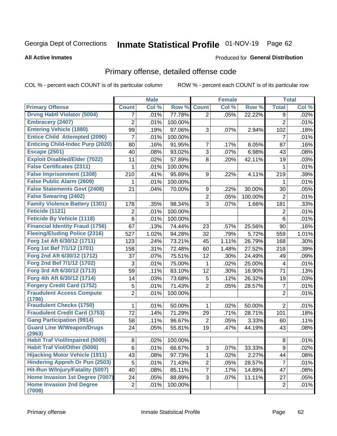# Inmate Statistical Profile 01-NOV-19 Page 62

#### **All Active Inmates**

## **Produced for General Distribution**

# Primary offense, detailed offense code

COL % - percent each COUNT is of its particular column

|                                                                         |                | <b>Male</b> |         |                | <b>Female</b> |         |                | <b>Total</b> |
|-------------------------------------------------------------------------|----------------|-------------|---------|----------------|---------------|---------|----------------|--------------|
| <b>Primary Offense</b>                                                  | <b>Count</b>   | Col %       | Row %   | <b>Count</b>   | Col %         | Row %   | <b>Total</b>   | Col %        |
| <b>Drvng Habtl Violator (5004)</b>                                      | 7              | .01%        | 77.78%  | $\overline{2}$ | .05%          | 22.22%  | 9              | .02%         |
| <b>Embracery (2407)</b>                                                 | 2              | .01%        | 100.00% |                |               |         | $\overline{2}$ | .01%         |
| <b>Entering Vehicle (1880)</b>                                          | 99             | .19%        | 97.06%  | 3              | .07%          | 2.94%   | 102            | .18%         |
| <b>Entice Child Attempted (2090)</b>                                    | 7              | .01%        | 100.00% |                |               |         | 7              | .01%         |
| <b>Enticing Child-Indec Purp (2020)</b>                                 | 80             | .16%        | 91.95%  | $\overline{7}$ | .17%          | 8.05%   | 87             | .16%         |
| <b>Escape (2501)</b>                                                    | 40             | .08%        | 93.02%  | 3              | .07%          | 6.98%   | 43             | .08%         |
| <b>Exploit Disabled/Elder (7022)</b>                                    | 11             | .02%        | 57.89%  | 8              | .20%          | 42.11%  | 19             | .03%         |
| <b>False Certificates (2311)</b>                                        | 1              | .01%        | 100.00% |                |               |         | 1              | .01%         |
| <b>False Imprisonment (1308)</b>                                        | 210            | .41%        | 95.89%  | 9              | .22%          | 4.11%   | 219            | .39%         |
| <b>False Public Alarm (2609)</b>                                        | 1              | .01%        | 100.00% |                |               |         | 1              | .01%         |
| <b>False Statements Govt (2408)</b>                                     | 21             | .04%        | 70.00%  | 9              | .22%          | 30.00%  | 30             | .05%         |
| <b>False Swearing (2402)</b>                                            |                |             |         | $\overline{2}$ | .05%          | 100.00% | $\overline{2}$ | .01%         |
| <b>Family Violence Battery (1301)</b>                                   | 178            | .35%        | 98.34%  | 3              | .07%          | 1.66%   | 181            | .33%         |
| Feticide (1121)                                                         | 2              | .01%        | 100.00% |                |               |         | 2              | .01%         |
| <b>Feticide By Vehicle (1118)</b>                                       | 6              | .01%        | 100.00% |                |               |         | 6              | .01%         |
| <b>Financial Identity Fraud (1756)</b>                                  | 67             | .13%        | 74.44%  | 23             | .57%          | 25.56%  | 90             | .16%         |
| <b>Fleeing/Eluding Police (2316)</b>                                    | 527            | 1.02%       | 94.28%  | 32             | .79%          | 5.72%   | 559            | 1.01%        |
| Forg 1st Aft 6/30/12 (1711)                                             | 123            | .24%        | 73.21%  | 45             | 1.11%         | 26.79%  | 168            | .30%         |
| Forg 1st Bef 7/1/12 (1701)                                              | 158            | .31%        | 72.48%  | 60             | 1.48%         | 27.52%  | 218            | .39%         |
| Forg 2nd Aft 6/30/12 (1712)                                             | 37             | .07%        | 75.51%  | 12             | .30%          | 24.49%  | 49             | .09%         |
| Forg 2nd Bef 7/1/12 (1702)                                              | 3              | .01%        | 75.00%  | $\mathbf{1}$   | .02%          | 25.00%  | 4              | .01%         |
| Forg 3rd Aft 6/30/12 (1713)                                             | 59             | .11%        | 83.10%  | 12             | .30%          | 16.90%  | 71             | .13%         |
| Forg 4th Aft 6/30/12 (1714)                                             | 14             | .03%        | 73.68%  | 5              | .12%          | 26.32%  | 19             | .03%         |
| <b>Forgery Credit Card (1752)</b>                                       | 5              | .01%        | 71.43%  | $\overline{2}$ | .05%          | 28.57%  | $\overline{7}$ | .01%         |
| <b>Fraudulent Access Compute</b>                                        | $\overline{2}$ | .01%        | 100.00% |                |               |         | $\overline{2}$ | .01%         |
| (1796)                                                                  |                |             |         |                |               |         |                |              |
| <b>Fraudulent Checks (1750)</b><br><b>Fraudulent Credit Card (1753)</b> | 1              | .01%        | 50.00%  | $\mathbf 1$    | .02%          | 50.00%  | $\overline{2}$ | .01%         |
|                                                                         | 72             | .14%        | 71.29%  | 29             | .71%          | 28.71%  | 101            | .18%         |
| <b>Gang Participation (9914)</b>                                        | 58             | .11%        | 96.67%  | 2              | .05%          | 3.33%   | 60             | .11%         |
| <b>Guard Line W/Weapon/Drugs</b><br>(2963)                              | 24             | .05%        | 55.81%  | 19             | .47%          | 44.19%  | 43             | .08%         |
| <b>Habit Traf Viol/Impaired (5005)</b>                                  | 8 <sup>1</sup> | .02%        | 100.00% |                |               |         | 8              | .01%         |
| <b>Habit Traf Viol/Other (5006)</b>                                     | 6              | .01%        | 66.67%  | 3              | .07%          | 33.33%  | 9              | .02%         |
| <b>Hijacking Motor Vehicle (1911)</b>                                   | 43             | .08%        | 97.73%  | $\mathbf{1}$   | .02%          | 2.27%   | 44             | .08%         |
| <b>Hindering Appreh Or Pun (2503)</b>                                   | 5              | .01%        | 71.43%  | $\overline{2}$ | .05%          | 28.57%  | $\overline{7}$ | .01%         |
| Hit-Run W/Injury/Fatality (5007)                                        | 40             | .08%        | 85.11%  | $\overline{7}$ | .17%          | 14.89%  | 47             | .08%         |
| Home Invasion 1st Degree (7007)                                         | 24             | .05%        | 88.89%  | 3 <sup>1</sup> | .07%          | 11.11%  | 27             | .05%         |
| <b>Home Invasion 2nd Degree</b>                                         | $\overline{2}$ | .01%        | 100.00% |                |               |         | $\overline{2}$ | .01%         |
| (7008)                                                                  |                |             |         |                |               |         |                |              |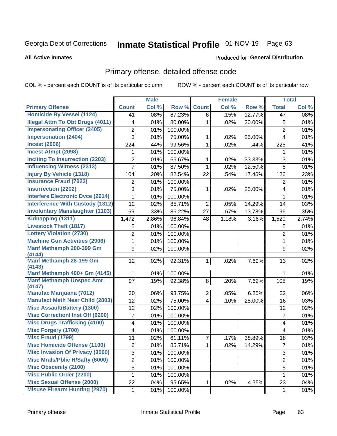# Inmate Statistical Profile 01-NOV-19 Page 63

#### **All Active Inmates**

### Produced for General Distribution

# Primary offense, detailed offense code

COL % - percent each COUNT is of its particular column

|                                          |                         | <b>Male</b> |                  |                | <b>Female</b> |        |                         | <b>Total</b> |
|------------------------------------------|-------------------------|-------------|------------------|----------------|---------------|--------|-------------------------|--------------|
| <b>Primary Offense</b>                   | <b>Count</b>            | Col %       | Row <sup>%</sup> | <b>Count</b>   | Col %         | Row %  | <b>Total</b>            | Col %        |
| <b>Homicide By Vessel (1124)</b>         | 41                      | .08%        | 87.23%           | 6              | .15%          | 12.77% | 47                      | .08%         |
| <b>Illegal Attm To Obt Drugs (4011)</b>  | 4                       | .01%        | 80.00%           | 1              | .02%          | 20.00% | 5                       | .01%         |
| <b>Impersonating Officer (2405)</b>      | $\overline{2}$          | .01%        | 100.00%          |                |               |        | $\overline{2}$          | .01%         |
| <b>Impersonation (2404)</b>              | 3                       | .01%        | 75.00%           | 1              | .02%          | 25.00% | $\overline{4}$          | .01%         |
| <b>Incest (2006)</b>                     | 224                     | .44%        | 99.56%           | 1              | .02%          | .44%   | 225                     | .41%         |
| <b>Incest Atmpt (2098)</b>               | 1                       | .01%        | 100.00%          |                |               |        | 1                       | .01%         |
| <b>Inciting To Insurrection (2203)</b>   | 2                       | .01%        | 66.67%           | 1              | .02%          | 33.33% | 3                       | .01%         |
| <b>Influencing Witness (2313)</b>        | 7                       | .01%        | 87.50%           | 1              | .02%          | 12.50% | 8                       | .01%         |
| <b>Injury By Vehicle (1318)</b>          | 104                     | .20%        | 82.54%           | 22             | .54%          | 17.46% | 126                     | .23%         |
| <b>Insurance Fraud (7023)</b>            | 2                       | .01%        | 100.00%          |                |               |        | 2                       | .01%         |
| <b>Insurrection (2202)</b>               | 3                       | .01%        | 75.00%           | 1              | .02%          | 25.00% | $\overline{\mathbf{4}}$ | .01%         |
| <b>Interfere Electronic Dvce (2614)</b>  | 1                       | .01%        | 100.00%          |                |               |        | 1                       | .01%         |
| <b>Interference With Custody (1312)</b>  | 12                      | .02%        | 85.71%           | $\overline{2}$ | .05%          | 14.29% | 14                      | .03%         |
| <b>Involuntary Manslaughter (1103)</b>   | 169                     | .33%        | 86.22%           | 27             | .67%          | 13.78% | 196                     | .35%         |
| Kidnapping (1311)                        | 1,472                   | 2.86%       | 96.84%           | 48             | 1.18%         | 3.16%  | 1,520                   | 2.74%        |
| <b>Livestock Theft (1817)</b>            | 5                       | .01%        | 100.00%          |                |               |        | 5                       | .01%         |
| <b>Lottery Violation (2730)</b>          | $\overline{2}$          | .01%        | 100.00%          |                |               |        | $\overline{2}$          | .01%         |
| <b>Machine Gun Activities (2906)</b>     | 1                       | .01%        | 100.00%          |                |               |        | 1                       | .01%         |
| Manf Methamph 200-399 Gm                 | 9                       | .02%        | 100.00%          |                |               |        | 9                       | .02%         |
| (4144)                                   |                         |             |                  |                |               |        |                         |              |
| <b>Manf Methamph 28-199 Gm</b><br>(4143) | 12                      | .02%        | 92.31%           | 1              | .02%          | 7.69%  | 13                      | .02%         |
| Manf Methamph 400+ Gm (4145)             | $\mathbf{1}$            | .01%        | 100.00%          |                |               |        | 1.                      | .01%         |
| <b>Manf Methamph Unspec Amt</b>          | 97                      | .19%        | 92.38%           | 8              | .20%          | 7.62%  | 105                     | .19%         |
| (4147)                                   |                         |             |                  |                |               |        |                         |              |
| <b>Manufac Marijuana (7012)</b>          | 30                      | .06%        | 93.75%           | $\overline{2}$ | .05%          | 6.25%  | 32                      | .06%         |
| <b>Manufact Meth Near Child (2803)</b>   | 12                      | .02%        | 75.00%           | 4              | .10%          | 25.00% | 16                      | .03%         |
| <b>Misc Assault/Battery (1300)</b>       | 12                      | .02%        | 100.00%          |                |               |        | 12                      | .02%         |
| <b>Misc Correctionl Inst Off (6200)</b>  | $\overline{7}$          | .01%        | 100.00%          |                |               |        | $\overline{7}$          | .01%         |
| <b>Misc Drugs Trafficking (4100)</b>     | $\overline{\mathbf{4}}$ | .01%        | 100.00%          |                |               |        | $\overline{\mathbf{4}}$ | .01%         |
| <b>Misc Forgery (1700)</b>               | 4                       | .01%        | 100.00%          |                |               |        | 4                       | .01%         |
| <b>Misc Fraud (1799)</b>                 | 11                      | .02%        | 61.11%           | 7              | .17%          | 38.89% | 18                      | .03%         |
| <b>Misc Homicide Offense (1100)</b>      | 6                       | .01%        | 85.71%           | $\mathbf{1}$   | .02%          | 14.29% | $\overline{7}$          | .01%         |
| <b>Misc Invasion Of Privacy (3000)</b>   | 3                       | .01%        | 100.00%          |                |               |        | 3                       | .01%         |
| <b>Misc Mrals/Pblic H/Safty (6000)</b>   | $\overline{2}$          | .01%        | 100.00%          |                |               |        | $\overline{2}$          | .01%         |
| <b>Misc Obscenity (2100)</b>             | 5                       | .01%        | 100.00%          |                |               |        | 5                       | .01%         |
| <b>Misc Public Order (2200)</b>          | 1                       | .01%        | 100.00%          |                |               |        | 1                       | .01%         |
| <b>Misc Sexual Offense (2000)</b>        | 22                      | .04%        | 95.65%           | 1              | .02%          | 4.35%  | 23                      | .04%         |
| <b>Misuse Firearm Hunting (2970)</b>     | 1                       | .01%        | 100.00%          |                |               |        | $\mathbf 1$             | .01%         |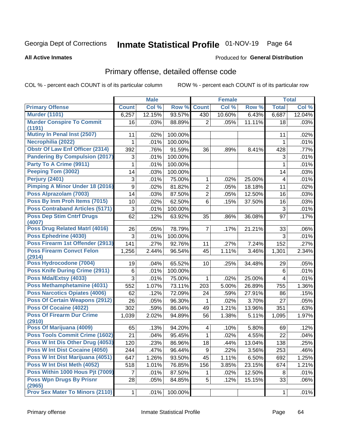# Inmate Statistical Profile 01-NOV-19 Page 64

#### **All Active Inmates**

### Produced for General Distribution

# Primary offense, detailed offense code

COL % - percent each COUNT is of its particular column

|                                            |              | <b>Male</b> |         |                 | <b>Female</b> |        |              | <b>Total</b> |
|--------------------------------------------|--------------|-------------|---------|-----------------|---------------|--------|--------------|--------------|
| <b>Primary Offense</b>                     | <b>Count</b> | Col %       | Row %   | <b>Count</b>    | Col %         | Row %  | <b>Total</b> | Col %        |
| <b>Murder (1101)</b>                       | 6,257        | 12.15%      | 93.57%  | 430             | 10.60%        | 6.43%  | 6,687        | 12.04%       |
| <b>Murder Conspire To Commit</b><br>(1191) | 16           | .03%        | 88.89%  | $\overline{2}$  | .05%          | 11.11% | 18           | .03%         |
| <b>Mutiny In Penal Inst (2507)</b>         | 11           | .02%        | 100.00% |                 |               |        | 11           | .02%         |
| Necrophilia (2022)                         |              | .01%        | 100.00% |                 |               |        | 1            | .01%         |
| <b>Obstr Of Law Enf Officer (2314)</b>     | 392          | .76%        | 91.59%  | 36              | .89%          | 8.41%  | 428          | .77%         |
| <b>Pandering By Compulsion (2017)</b>      | 3            | .01%        | 100.00% |                 |               |        | 3            | .01%         |
| Party To A Crime (9911)                    | 1            | .01%        | 100.00% |                 |               |        | 1            | .01%         |
| Peeping Tom (3002)                         | 14           | .03%        | 100.00% |                 |               |        | 14           | .03%         |
| Perjury (2401)                             | 3            | .01%        | 75.00%  | 1               | $.02\%$       | 25.00% | 4            | .01%         |
| Pimping A Minor Under 18 (2016)            | 9            | .02%        | 81.82%  | $\overline{2}$  | .05%          | 18.18% | 11           | .02%         |
| Poss Alprazolam (7003)                     | 14           | .03%        | 87.50%  | $\overline{2}$  | .05%          | 12.50% | 16           | .03%         |
| Poss By Inm Proh Items (7015)              | 10           | .02%        | 62.50%  | 6               | .15%          | 37.50% | 16           | .03%         |
| <b>Poss Contraband Articles (5171)</b>     | 3            | .01%        | 100.00% |                 |               |        | 3            | .01%         |
| <b>Poss Dep Stim Cntrf Drugs</b><br>(4007) | 62           | .12%        | 63.92%  | 35              | .86%          | 36.08% | 97           | .17%         |
| Poss Drug Related Matrl (4016)             | 26           | .05%        | 78.79%  | $\overline{7}$  | .17%          | 21.21% | 33           | .06%         |
| Poss Ephedrine (4030)                      | 3            | .01%        | 100.00% |                 |               |        | 3            | .01%         |
| Poss Firearm 1st Offender (2913)           | 141          | .27%        | 92.76%  | 11              | .27%          | 7.24%  | 152          | .27%         |
| <b>Poss Firearm Convct Felon</b><br>(2914) | 1,256        | 2.44%       | 96.54%  | 45              | 1.11%         | 3.46%  | 1,301        | 2.34%        |
| Poss Hydrocodone (7004)                    | 19           | .04%        | 65.52%  | 10              | .25%          | 34.48% | 29           | .05%         |
| <b>Poss Knife During Crime (2911)</b>      | 6            | .01%        | 100.00% |                 |               |        | 6            | .01%         |
| Poss Mda/Extsy (4033)                      | 3            | .01%        | 75.00%  | 1.              | $.02\%$       | 25.00% | 4            | .01%         |
| Poss Methamphetamine (4031)                | 552          | 1.07%       | 73.11%  | 203             | 5.00%         | 26.89% | 755          | 1.36%        |
| <b>Poss Narcotics Opiates (4006)</b>       | 62           | .12%        | 72.09%  | 24              | .59%          | 27.91% | 86           | .15%         |
| <b>Poss Of Certain Weapons (2912)</b>      | 26           | .05%        | 96.30%  | 1               | .02%          | 3.70%  | 27           | .05%         |
| <b>Poss Of Cocaine (4022)</b>              | 302          | .59%        | 86.04%  | 49              | 1.21%         | 13.96% | 351          | .63%         |
| <b>Poss Of Firearm Dur Crime</b>           | 1,039        | 2.02%       | 94.89%  | 56              | 1.38%         | 5.11%  | 1,095        | 1.97%        |
| (2910)                                     |              |             |         |                 |               |        |              |              |
| Poss Of Marijuana (4009)                   | 65           | .13%        | 94.20%  | 4               | .10%          | 5.80%  | 69           | .12%         |
| Poss Tools Commit Crime (1602)             | 21           | .04%        | 95.45%  | $\mathbf{1}$    | .02%          | 4.55%  | 22           | .04%         |
| Poss W Int Dis Other Drug (4053)           | 120          | .23%        | 86.96%  | $\overline{18}$ | .44%          | 13.04% | 138          | .25%         |
| Poss W Int Dist Cocaine (4050)             | 244          | .47%        | 96.44%  | 9               | .22%          | 3.56%  | 253          | .46%         |
| Poss W Int Dist Marijuana (4051)           | 647          | 1.26%       | 93.50%  | 45              | 1.11%         | 6.50%  | 692          | 1.25%        |
| Poss W Int Dist Meth (4052)                | 518          | 1.01%       | 76.85%  | 156             | 3.85%         | 23.15% | 674          | 1.21%        |
| Poss Within 1000 Hous Pjt (7009)           | 7            | .01%        | 87.50%  | 1               | .02%          | 12.50% | 8            | .01%         |
| <b>Poss Wpn Drugs By Prisnr</b><br>(2965)  | 28           | .05%        | 84.85%  | 5               | .12%          | 15.15% | 33           | .06%         |
| <b>Prov Sex Mater To Minors (2110)</b>     | $\mathbf{1}$ | .01%        | 100.00% |                 |               |        | $\mathbf{1}$ | .01%         |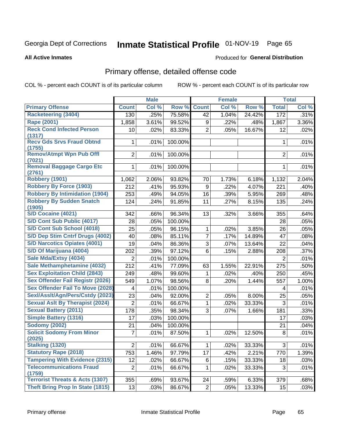# Inmate Statistical Profile 01-NOV-19 Page 65

#### **All Active Inmates**

### Produced for General Distribution

# Primary offense, detailed offense code

COL % - percent each COUNT is of its particular column

|                                            |                | <b>Male</b> |         |                | <b>Female</b> |        |                | <b>Total</b> |
|--------------------------------------------|----------------|-------------|---------|----------------|---------------|--------|----------------|--------------|
| <b>Primary Offense</b>                     | <b>Count</b>   | Col %       | Row %   | <b>Count</b>   | Col %         | Row %  | <b>Total</b>   | Col %        |
| <b>Racketeering (3404)</b>                 | 130            | .25%        | 75.58%  | 42             | 1.04%         | 24.42% | 172            | .31%         |
| Rape (2001)                                | 1,858          | 3.61%       | 99.52%  | 9              | .22%          | .48%   | 1,867          | 3.36%        |
| <b>Reck Cond Infected Person</b>           | 10             | .02%        | 83.33%  | $\overline{2}$ | .05%          | 16.67% | 12             | .02%         |
| (1317)                                     |                |             |         |                |               |        |                |              |
| <b>Recv Gds Srvs Fraud Obtnd</b><br>(1755) | 1              | .01%        | 100.00% |                |               |        | 1              | .01%         |
| <b>Remov/Atmpt Wpn Pub Offl</b>            | $\overline{2}$ | .01%        | 100.00% |                |               |        | $\overline{2}$ | .01%         |
| (7021)                                     |                |             |         |                |               |        |                |              |
| <b>Removal Baggage Cargo Etc</b><br>(2761) | 1              | .01%        | 100.00% |                |               |        | 1              | .01%         |
| Robbery (1901)                             | 1,062          | 2.06%       | 93.82%  | 70             | 1.73%         | 6.18%  | 1,132          | 2.04%        |
| <b>Robbery By Force (1903)</b>             | 212            | .41%        | 95.93%  | $9\,$          | .22%          | 4.07%  | 221            | .40%         |
| <b>Robbery By Intimidation (1904)</b>      | 253            | .49%        | 94.05%  | 16             | .39%          | 5.95%  | 269            | .48%         |
| <b>Robbery By Sudden Snatch</b>            | 124            | .24%        | 91.85%  | 11             | .27%          | 8.15%  | 135            | .24%         |
| (1905)<br>S/D Cocaine (4021)               | 342            | .66%        | 96.34%  | 13             | .32%          | 3.66%  | 355            | .64%         |
| S/D Cont Sub Public (4017)                 | 28             | .05%        | 100.00% |                |               |        | 28             | .05%         |
| S/D Cont Sub School (4018)                 | 25             | .05%        | 96.15%  | 1              | .02%          | 3.85%  | 26             | .05%         |
| S/D Dep Stim Cntrf Drugs (4002)            | 40             | .08%        | 85.11%  | $\overline{7}$ | .17%          | 14.89% | 47             | .08%         |
| <b>S/D Narcotics Opiates (4001)</b>        | 19             | .04%        | 86.36%  | 3              | .07%          | 13.64% | 22             | .04%         |
| S/D Of Marijuana (4004)                    | 202            | .39%        | 97.12%  | $6\phantom{1}$ | .15%          | 2.88%  | 208            | .37%         |
| Sale Mda/Extsy (4034)                      | $\overline{2}$ | .01%        | 100.00% |                |               |        | $\overline{2}$ | .01%         |
| Sale Methamphetamine (4032)                | 212            | .41%        | 77.09%  | 63             | 1.55%         | 22.91% | 275            | .50%         |
| <b>Sex Exploitation Child (2843)</b>       | 249            | .48%        | 99.60%  | 1              | .02%          | .40%   | 250            | .45%         |
| <b>Sex Offender Fail Registr (2026)</b>    | 549            | 1.07%       | 98.56%  | 8              | .20%          | 1.44%  | 557            | 1.00%        |
| <b>Sex Offender Fail To Move (2028)</b>    | 4              | .01%        | 100.00% |                |               |        | 4              | .01%         |
| Sexl/Asslt/Agn/Pers/Cstdy (2023)           | 23             | .04%        | 92.00%  | $\overline{2}$ | .05%          | 8.00%  | 25             | .05%         |
| <b>Sexual Aslt By Therapist (2024)</b>     | $\overline{2}$ | .01%        | 66.67%  | $\mathbf{1}$   | .02%          | 33.33% | 3              | .01%         |
| <b>Sexual Battery (2011)</b>               | 178            | .35%        | 98.34%  | 3              | .07%          | 1.66%  | 181            | .33%         |
| <b>Simple Battery (1316)</b>               | 17             | .03%        | 100.00% |                |               |        | 17             | .03%         |
| <b>Sodomy (2002)</b>                       | 21             | .04%        | 100.00% |                |               |        | 21             | .04%         |
| <b>Solicit Sodomy From Minor</b><br>(2025) | 7              | .01%        | 87.50%  | 1              | .02%          | 12.50% | 8              | .01%         |
| <b>Stalking (1320)</b>                     | $\overline{c}$ | .01%        | 66.67%  | $\mathbf{1}$   | .02%          | 33.33% | 3              | .01%         |
| <b>Statutory Rape (2018)</b>               | 753            | 1.46%       | 97.79%  | 17             | .42%          | 2.21%  | 770            | 1.39%        |
| <b>Tampering With Evidence (2315)</b>      | 12             | .02%        | 66.67%  | 6              | .15%          | 33.33% | 18             | .03%         |
| <b>Telecommunications Fraud</b>            | $\overline{2}$ | .01%        | 66.67%  | 1              | .02%          | 33.33% | 3              | .01%         |
| (1759)                                     |                |             |         |                |               |        |                |              |
| <b>Terrorist Threats &amp; Acts (1307)</b> | 355            | .69%        | 93.67%  | 24             | .59%          | 6.33%  | 379            | .68%         |
| <b>Theft Bring Prop In State (1815)</b>    | 13             | .03%        | 86.67%  | 2 <sup>1</sup> | .05%          | 13.33% | 15             | .03%         |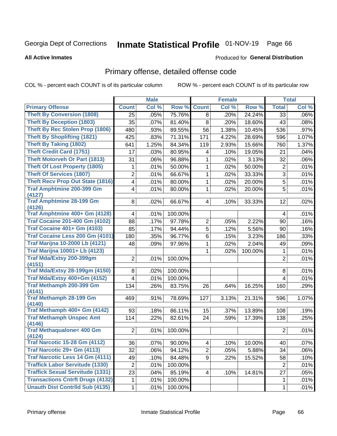# Inmate Statistical Profile 01-NOV-19 Page 66

#### **All Active Inmates**

## **Produced for General Distribution**

# Primary offense, detailed offense code

COL % - percent each COUNT is of its particular column

|                                                |                         | <b>Male</b> |         |                | <b>Female</b> |         |                | <b>Total</b> |
|------------------------------------------------|-------------------------|-------------|---------|----------------|---------------|---------|----------------|--------------|
| <b>Primary Offense</b>                         | <b>Count</b>            | Col %       | Row %   | <b>Count</b>   | Col %         | Row %   | <b>Total</b>   | Col %        |
| <b>Theft By Conversion (1808)</b>              | 25                      | .05%        | 75.76%  | 8              | .20%          | 24.24%  | 33             | $.06\%$      |
| <b>Theft By Deception (1803)</b>               | 35                      | .07%        | 81.40%  | 8              | .20%          | 18.60%  | 43             | .08%         |
| <b>Theft By Rec Stolen Prop (1806)</b>         | 480                     | .93%        | 89.55%  | 56             | 1.38%         | 10.45%  | 536            | .97%         |
| <b>Theft By Shoplifting (1821)</b>             | 425                     | .83%        | 71.31%  | 171            | 4.22%         | 28.69%  | 596            | 1.07%        |
| <b>Theft By Taking (1802)</b>                  | 641                     | 1.25%       | 84.34%  | 119            | 2.93%         | 15.66%  | 760            | 1.37%        |
| <b>Theft Credit Card (1751)</b>                | 17                      | .03%        | 80.95%  | 4              | .10%          | 19.05%  | 21             | .04%         |
| <b>Theft Motorveh Or Part (1813)</b>           | 31                      | .06%        | 96.88%  | 1              | .02%          | 3.13%   | 32             | .06%         |
| <b>Theft Of Lost Property (1805)</b>           | 1                       | .01%        | 50.00%  | 1              | .02%          | 50.00%  | $\overline{2}$ | .01%         |
| <b>Theft Of Services (1807)</b>                | $\overline{2}$          | .01%        | 66.67%  | 1              | .02%          | 33.33%  | 3              | .01%         |
| <b>Theft Recv Prop Out State (1816)</b>        | 4                       | .01%        | 80.00%  | 1              | .02%          | 20.00%  | 5              | .01%         |
| <b>Traf Amphtmine 200-399 Gm</b>               | 4                       | .01%        | 80.00%  | 1              | .02%          | 20.00%  | 5              | .01%         |
| (4127)                                         |                         |             |         |                |               |         |                |              |
| <b>Traf Amphtmine 28-199 Gm</b><br>(4126)      | 8                       | .02%        | 66.67%  | 4              | .10%          | 33.33%  | 12             | .02%         |
| Traf Amphtmine 400+ Gm (4128)                  | 4                       | .01%        | 100.00% |                |               |         | 4              | .01%         |
| <b>Traf Cocaine 201-400 Gm (4102)</b>          | 88                      | .17%        | 97.78%  | 2              | .05%          | 2.22%   | 90             | .16%         |
| <b>Traf Cocaine 401+ Gm (4103)</b>             | 85                      | .17%        | 94.44%  | 5              | .12%          | 5.56%   | 90             | .16%         |
| Traf Cocaine Less 200 Gm (4101)                | 180                     | .35%        | 96.77%  | 6              | .15%          | 3.23%   | 186            | .33%         |
| <b>Traf Marijna 10-2000 Lb (4121)</b>          | 48                      | .09%        | 97.96%  | 1              | .02%          | 2.04%   | 49             | .09%         |
| <b>Traf Marijna 10001+ Lb (4123)</b>           |                         |             |         | 1              | .02%          | 100.00% | 1              | .01%         |
| Traf Mda/Extsy 200-399gm                       | $\overline{2}$          | .01%        | 100.00% |                |               |         | $\overline{2}$ | .01%         |
| (4151)                                         |                         |             |         |                |               |         |                |              |
| <b>Traf Mda/Extsy 28-199gm (4150)</b>          | 8                       | .02%        | 100.00% |                |               |         | 8              | .01%         |
| Traf Mda/Extsy 400+Gm (4152)                   | $\overline{\mathbf{4}}$ | .01%        | 100.00% |                |               |         | 4              | .01%         |
| Traf Methamph 200-399 Gm                       | 134                     | .26%        | 83.75%  | 26             | .64%          | 16.25%  | 160            | .29%         |
| (4141)<br><b>Traf Methamph 28-199 Gm</b>       |                         |             |         |                |               |         |                |              |
| (4140)                                         | 469                     | .91%        | 78.69%  | 127            | 3.13%         | 21.31%  | 596            | 1.07%        |
| Traf Methamph 400+ Gm (4142)                   | 93                      | .18%        | 86.11%  | 15             | .37%          | 13.89%  | 108            | .19%         |
| <b>Traf Methamph Unspec Amt</b>                | 114                     | .22%        | 82.61%  | 24             | .59%          | 17.39%  | 138            | .25%         |
| (4146)                                         |                         |             |         |                |               |         |                |              |
| <b>Traf Methaqualone&lt; 400 Gm</b>            | $\overline{2}$          | .01%        | 100.00% |                |               |         | $\overline{2}$ | .01%         |
| (4124)<br><b>Traf Narcotic 15-28 Gm (4112)</b> |                         |             |         |                |               |         |                |              |
|                                                | 36                      | .07%        | 90.00%  | $4\vert$       | .10%          | 10.00%  | 40             | .07%         |
| Traf Narcotic 29+ Gm (4113)                    | 32                      | .06%        | 94.12%  | $\overline{2}$ | .05%          | 5.88%   | 34             | .06%         |
| <b>Traf Narcotic Less 14 Gm (4111)</b>         | 49                      | .10%        | 84.48%  | 9              | .22%          | 15.52%  | 58             | .10%         |
| <b>Traffick Labor Servitude (1330)</b>         | $\overline{2}$          | .01%        | 100.00% |                |               |         | $\overline{2}$ | .01%         |
| <b>Traffick Sexual Servitude (1331)</b>        | 23                      | .04%        | 85.19%  | 4              | .10%          | 14.81%  | 27             | .05%         |
| <b>Transactions Cntrft Drugs (4132)</b>        | 1                       | .01%        | 100.00% |                |               |         | $\mathbf{1}$   | .01%         |
| <b>Unauth Dist Contrild Sub (4135)</b>         | $\mathbf{1}$            | .01%        | 100.00% |                |               |         | 1              | .01%         |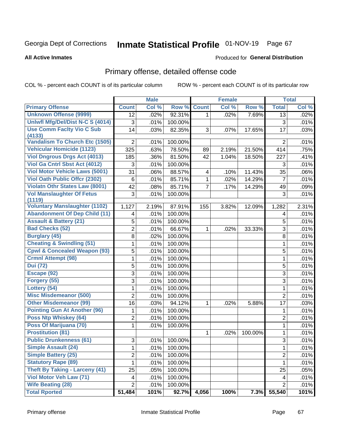# Inmate Statistical Profile 01-NOV-19 Page 67

#### **All Active Inmates**

### Produced for General Distribution

# Primary offense, detailed offense code

COL % - percent each COUNT is of its particular column

|                                            |                         | <b>Male</b> |         |                         | <b>Female</b> |         |                | <b>Total</b> |
|--------------------------------------------|-------------------------|-------------|---------|-------------------------|---------------|---------|----------------|--------------|
| <b>Primary Offense</b>                     | <b>Count</b>            | Col %       | Row %   | <b>Count</b>            | Col %         | Row %   | <b>Total</b>   | Col %        |
| <b>Unknown Offense (9999)</b>              | 12                      | .02%        | 92.31%  | $\mathbf{1}$            | .02%          | 7.69%   | 13             | .02%         |
| Uniwfl Mfg/Del/Dist N-C S (4014)           | 3                       | .01%        | 100.00% |                         |               |         | $\mathfrak{S}$ | .01%         |
| <b>Use Comm Facity Vio C Sub</b>           | 14                      | .03%        | 82.35%  | 3                       | .07%          | 17.65%  | 17             | .03%         |
| (4133)                                     |                         |             |         |                         |               |         |                |              |
| <b>Vandalism To Church Etc (1505)</b>      | $\overline{2}$          | .01%        | 100.00% |                         |               |         | $\overline{2}$ | .01%         |
| <b>Vehicular Homicide (1123)</b>           | 325                     | .63%        | 78.50%  | 89                      | 2.19%         | 21.50%  | 414            | .75%         |
| <b>Viol Dngrous Drgs Act (4013)</b>        | 185                     | .36%        | 81.50%  | 42                      | 1.04%         | 18.50%  | 227            | .41%         |
| Viol Ga Cntrl Sbst Act (4012)              | 3                       | .01%        | 100.00% |                         |               |         | 3              | .01%         |
| <b>Viol Motor Vehicle Laws (5001)</b>      | 31                      | .06%        | 88.57%  | $\overline{\mathbf{4}}$ | .10%          | 11.43%  | 35             | .06%         |
| <b>Viol Oath Public Offcr (2302)</b>       | $\,6$                   | .01%        | 85.71%  | 1                       | .02%          | 14.29%  | $\overline{7}$ | .01%         |
| <b>Violatn Othr States Law (8001)</b>      | 42                      | .08%        | 85.71%  | $\overline{7}$          | .17%          | 14.29%  | 49             | .09%         |
| <b>Vol Manslaughter Of Fetus</b><br>(1119) | $\mathbf{3}$            | .01%        | 100.00% |                         |               |         | 3              | .01%         |
| <b>Voluntary Manslaughter (1102)</b>       | 1,127                   | 2.19%       | 87.91%  | 155                     | 3.82%         | 12.09%  | 1,282          | 2.31%        |
| <b>Abandonment Of Dep Child (11)</b>       | 4                       | .01%        | 100.00% |                         |               |         | 4              | .01%         |
| <b>Assault &amp; Battery (21)</b>          | $\mathbf 5$             | .01%        | 100.00% |                         |               |         | 5              | .01%         |
| <b>Bad Checks (52)</b>                     | $\overline{2}$          | .01%        | 66.67%  | 1                       | .02%          | 33.33%  | 3              | .01%         |
| <b>Burglary (45)</b>                       | 8                       | .02%        | 100.00% |                         |               |         | $\,8\,$        | .01%         |
| <b>Cheating &amp; Swindling (51)</b>       | 1                       | .01%        | 100.00% |                         |               |         | $\mathbf{1}$   | .01%         |
| <b>Cpwl &amp; Concealed Weapon (93)</b>    | 5                       | .01%        | 100.00% |                         |               |         | 5              | .01%         |
| <b>Crmnl Attempt (98)</b>                  | $\mathbf{1}$            | .01%        | 100.00% |                         |               |         | $\mathbf{1}$   | .01%         |
| <b>Dui</b> (72)                            | 5                       | .01%        | 100.00% |                         |               |         | 5              | .01%         |
| Escape (92)                                | $\mathfrak{S}$          | .01%        | 100.00% |                         |               |         | 3              | .01%         |
| Forgery (55)                               | 3                       | .01%        | 100.00% |                         |               |         | 3              | .01%         |
| Lottery (54)                               | 1                       | .01%        | 100.00% |                         |               |         | 1              | .01%         |
| <b>Misc Misdemeanor (500)</b>              | $\overline{2}$          | .01%        | 100.00% |                         |               |         | $\overline{2}$ | .01%         |
| <b>Other Misdemeanor (99)</b>              | 16                      | .03%        | 94.12%  | 1                       | .02%          | 5.88%   | 17             | .03%         |
| <b>Pointing Gun At Another (96)</b>        | 1                       | .01%        | 100.00% |                         |               |         | $\mathbf 1$    | .01%         |
| Poss Ntp Whiskey (64)                      | $\overline{2}$          | .01%        | 100.00% |                         |               |         | $\overline{2}$ | .01%         |
| Poss Of Marijuana (70)                     | 1                       | .01%        | 100.00% |                         |               |         | 1              | .01%         |
| <b>Prostitution (81)</b>                   |                         |             |         | 1                       | .02%          | 100.00% | 1              | .01%         |
| <b>Public Drunkenness (61)</b>             | 3                       | .01%        | 100.00% |                         |               |         | 3              | .01%         |
| <b>Simple Assault (24)</b>                 | 1                       | .01%        | 100.00% |                         |               |         | 1              | .01%         |
| <b>Simple Battery (25)</b>                 | $\overline{2}$          | .01%        | 100.00% |                         |               |         | $\overline{2}$ | .01%         |
| <b>Statutory Rape (89)</b>                 | 1                       | .01%        | 100.00% |                         |               |         | 1              | .01%         |
| <b>Theft By Taking - Larceny (41)</b>      | 25                      | .05%        | 100.00% |                         |               |         | 25             | .05%         |
| Viol Motor Veh Law (71)                    | $\overline{\mathbf{4}}$ | .01%        | 100.00% |                         |               |         | 4              | .01%         |
| <b>Wife Beating (28)</b>                   | $\overline{2}$          | .01%        | 100.00% |                         |               |         | $\overline{2}$ | .01%         |
| <b>Total Rported</b>                       | 51,484                  | 101%        | 92.7%   | 4,056                   | 100%          | 7.3%    | 55,540         | 101%         |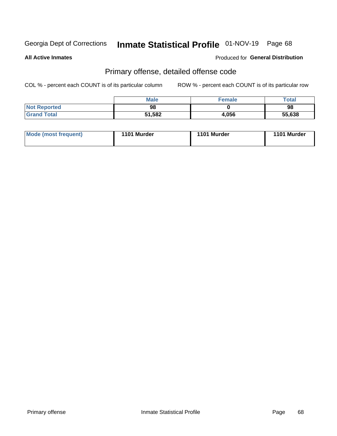# Inmate Statistical Profile 01-NOV-19 Page 68

**All Active Inmates** 

### Produced for General Distribution

# Primary offense, detailed offense code

COL % - percent each COUNT is of its particular column

|                     | Male   | <b>Female</b> | Total  |
|---------------------|--------|---------------|--------|
| <b>Not Reported</b> | 98     |               | 98     |
| <b>Grand Total</b>  | 51,582 | 4,056         | 55,638 |

| Mode (most frequent) | 1101 Murder | 1101 Murder | 1101 Murder |
|----------------------|-------------|-------------|-------------|
|                      |             |             |             |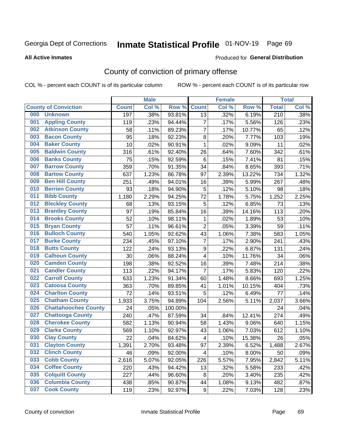# Inmate Statistical Profile 01-NOV-19 Page 69

**All Active Inmates** 

### Produced for General Distribution

# County of conviction of primary offense

COL % - percent each COUNT is of its particular column

|     |                             |              | <b>Male</b> |         |                         | <b>Female</b> |        |                  | <b>Total</b> |
|-----|-----------------------------|--------------|-------------|---------|-------------------------|---------------|--------|------------------|--------------|
|     | <b>County of Conviction</b> | <b>Count</b> | Col %       | Row %   | <b>Count</b>            | Col %         | Row %  | <b>Total</b>     | Col %        |
| 000 | <b>Unknown</b>              | 197          | .38%        | 93.81%  | 13                      | .32%          | 6.19%  | $\overline{210}$ | .38%         |
| 001 | <b>Appling County</b>       | 119          | .23%        | 94.44%  | $\overline{7}$          | .17%          | 5.56%  | 126              | .23%         |
| 002 | <b>Atkinson County</b>      | 58           | .11%        | 89.23%  | $\overline{7}$          | .17%          | 10.77% | 65               | .12%         |
| 003 | <b>Bacon County</b>         | 95           | .18%        | 92.23%  | 8                       | .20%          | 7.77%  | 103              | .19%         |
| 004 | <b>Baker County</b>         | 10           | .02%        | 90.91%  | $\mathbf{1}$            | .02%          | 9.09%  | 11               | .02%         |
| 005 | <b>Baldwin County</b>       | 316          | .61%        | 92.40%  | 26                      | .64%          | 7.60%  | 342              | .61%         |
| 006 | <b>Banks County</b>         | 75           | .15%        | 92.59%  | $\,6$                   | .15%          | 7.41%  | 81               | .15%         |
| 007 | <b>Barrow County</b>        | 359          | .70%        | 91.35%  | 34                      | .84%          | 8.65%  | 393              | .71%         |
| 008 | <b>Bartow County</b>        | 637          | 1.23%       | 86.78%  | 97                      | 2.39%         | 13.22% | 734              | 1.32%        |
| 009 | <b>Ben Hill County</b>      | 251          | .49%        | 94.01%  | 16                      | .39%          | 5.99%  | 267              | .48%         |
| 010 | <b>Berrien County</b>       | 93           | .18%        | 94.90%  | $\mathbf 5$             | .12%          | 5.10%  | 98               | .18%         |
| 011 | <b>Bibb County</b>          | 1,180        | 2.29%       | 94.25%  | 72                      | 1.78%         | 5.75%  | 1,252            | 2.25%        |
| 012 | <b>Bleckley County</b>      | 68           | .13%        | 93.15%  | 5                       | .12%          | 6.85%  | 73               | .13%         |
| 013 | <b>Brantley County</b>      | 97           | .19%        | 85.84%  | 16                      | .39%          | 14.16% | 113              | .20%         |
| 014 | <b>Brooks County</b>        | 52           | .10%        | 98.11%  | 1                       | .02%          | 1.89%  | 53               | .10%         |
| 015 | <b>Bryan County</b>         | 57           | .11%        | 96.61%  | $\overline{2}$          | .05%          | 3.39%  | 59               | .11%         |
| 016 | <b>Bulloch County</b>       | 540          | 1.05%       | 92.62%  | 43                      | 1.06%         | 7.38%  | 583              | 1.05%        |
| 017 | <b>Burke County</b>         | 234          | .45%        | 97.10%  | $\overline{7}$          | .17%          | 2.90%  | 241              | .43%         |
| 018 | <b>Butts County</b>         | 122          | .24%        | 93.13%  | $\boldsymbol{9}$        | .22%          | 6.87%  | 131              | .24%         |
| 019 | <b>Calhoun County</b>       | 30           | .06%        | 88.24%  | 4                       | .10%          | 11.76% | 34               | .06%         |
| 020 | <b>Camden County</b>        | 198          | .38%        | 92.52%  | 16                      | .39%          | 7.48%  | 214              | .38%         |
| 021 | <b>Candler County</b>       | 113          | .22%        | 94.17%  | $\overline{7}$          | .17%          | 5.83%  | 120              | .22%         |
| 022 | <b>Carroll County</b>       | 633          | 1.23%       | 91.34%  | 60                      | 1.48%         | 8.66%  | 693              | 1.25%        |
| 023 | <b>Catoosa County</b>       | 363          | .70%        | 89.85%  | 41                      | 1.01%         | 10.15% | 404              | .73%         |
| 024 | <b>Charlton County</b>      | 72           | .14%        | 93.51%  | 5                       | .12%          | 6.49%  | 77               | .14%         |
| 025 | <b>Chatham County</b>       | 1,933        | 3.75%       | 94.89%  | 104                     | 2.56%         | 5.11%  | 2,037            | 3.66%        |
| 026 | <b>Chattahoochee County</b> | 24           | .05%        | 100.00% |                         |               |        | 24               | .04%         |
| 027 | <b>Chattooga County</b>     | 240          | .47%        | 87.59%  | 34                      | .84%          | 12.41% | 274              | .49%         |
| 028 | <b>Cherokee County</b>      | 582          | 1.13%       | 90.94%  | 58                      | 1.43%         | 9.06%  | 640              | 1.15%        |
| 029 | <b>Clarke County</b>        | 569          | 1.10%       | 92.97%  | 43                      | 1.06%         | 7.03%  | 612              | 1.10%        |
| 030 | <b>Clay County</b>          | 22           | .04%        | 84.62%  | $\overline{\mathbf{4}}$ | .10%          | 15.38% | 26               | .05%         |
| 031 | <b>Clayton County</b>       | 1,391        | 2.70%       | 93.48%  | 97                      | 2.39%         | 6.52%  | 1,488            | 2.67%        |
| 032 | <b>Clinch County</b>        | 46           | .09%        | 92.00%  | 4                       | .10%          | 8.00%  | 50               | .09%         |
| 033 | <b>Cobb County</b>          | 2,616        | 5.07%       | 92.05%  | 226                     | 5.57%         | 7.95%  | 2,842            | 5.11%        |
| 034 | <b>Coffee County</b>        | 220          | .43%        | 94.42%  | 13                      | .32%          | 5.58%  | 233              | .42%         |
| 035 | <b>Colquitt County</b>      | 227          | .44%        | 96.60%  | 8                       | .20%          | 3.40%  | 235              | .42%         |
| 036 | <b>Columbia County</b>      | 438          | .85%        | 90.87%  | 44                      | 1.08%         | 9.13%  | 482              | .87%         |
| 037 | <b>Cook County</b>          | 119          | .23%        | 92.97%  | 9                       | .22%          | 7.03%  | 128              | .23%         |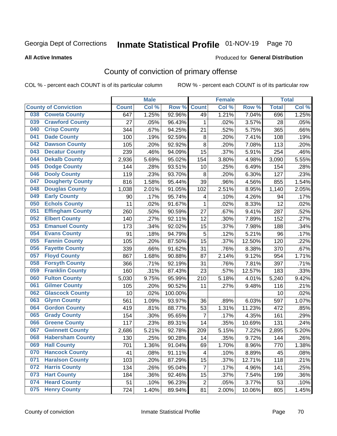# Inmate Statistical Profile 01-NOV-19 Page 70

#### **All Active Inmates**

### Produced for General Distribution

# County of conviction of primary offense

COL % - percent each COUNT is of its particular column

|     |                             |              | <b>Male</b> |         |                | <b>Female</b> |        |              | <b>Total</b> |
|-----|-----------------------------|--------------|-------------|---------|----------------|---------------|--------|--------------|--------------|
|     | <b>County of Conviction</b> | <b>Count</b> | Col %       | Row %   | <b>Count</b>   | Col%          | Row %  | <b>Total</b> | Col %        |
| 038 | <b>Coweta County</b>        | 647          | 1.25%       | 92.96%  | 49             | 1.21%         | 7.04%  | 696          | 1.25%        |
| 039 | <b>Crawford County</b>      | 27           | .05%        | 96.43%  | 1              | .02%          | 3.57%  | 28           | .05%         |
| 040 | <b>Crisp County</b>         | 344          | .67%        | 94.25%  | 21             | .52%          | 5.75%  | 365          | .66%         |
| 041 | <b>Dade County</b>          | 100          | .19%        | 92.59%  | 8              | .20%          | 7.41%  | 108          | .19%         |
| 042 | <b>Dawson County</b>        | 105          | .20%        | 92.92%  | 8              | .20%          | 7.08%  | 113          | .20%         |
| 043 | <b>Decatur County</b>       | 239          | .46%        | 94.09%  | 15             | .37%          | 5.91%  | 254          | .46%         |
| 044 | <b>Dekalb County</b>        | 2,936        | 5.69%       | 95.02%  | 154            | 3.80%         | 4.98%  | 3,090        | 5.55%        |
| 045 | <b>Dodge County</b>         | 144          | .28%        | 93.51%  | 10             | .25%          | 6.49%  | 154          | .28%         |
| 046 | <b>Dooly County</b>         | 119          | .23%        | 93.70%  | 8              | .20%          | 6.30%  | 127          | .23%         |
| 047 | <b>Dougherty County</b>     | 816          | 1.58%       | 95.44%  | 39             | .96%          | 4.56%  | 855          | 1.54%        |
| 048 | <b>Douglas County</b>       | 1,038        | 2.01%       | 91.05%  | 102            | 2.51%         | 8.95%  | 1,140        | 2.05%        |
| 049 | <b>Early County</b>         | 90           | .17%        | 95.74%  | 4              | .10%          | 4.26%  | 94           | .17%         |
| 050 | <b>Echols County</b>        | 11           | .02%        | 91.67%  | $\mathbf{1}$   | .02%          | 8.33%  | 12           | .02%         |
| 051 | <b>Effingham County</b>     | 260          | .50%        | 90.59%  | 27             | .67%          | 9.41%  | 287          | .52%         |
| 052 | <b>Elbert County</b>        | 140          | .27%        | 92.11%  | 12             | .30%          | 7.89%  | 152          | .27%         |
| 053 | <b>Emanuel County</b>       | 173          | .34%        | 92.02%  | 15             | .37%          | 7.98%  | 188          | .34%         |
| 054 | <b>Evans County</b>         | 91           | .18%        | 94.79%  | 5              | .12%          | 5.21%  | 96           | .17%         |
| 055 | <b>Fannin County</b>        | 105          | .20%        | 87.50%  | 15             | .37%          | 12.50% | 120          | .22%         |
| 056 | <b>Fayette County</b>       | 339          | .66%        | 91.62%  | 31             | .76%          | 8.38%  | 370          | .67%         |
| 057 | <b>Floyd County</b>         | 867          | 1.68%       | 90.88%  | 87             | 2.14%         | 9.12%  | 954          | 1.71%        |
| 058 | <b>Forsyth County</b>       | 366          | .71%        | 92.19%  | 31             | .76%          | 7.81%  | 397          | .71%         |
| 059 | <b>Franklin County</b>      | 160          | .31%        | 87.43%  | 23             | .57%          | 12.57% | 183          | .33%         |
| 060 | <b>Fulton County</b>        | 5,030        | 9.75%       | 95.99%  | 210            | 5.18%         | 4.01%  | 5,240        | 9.42%        |
| 061 | <b>Gilmer County</b>        | 105          | .20%        | 90.52%  | 11             | .27%          | 9.48%  | 116          | .21%         |
| 062 | <b>Glascock County</b>      | 10           | .02%        | 100.00% |                |               |        | 10           | .02%         |
| 063 | <b>Glynn County</b>         | 561          | 1.09%       | 93.97%  | 36             | .89%          | 6.03%  | 597          | 1.07%        |
| 064 | <b>Gordon County</b>        | 419          | .81%        | 88.77%  | 53             | 1.31%         | 11.23% | 472          | .85%         |
| 065 | <b>Grady County</b>         | 154          | .30%        | 95.65%  | $\overline{7}$ | .17%          | 4.35%  | 161          | .29%         |
| 066 | <b>Greene County</b>        | 117          | .23%        | 89.31%  | 14             | .35%          | 10.69% | 131          | .24%         |
| 067 | <b>Gwinnett County</b>      | 2,686        | 5.21%       | 92.78%  | 209            | 5.15%         | 7.22%  | 2,895        | 5.20%        |
| 068 | <b>Habersham County</b>     | 130          | .25%        | 90.28%  | 14             | .35%          | 9.72%  | 144          | .26%         |
| 069 | <b>Hall County</b>          | 701          | 1.36%       | 91.04%  | 69             | 1.70%         | 8.96%  | 770          | 1.38%        |
| 070 | <b>Hancock County</b>       | 41           | .08%        | 91.11%  | 4              | .10%          | 8.89%  | 45           | .08%         |
| 071 | <b>Haralson County</b>      | 103          | .20%        | 87.29%  | 15             | .37%          | 12.71% | 118          | .21%         |
| 072 | <b>Harris County</b>        | 134          | .26%        | 95.04%  | $\overline{7}$ | .17%          | 4.96%  | 141          | .25%         |
| 073 | <b>Hart County</b>          | 184          | .36%        | 92.46%  | 15             | .37%          | 7.54%  | 199          | .36%         |
| 074 | <b>Heard County</b>         | 51           | .10%        | 96.23%  | $\overline{c}$ | .05%          | 3.77%  | 53           | .10%         |
| 075 | <b>Henry County</b>         | 724          | 1.40%       | 89.94%  | 81             | 2.00%         | 10.06% | 805          | 1.45%        |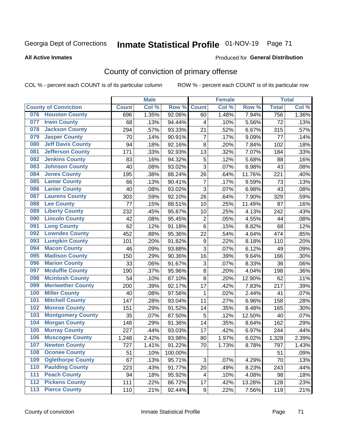# Inmate Statistical Profile 01-NOV-19 Page 71

#### **All Active Inmates**

### Produced for General Distribution

# County of conviction of primary offense

COL % - percent each COUNT is of its particular column

|       |                             |              | <b>Male</b> |         |                | <b>Female</b> |        |              | <b>Total</b> |
|-------|-----------------------------|--------------|-------------|---------|----------------|---------------|--------|--------------|--------------|
|       | <b>County of Conviction</b> | <b>Count</b> | Col %       | Row %   | <b>Count</b>   | Col %         | Row %  | <b>Total</b> | Col %        |
| 076   | <b>Houston County</b>       | 696          | 1.35%       | 92.06%  | 60             | 1.48%         | 7.94%  | 756          | 1.36%        |
| 077   | <b>Irwin County</b>         | 68           | .13%        | 94.44%  | 4              | .10%          | 5.56%  | 72           | .13%         |
| 078   | <b>Jackson County</b>       | 294          | .57%        | 93.33%  | 21             | .52%          | 6.67%  | 315          | .57%         |
| 079   | <b>Jasper County</b>        | 70           | .14%        | 90.91%  | $\overline{7}$ | .17%          | 9.09%  | 77           | .14%         |
| 080   | <b>Jeff Davis County</b>    | 94           | .18%        | 92.16%  | 8              | .20%          | 7.84%  | 102          | .18%         |
| 081   | <b>Jefferson County</b>     | 171          | .33%        | 92.93%  | 13             | .32%          | 7.07%  | 184          | .33%         |
| 082   | <b>Jenkins County</b>       | 83           | .16%        | 94.32%  | $\mathbf 5$    | .12%          | 5.68%  | 88           | .16%         |
| 083   | <b>Johnson County</b>       | 40           | .08%        | 93.02%  | 3              | .07%          | 6.98%  | 43           | .08%         |
| 084   | <b>Jones County</b>         | 195          | .38%        | 88.24%  | 26             | .64%          | 11.76% | 221          | .40%         |
| 085   | <b>Lamar County</b>         | 66           | .13%        | 90.41%  | $\overline{7}$ | .17%          | 9.59%  | 73           | .13%         |
| 086   | <b>Lanier County</b>        | 40           | .08%        | 93.02%  | 3              | .07%          | 6.98%  | 43           | .08%         |
| 087   | <b>Laurens County</b>       | 303          | .59%        | 92.10%  | 26             | .64%          | 7.90%  | 329          | .59%         |
| 088   | <b>Lee County</b>           | 77           | .15%        | 88.51%  | 10             | .25%          | 11.49% | 87           | .16%         |
| 089   | <b>Liberty County</b>       | 232          | .45%        | 95.87%  | 10             | .25%          | 4.13%  | 242          | .43%         |
| 090   | <b>Lincoln County</b>       | 42           | .08%        | 95.45%  | $\mathbf 2$    | .05%          | 4.55%  | 44           | .08%         |
| 091   | <b>Long County</b>          | 62           | .12%        | 91.18%  | 6              | .15%          | 8.82%  | 68           | .12%         |
| 092   | <b>Lowndes County</b>       | 452          | .88%        | 95.36%  | 22             | .54%          | 4.64%  | 474          | .85%         |
| 093   | <b>Lumpkin County</b>       | 101          | .20%        | 91.82%  | 9              | .22%          | 8.18%  | 110          | .20%         |
| 094   | <b>Macon County</b>         | 46           | .09%        | 93.88%  | $\overline{3}$ | .07%          | 6.12%  | 49           | .09%         |
| 095   | <b>Madison County</b>       | 150          | .29%        | 90.36%  | 16             | .39%          | 9.64%  | 166          | .30%         |
| 096   | <b>Marion County</b>        | 33           | .06%        | 91.67%  | 3              | .07%          | 8.33%  | 36           | .06%         |
| 097   | <b>Mcduffie County</b>      | 190          | .37%        | 95.96%  | 8              | .20%          | 4.04%  | 198          | .36%         |
| 098   | <b>Mcintosh County</b>      | 54           | .10%        | 87.10%  | 8              | .20%          | 12.90% | 62           | .11%         |
| 099   | <b>Meriwether County</b>    | 200          | .39%        | 92.17%  | 17             | .42%          | 7.83%  | 217          | .39%         |
| 100   | <b>Miller County</b>        | 40           | .08%        | 97.56%  | 1              | .02%          | 2.44%  | 41           | .07%         |
| 101   | <b>Mitchell County</b>      | 147          | .28%        | 93.04%  | 11             | .27%          | 6.96%  | 158          | .28%         |
| 102   | <b>Monroe County</b>        | 151          | .29%        | 91.52%  | 14             | .35%          | 8.48%  | 165          | .30%         |
| 103   | <b>Montgomery County</b>    | 35           | .07%        | 87.50%  | 5              | .12%          | 12.50% | 40           | .07%         |
| 104   | <b>Morgan County</b>        | 148          | .29%        | 91.36%  | 14             | .35%          | 8.64%  | 162          | .29%         |
| 105   | <b>Murray County</b>        | 227          | .44%        | 93.03%  | 17             | .42%          | 6.97%  | 244          | .44%         |
| 106   | <b>Muscogee County</b>      | 1,248        | 2.42%       | 93.98%  | 80             | 1.97%         | 6.02%  | 1,328        | 2.39%        |
| 107   | <b>Newton County</b>        | 727          | 1.41%       | 91.22%  | 70             | 1.73%         | 8.78%  | 797          | 1.43%        |
| 108   | <b>Oconee County</b>        | 51           | .10%        | 100.00% |                |               |        | 51           | .09%         |
| 109   | <b>Oglethorpe County</b>    | 67           | .13%        | 95.71%  | 3              | .07%          | 4.29%  | 70           | .13%         |
| 110   | <b>Paulding County</b>      | 223          | .43%        | 91.77%  | 20             | .49%          | 8.23%  | 243          | .44%         |
| 111   | <b>Peach County</b>         | 94           | .18%        | 95.92%  | 4              | .10%          | 4.08%  | 98           | .18%         |
| 112   | <b>Pickens County</b>       | 111          | .22%        | 86.72%  | 17             | .42%          | 13.28% | 128          | .23%         |
| $113$ | <b>Pierce County</b>        | 110          | .21%        | 92.44%  | 9              | .22%          | 7.56%  | 119          | .21%         |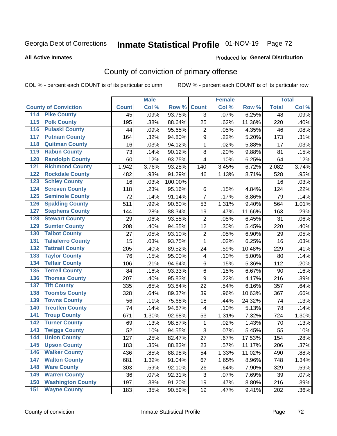# Inmate Statistical Profile 01-NOV-19 Page 72

#### **All Active Inmates**

### Produced for General Distribution

# County of conviction of primary offense

COL % - percent each COUNT is of its particular column

|                                        |              | <b>Male</b> |         |                           | <b>Female</b> |        |                 | <b>Total</b> |
|----------------------------------------|--------------|-------------|---------|---------------------------|---------------|--------|-----------------|--------------|
| <b>County of Conviction</b>            | <b>Count</b> | Col %       | Row %   | <b>Count</b>              | Col %         | Row %  | <b>Total</b>    | Col %        |
| <b>Pike County</b><br>114              | 45           | .09%        | 93.75%  | 3                         | .07%          | 6.25%  | $\overline{48}$ | .09%         |
| <b>Polk County</b><br>$\overline{115}$ | 195          | .38%        | 88.64%  | 25                        | .62%          | 11.36% | 220             | .40%         |
| <b>Pulaski County</b><br>116           | 44           | .09%        | 95.65%  | $\overline{2}$            | .05%          | 4.35%  | 46              | .08%         |
| <b>Putnam County</b><br>117            | 164          | .32%        | 94.80%  | $\boldsymbol{9}$          | .22%          | 5.20%  | 173             | .31%         |
| 118<br><b>Quitman County</b>           | 16           | .03%        | 94.12%  | $\mathbf{1}$              | .02%          | 5.88%  | 17              | .03%         |
| <b>Rabun County</b><br>119             | 73           | .14%        | 90.12%  | 8                         | .20%          | 9.88%  | 81              | .15%         |
| <b>Randolph County</b><br>120          | 60           | .12%        | 93.75%  | 4                         | .10%          | 6.25%  | 64              | .12%         |
| <b>Richmond County</b><br>121          | 1,942        | 3.76%       | 93.28%  | 140                       | 3.45%         | 6.72%  | 2,082           | 3.74%        |
| <b>Rockdale County</b><br>122          | 482          | .93%        | 91.29%  | 46                        | 1.13%         | 8.71%  | 528             | .95%         |
| <b>Schley County</b><br>123            | 16           | .03%        | 100.00% |                           |               |        | 16              | .03%         |
| <b>Screven County</b><br>124           | 118          | .23%        | 95.16%  | 6                         | .15%          | 4.84%  | 124             | .22%         |
| <b>Seminole County</b><br>125          | 72           | .14%        | 91.14%  | $\overline{7}$            | .17%          | 8.86%  | 79              | .14%         |
| 126<br><b>Spalding County</b>          | 511          | .99%        | 90.60%  | 53                        | 1.31%         | 9.40%  | 564             | 1.01%        |
| 127<br><b>Stephens County</b>          | 144          | .28%        | 88.34%  | 19                        | .47%          | 11.66% | 163             | .29%         |
| <b>Stewart County</b><br>128           | 29           | .06%        | 93.55%  | $\overline{2}$            | .05%          | 6.45%  | 31              | .06%         |
| <b>Sumter County</b><br>129            | 208          | .40%        | 94.55%  | 12                        | .30%          | 5.45%  | 220             | .40%         |
| <b>Talbot County</b><br>130            | 27           | .05%        | 93.10%  | $\mathbf 2$               | .05%          | 6.90%  | 29              | .05%         |
| <b>Taliaferro County</b><br>131        | 15           | .03%        | 93.75%  | $\mathbf{1}$              | .02%          | 6.25%  | 16              | .03%         |
| <b>Tattnall County</b><br>132          | 205          | .40%        | 89.52%  | 24                        | .59%          | 10.48% | 229             | .41%         |
| <b>Taylor County</b><br>133            | 76           | .15%        | 95.00%  | $\overline{\mathbf{4}}$   | .10%          | 5.00%  | 80              | .14%         |
| <b>Telfair County</b><br>134           | 106          | .21%        | 94.64%  | 6                         | .15%          | 5.36%  | 112             | .20%         |
| <b>Terrell County</b><br>135           | 84           | .16%        | 93.33%  | 6                         | .15%          | 6.67%  | 90              | .16%         |
| <b>Thomas County</b><br>136            | 207          | .40%        | 95.83%  | 9                         | .22%          | 4.17%  | 216             | .39%         |
| <b>Tift County</b><br>137              | 335          | .65%        | 93.84%  | 22                        | .54%          | 6.16%  | 357             | .64%         |
| <b>Toombs County</b><br>138            | 328          | .64%        | 89.37%  | 39                        | .96%          | 10.63% | 367             | .66%         |
| <b>Towns County</b><br>139             | 56           | .11%        | 75.68%  | 18                        | .44%          | 24.32% | 74              | .13%         |
| <b>Treutlen County</b><br>140          | 74           | .14%        | 94.87%  | $\overline{4}$            | .10%          | 5.13%  | 78              | .14%         |
| <b>Troup County</b><br>141             | 671          | 1.30%       | 92.68%  | 53                        | 1.31%         | 7.32%  | 724             | 1.30%        |
| <b>Turner County</b><br>142            | 69           | .13%        | 98.57%  | $\mathbf{1}$              | .02%          | 1.43%  | 70              | .13%         |
| <b>Twiggs County</b><br>143            | 52           | .10%        | 94.55%  | 3                         | .07%          | 5.45%  | 55              | .10%         |
| <b>Union County</b><br>144             | 127          | .25%        | 82.47%  | 27                        | .67%          | 17.53% | 154             | .28%         |
| 145<br><b>Upson County</b>             | 183          | .35%        | 88.83%  | 23                        | .57%          | 11.17% | 206             | .37%         |
| <b>Walker County</b><br>146            | 436          | .85%        | 88.98%  | 54                        | 1.33%         | 11.02% | 490             | .88%         |
| <b>Walton County</b><br>147            | 681          | 1.32%       | 91.04%  | 67                        | 1.65%         | 8.96%  | 748             | 1.34%        |
| <b>Ware County</b><br>148              | 303          | .59%        | 92.10%  | 26                        | .64%          | 7.90%  | 329             | .59%         |
| <b>Warren County</b><br>149            | 36           | .07%        | 92.31%  | $\ensuremath{\mathsf{3}}$ | .07%          | 7.69%  | 39              | .07%         |
| <b>Washington County</b><br>150        | 197          | .38%        | 91.20%  | 19                        | .47%          | 8.80%  | 216             | .39%         |
| <b>Wayne County</b><br>151             | 183          | .35%        | 90.59%  | 19                        | .47%          | 9.41%  | 202             | .36%         |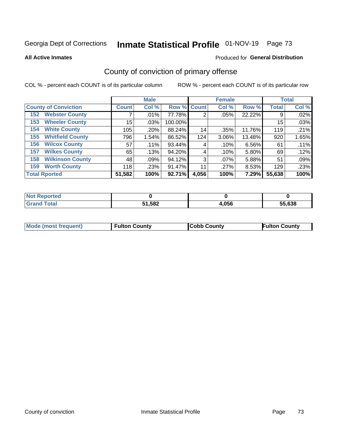# Inmate Statistical Profile 01-NOV-19 Page 73

#### **All Active Inmates**

### Produced for General Distribution

# County of conviction of primary offense

COL % - percent each COUNT is of its particular column

|                                |              | <b>Male</b> |             |       | <b>Female</b> |        |              | <b>Total</b> |
|--------------------------------|--------------|-------------|-------------|-------|---------------|--------|--------------|--------------|
| <b>County of Conviction</b>    | <b>Count</b> | Col %       | Row % Count |       | Col %         | Row %  | <b>Total</b> | Col %        |
| <b>Webster County</b><br>152   |              | .01%        | 77.78%      | 2     | .05%          | 22.22% | 9            | .02%         |
| <b>Wheeler County</b><br>153   | 15           | .03%        | 100.00%     |       |               |        | 15           | .03%         |
| <b>White County</b><br>154     | 105          | .20%        | 88.24%      | 14    | .35%          | 11.76% | 119          | .21%         |
| <b>Whitfield County</b><br>155 | 796          | 1.54%       | 86.52%      | 124   | 3.06%         | 13.48% | 920          | 1.65%        |
| <b>Wilcox County</b><br>156    | 57           | $.11\%$     | 93.44%      | 4     | .10%          | 6.56%  | 61           | .11%         |
| <b>Wilkes County</b><br>157    | 65           | .13%        | 94.20%      | 4     | .10%          | 5.80%  | 69           | .12%         |
| <b>Wilkinson County</b><br>158 | 48           | .09%        | 94.12%      | 3     | $.07\%$       | 5.88%  | 51           | .09%         |
| <b>Worth County</b><br>159     | 118          | .23%        | 91.47%      | 11    | .27%          | 8.53%  | 129          | .23%         |
| <b>Total Rported</b>           | 51,582       | 100%        | 92.71%      | 4,056 | 100%          | 7.29%  | 55,638       | 100%         |

| <b>Not Reported</b> |        |       |        |
|---------------------|--------|-------|--------|
| <b>Grand Total</b>  | 51,582 | 4,056 | 55,638 |

| <b>Mode (most frequent)</b> | <b>Fulton County</b> | <b>ICobb County</b> | <b>Fulton County</b> |
|-----------------------------|----------------------|---------------------|----------------------|
|                             |                      |                     |                      |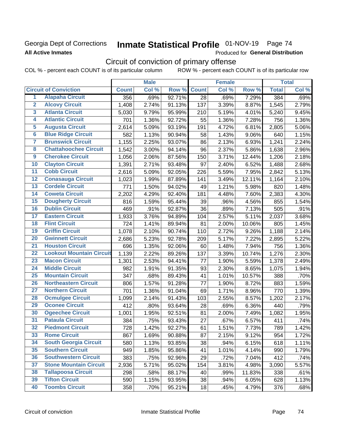### Georgia Dept of Corrections **All Active Inmates**

# Inmate Statistical Profile 01-NOV-19 Page 74

Produced for General Distribution

# Circuit of conviction of primary offense

|                         |                                 |              | <b>Male</b> |        |                 | <b>Female</b> |        |              | <b>Total</b> |
|-------------------------|---------------------------------|--------------|-------------|--------|-----------------|---------------|--------|--------------|--------------|
|                         | <b>Circuit of Conviction</b>    | <b>Count</b> | Col %       | Row %  | <b>Count</b>    | Col %         | Row %  | <b>Total</b> | Col %        |
| 1                       | <b>Alapaha Circuit</b>          | 356          | .69%        | 92.71% | $\overline{28}$ | .69%          | 7.29%  | 384          | .69%         |
| $\overline{2}$          | <b>Alcovy Circuit</b>           | 1,408        | 2.74%       | 91.13% | 137             | 3.39%         | 8.87%  | 1,545        | 2.79%        |
| $\overline{\mathbf{3}}$ | <b>Atlanta Circuit</b>          | 5,030        | 9.79%       | 95.99% | 210             | 5.19%         | 4.01%  | 5,240        | 9.45%        |
| 4                       | <b>Atlantic Circuit</b>         | 701          | 1.36%       | 92.72% | 55              | 1.36%         | 7.28%  | 756          | 1.36%        |
| 5                       | <b>Augusta Circuit</b>          | 2,614        | 5.09%       | 93.19% | 191             | 4.72%         | 6.81%  | 2,805        | 5.06%        |
| $\overline{6}$          | <b>Blue Ridge Circuit</b>       | 582          | 1.13%       | 90.94% | 58              | 1.43%         | 9.06%  | 640          | 1.15%        |
| $\overline{\mathbf{7}}$ | <b>Brunswick Circuit</b>        | 1,155        | 2.25%       | 93.07% | 86              | 2.13%         | 6.93%  | 1,241        | 2.24%        |
| $\overline{\mathbf{8}}$ | <b>Chattahoochee Circuit</b>    | 1,542        | 3.00%       | 94.14% | 96              | 2.37%         | 5.86%  | 1,638        | 2.96%        |
| $\overline{9}$          | <b>Cherokee Circuit</b>         | 1,056        | 2.06%       | 87.56% | 150             | 3.71%         | 12.44% | 1,206        | 2.18%        |
| 10                      | <b>Clayton Circuit</b>          | 1,391        | 2.71%       | 93.48% | 97              | 2.40%         | 6.52%  | 1,488        | 2.68%        |
| $\overline{11}$         | <b>Cobb Circuit</b>             | 2,616        | 5.09%       | 92.05% | 226             | 5.59%         | 7.95%  | 2,842        | 5.13%        |
| $\overline{12}$         | <b>Conasauga Circuit</b>        | 1,023        | 1.99%       | 87.89% | 141             | 3.49%         | 12.11% | 1,164        | 2.10%        |
| 13                      | <b>Cordele Circuit</b>          | 771          | 1.50%       | 94.02% | 49              | 1.21%         | 5.98%  | 820          | 1.48%        |
| $\overline{14}$         | <b>Coweta Circuit</b>           | 2,202        | 4.29%       | 92.40% | 181             | 4.48%         | 7.60%  | 2,383        | 4.30%        |
| 15                      | <b>Dougherty Circuit</b>        | 816          | 1.59%       | 95.44% | 39              | .96%          | 4.56%  | 855          | 1.54%        |
| 16                      | <b>Dublin Circuit</b>           | 469          | .91%        | 92.87% | 36              | .89%          | 7.13%  | 505          | .91%         |
| 17                      | <b>Eastern Circuit</b>          | 1,933        | 3.76%       | 94.89% | 104             | 2.57%         | 5.11%  | 2,037        | 3.68%        |
| 18                      | <b>Flint Circuit</b>            | 724          | 1.41%       | 89.94% | 81              | 2.00%         | 10.06% | 805          | 1.45%        |
| 19                      | <b>Griffin Circuit</b>          | 1,078        | 2.10%       | 90.74% | 110             | 2.72%         | 9.26%  | 1,188        | 2.14%        |
| 20                      | <b>Gwinnett Circuit</b>         | 2,686        | 5.23%       | 92.78% | 209             | 5.17%         | 7.22%  | 2,895        | 5.22%        |
| $\overline{21}$         | <b>Houston Circuit</b>          | 696          | 1.35%       | 92.06% | 60              | 1.48%         | 7.94%  | 756          | 1.36%        |
| $\overline{22}$         | <b>Lookout Mountain Circuit</b> | 1,139        | 2.22%       | 89.26% | 137             | 3.39%         | 10.74% | 1,276        | 2.30%        |
| 23                      | <b>Macon Circuit</b>            | 1,301        | 2.53%       | 94.41% | 77              | 1.90%         | 5.59%  | 1,378        | 2.49%        |
| $\overline{24}$         | <b>Middle Circuit</b>           | 982          | 1.91%       | 91.35% | 93              | 2.30%         | 8.65%  | 1,075        | 1.94%        |
| 25                      | <b>Mountain Circuit</b>         | 347          | .68%        | 89.43% | 41              | 1.01%         | 10.57% | 388          | .70%         |
| 26                      | <b>Northeastern Circuit</b>     | 806          | 1.57%       | 91.28% | 77              | 1.90%         | 8.72%  | 883          | 1.59%        |
| $\overline{27}$         | <b>Northern Circuit</b>         | 701          | 1.36%       | 91.04% | 69              | 1.71%         | 8.96%  | 770          | 1.39%        |
| 28                      | <b>Ocmulgee Circuit</b>         | 1,099        | 2.14%       | 91.43% | 103             | 2.55%         | 8.57%  | 1,202        | 2.17%        |
| 29                      | <b>Oconee Circuit</b>           | 412          | .80%        | 93.64% | 28              | .69%          | 6.36%  | 440          | .79%         |
| 30                      | <b>Ogeechee Circuit</b>         | 1,001        | 1.95%       | 92.51% | 81              | 2.00%         | 7.49%  | 1,082        | 1.95%        |
| $\overline{31}$         | <b>Pataula Circuit</b>          | 384          | .75%        | 93.43% | 27              | .67%          | 6.57%  | 411          | .74%         |
| 32                      | <b>Piedmont Circuit</b>         | 728          | 1.42%       | 92.27% | 61              | 1.51%         | 7.73%  | 789          | 1.42%        |
| 33                      | <b>Rome Circuit</b>             | 867          | 1.69%       | 90.88% | 87              | 2.15%         | 9.12%  | 954          | 1.72%        |
| 34                      | <b>South Georgia Circuit</b>    | 580          | 1.13%       | 93.85% | 38              | .94%          | 6.15%  | 618          | 1.11%        |
| 35                      | <b>Southern Circuit</b>         | 949          | 1.85%       | 95.86% | 41              | 1.01%         | 4.14%  | 990          | 1.79%        |
| 36                      | <b>Southwestern Circuit</b>     | 383          | .75%        | 92.96% | 29              | .72%          | 7.04%  | 412          | .74%         |
| 37                      | <b>Stone Mountain Circuit</b>   | 2,936        | 5.71%       | 95.02% | 154             | 3.81%         | 4.98%  | 3,090        | 5.57%        |
| 38                      | <b>Tallapoosa Circuit</b>       | 298          | .58%        | 88.17% | 40              | .99%          | 11.83% | 338          | .61%         |
| 39                      | <b>Tifton Circuit</b>           | 590          | 1.15%       | 93.95% | 38              | .94%          | 6.05%  | 628          | 1.13%        |
| 40                      | <b>Toombs Circuit</b>           | 358          | .70%        | 95.21% | 18              | .45%          | 4.79%  | 376          | .68%         |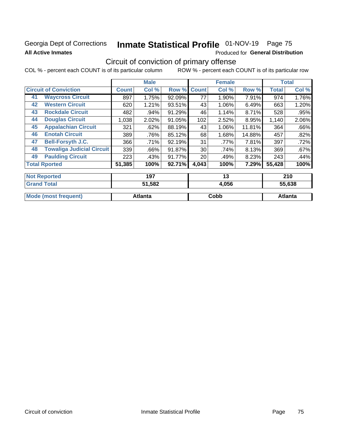### Georgia Dept of Corrections **All Active Inmates**

# Inmate Statistical Profile 01-NOV-19 Page 75

Produced for General Distribution

# Circuit of conviction of primary offense

|                              |                                  |              | <b>Male</b> |        |              | <b>Female</b> |        |              | <b>Total</b> |
|------------------------------|----------------------------------|--------------|-------------|--------|--------------|---------------|--------|--------------|--------------|
| <b>Circuit of Conviction</b> |                                  | <b>Count</b> | Col %       | Row %  | <b>Count</b> | Col %         | Row %  | <b>Total</b> | Col %        |
| 41                           | <b>Waycross Circuit</b>          | 897          | 1.75%       | 92.09% | 77           | 1.90%         | 7.91%  | 974          | 1.76%        |
| 42                           | <b>Western Circuit</b>           | 620          | 1.21%       | 93.51% | 43           | 1.06%         | 6.49%  | 663          | 1.20%        |
| 43                           | <b>Rockdale Circuit</b>          | 482          | .94%        | 91.29% | 46           | 1.14%         | 8.71%  | 528          | .95%         |
| 44                           | <b>Douglas Circuit</b>           | 1,038        | 2.02%       | 91.05% | 102          | 2.52%         | 8.95%  | 1,140        | 2.06%        |
| 45                           | <b>Appalachian Circuit</b>       | 321          | .62%        | 88.19% | 43           | 1.06%         | 11.81% | 364          | .66%         |
| 46                           | <b>Enotah Circuit</b>            | 389          | .76%        | 85.12% | 68           | 1.68%         | 14.88% | 457          | .82%         |
| 47                           | <b>Bell-Forsyth J.C.</b>         | 366          | .71%        | 92.19% | 31           | .77%          | 7.81%  | 397          | .72%         |
| 48                           | <b>Towaliga Judicial Circuit</b> | 339          | .66%        | 91.87% | 30           | .74%          | 8.13%  | 369          | .67%         |
| 49                           | <b>Paulding Circuit</b>          | 223          | .43%        | 91.77% | 20           | .49%          | 8.23%  | 243          | .44%         |
|                              | <b>Total Rported</b>             | 51,385       | 100%        | 92.71% | 4,043        | 100%          | 7.29%  | 55,428       | 100%         |
|                              | <b>Not Reported</b>              |              | 197         |        |              | 13            |        |              | 210          |
|                              | <b>Grand Total</b>               |              | 51 582      |        |              | 4 በ56         |        |              | 55 638       |

|                      | $-1 - 1 - 1 - 1 = -1$ | .,          | -------        |
|----------------------|-----------------------|-------------|----------------|
|                      |                       |             |                |
| Mode (most frequent) | Atlanta               | <b>Copp</b> | <b>\tlanta</b> |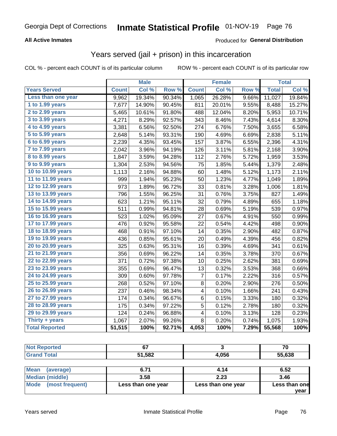#### **All Active Inmates**

#### Produced for **General Distribution**

### Years served (jail + prison) in this incarceration

|                              |              | <b>Male</b> |        |              | <b>Female</b> |       |              | <b>Total</b> |
|------------------------------|--------------|-------------|--------|--------------|---------------|-------|--------------|--------------|
| <b>Years Served</b>          | <b>Count</b> | Col %       | Row %  | <b>Count</b> | Col %         | Row % | <b>Total</b> | Col %        |
| Less than one year           | 9,962        | 19.34%      | 90.34% | 1,065        | 26.28%        | 9.66% | 11,027       | 19.84%       |
| 1 to 1.99 years              | 7,677        | 14.90%      | 90.45% | 811          | 20.01%        | 9.55% | 8,488        | 15.27%       |
| 2 to 2.99 years              | 5,465        | 10.61%      | 91.80% | 488          | 12.04%        | 8.20% | 5,953        | 10.71%       |
| 3 to 3.99 years              | 4,271        | 8.29%       | 92.57% | 343          | 8.46%         | 7.43% | 4,614        | 8.30%        |
| 4 to 4.99 years              | 3,381        | 6.56%       | 92.50% | 274          | 6.76%         | 7.50% | 3,655        | 6.58%        |
| $\overline{5}$ to 5.99 years | 2,648        | 5.14%       | 93.31% | 190          | 4.69%         | 6.69% | 2,838        | 5.11%        |
| 6 to 6.99 years              | 2,239        | 4.35%       | 93.45% | 157          | 3.87%         | 6.55% | 2,396        | 4.31%        |
| 7 to 7.99 years              | 2,042        | 3.96%       | 94.19% | 126          | 3.11%         | 5.81% | 2,168        | 3.90%        |
| <b>8 to 8.99 years</b>       | 1,847        | 3.59%       | 94.28% | 112          | 2.76%         | 5.72% | 1,959        | 3.53%        |
| 9 to 9.99 years              | 1,304        | 2.53%       | 94.56% | 75           | 1.85%         | 5.44% | 1,379        | 2.48%        |
| 10 to 10.99 years            | 1,113        | 2.16%       | 94.88% | 60           | 1.48%         | 5.12% | 1,173        | 2.11%        |
| 11 to 11.99 years            | 999          | 1.94%       | 95.23% | 50           | 1.23%         | 4.77% | 1,049        | 1.89%        |
| 12 to 12.99 years            | 973          | 1.89%       | 96.72% | 33           | 0.81%         | 3.28% | 1,006        | 1.81%        |
| 13 to 13.99 years            | 796          | 1.55%       | 96.25% | 31           | 0.76%         | 3.75% | 827          | 1.49%        |
| 14 to 14.99 years            | 623          | 1.21%       | 95.11% | 32           | 0.79%         | 4.89% | 655          | 1.18%        |
| 15 to 15.99 years            | 511          | 0.99%       | 94.81% | 28           | 0.69%         | 5.19% | 539          | 0.97%        |
| 16 to 16.99 years            | 523          | 1.02%       | 95.09% | 27           | 0.67%         | 4.91% | 550          | 0.99%        |
| 17 to 17.99 years            | 476          | 0.92%       | 95.58% | 22           | 0.54%         | 4.42% | 498          | 0.90%        |
| 18 to 18.99 years            | 468          | 0.91%       | 97.10% | 14           | 0.35%         | 2.90% | 482          | 0.87%        |
| 19 to 19.99 years            | 436          | 0.85%       | 95.61% | 20           | 0.49%         | 4.39% | 456          | 0.82%        |
| 20 to 20.99 years            | 325          | 0.63%       | 95.31% | 16           | 0.39%         | 4.69% | 341          | 0.61%        |
| 21 to 21.99 years            | 356          | 0.69%       | 96.22% | 14           | 0.35%         | 3.78% | 370          | 0.67%        |
| 22 to 22.99 years            | 371          | 0.72%       | 97.38% | 10           | 0.25%         | 2.62% | 381          | 0.69%        |
| 23 to 23.99 years            | 355          | 0.69%       | 96.47% | 13           | 0.32%         | 3.53% | 368          | 0.66%        |
| 24 to 24.99 years            | 309          | 0.60%       | 97.78% | 7            | 0.17%         | 2.22% | 316          | 0.57%        |
| 25 to 25.99 years            | 268          | 0.52%       | 97.10% | 8            | 0.20%         | 2.90% | 276          | 0.50%        |
| 26 to 26.99 years            | 237          | 0.46%       | 98.34% | 4            | 0.10%         | 1.66% | 241          | 0.43%        |
| 27 to 27.99 years            | 174          | 0.34%       | 96.67% | 6            | 0.15%         | 3.33% | 180          | 0.32%        |
| 28 to 28.99 years            | 175          | 0.34%       | 97.22% | 5            | 0.12%         | 2.78% | 180          | 0.32%        |
| 29 to 29.99 years            | 124          | 0.24%       | 96.88% | 4            | 0.10%         | 3.13% | 128          | 0.23%        |
| Thirty + years               | 1,067        | 2.07%       | 99.26% | 8            | 0.20%         | 0.74% | 1,075        | 1.93%        |
| <b>Total Reported</b>        | 51,515       | 100%        | 92.71% | 4,053        | 100%          | 7.29% | 55,568       | 100%         |

| <b>Not Reported</b> | $\sim$ |       | 70                   |
|---------------------|--------|-------|----------------------|
| <b>Grand Total</b>  | 51,582 | 4,056 | 55,638               |
|                     |        |       |                      |
| ---                 | - - -  | .     | $\sim$ $\sim$ $\sim$ |

| ∣Mean<br>(average)   | 6.71               | 4.14               | 6.52          |
|----------------------|--------------------|--------------------|---------------|
| Median (middle)      | 3.58               | 2.23               | 3.46          |
| Mode (most frequent) | Less than one year | Less than one year | Less than one |
|                      |                    |                    | vear          |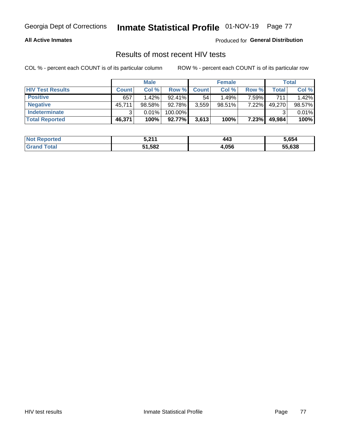#### **All Active Inmates**

Produced for **General Distribution**

### Results of most recent HIV tests

|                         |              | <b>Male</b> |           |              | <b>Female</b> |          |        | Total  |
|-------------------------|--------------|-------------|-----------|--------------|---------------|----------|--------|--------|
| <b>HIV Test Results</b> | <b>Count</b> | Col %       | Row %I    | <b>Count</b> | Col %         | Row %    | Total  | Col %  |
| <b>Positive</b>         | 657          | $1.42\%$    | $92.41\%$ | 54           | 1.49%         | 7.59%    | 711    | 1.42%  |
| <b>Negative</b>         | 45,711       | $98.58\%$   | 92.78%    | 3,559        | $98.51\%$     | 7.22%    | 49,270 | 98.57% |
| <b>Indeterminate</b>    | 2.           | 0.01%       | 100.00%   |              |               |          |        | 0.01%  |
| <b>Total Reported</b>   | 46,371       | 100%        | 92.77%    | 3,613        | 100%          | $7.23\%$ | 49,984 | 100%   |

| <b>Not Reported</b>     | 5,211  | 443   | 5,654  |
|-------------------------|--------|-------|--------|
| <b>Total</b><br>' Grand | 51,582 | 4,056 | 55,638 |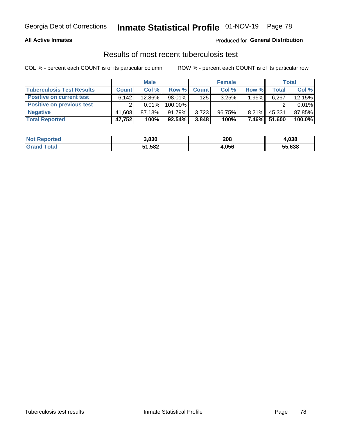#### **All Active Inmates**

#### Produced for **General Distribution**

### Results of most recent tuberculosis test

|                                  |              | <b>Male</b> |           |              | <b>Female</b> |          |        | Total  |
|----------------------------------|--------------|-------------|-----------|--------------|---------------|----------|--------|--------|
| <b>Tuberculosis Test Results</b> | <b>Count</b> | Col%        | Row %I    | <b>Count</b> | Col%          | Row %    | Total  | Col %  |
| <b>Positive on current test</b>  | 6.142        | $12.86\%$   | $98.01\%$ | 125          | 3.25%         | 1.99%    | 6,267  | 12.15% |
| <b>Positive on previous test</b> | ົ            | $0.01\%$    | 100.00%   |              |               |          |        | 0.01%  |
| <b>Negative</b>                  | 41.608       | 87.13%      | 91.79%    | 3,723        | 96.75%        | $8.21\%$ | 45,331 | 87.85% |
| <b>Total Reported</b>            | 47,752       | 100%        | 92.54%    | 3,848        | 100%          | $7.46\%$ | 51,600 | 100.0% |

| <b>Not Reported</b> | 3,830  | 208   | 1,038  |
|---------------------|--------|-------|--------|
| Total               | 51,582 | 4,056 | 55,638 |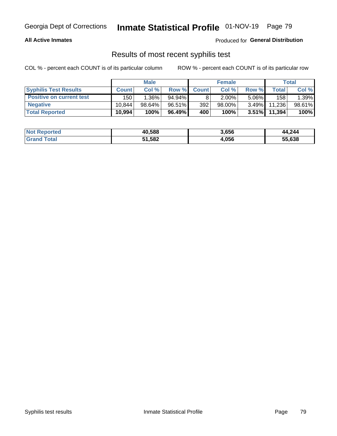#### **All Active Inmates**

Produced for **General Distribution**

### Results of most recent syphilis test

|                                 |              | <b>Male</b> |           |                  | <b>Female</b> |          |        | Total  |
|---------------------------------|--------------|-------------|-----------|------------------|---------------|----------|--------|--------|
| <b>Syphilis Test Results</b>    | <b>Count</b> | Col %       | Row %     | <b>Count</b>     | Col %         | Row %    | Total  | Col %  |
| <b>Positive on current test</b> | 150          | $1.36\%$    | $94.94\%$ |                  | $2.00\%$      | $5.06\%$ | 158    | 1.39%  |
| <b>Negative</b>                 | 10.844       | $98.64\%$   | 96.51%    | 392 <sub>1</sub> | $98.00\%$     | $3.49\%$ | 11,236 | 98.61% |
| <b>Total Reported</b>           | 10,994       | 100%        | 96.49%    | 400              | 100%          | $3.51\%$ | 11,394 | 100%   |

| <b>Not Reported</b> | 40,588 | 3,656 | 44,244 |
|---------------------|--------|-------|--------|
| <b>Grand Total</b>  | 51,582 | 4,056 | 55,638 |